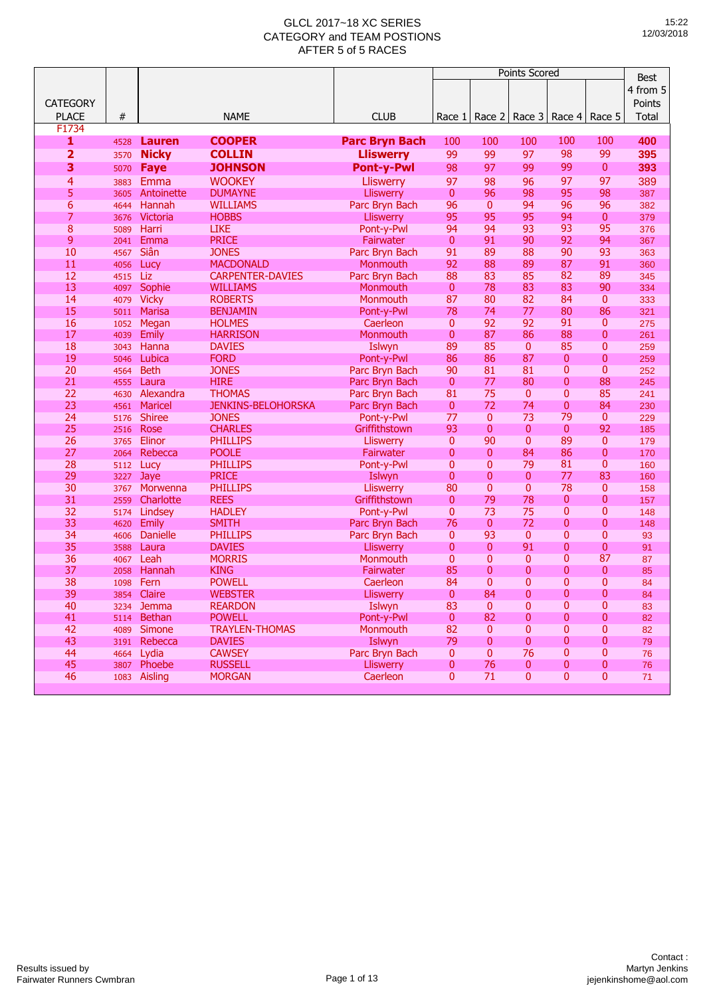|                         |              |                                 |                                 |                                  |                              |              | <b>Points Scored</b> |                          |                | <b>Best</b> |
|-------------------------|--------------|---------------------------------|---------------------------------|----------------------------------|------------------------------|--------------|----------------------|--------------------------|----------------|-------------|
|                         |              |                                 |                                 |                                  |                              |              |                      |                          |                | 4 from 5    |
| <b>CATEGORY</b>         |              |                                 |                                 |                                  |                              |              |                      |                          |                |             |
|                         |              |                                 |                                 |                                  |                              |              |                      |                          |                | Points      |
| <b>PLACE</b>            | #            |                                 | <b>NAME</b>                     | <b>CLUB</b>                      | Race 1                       | Race 2       | Race 3               | Race 4                   | Race 5         | Total       |
| F1734                   |              |                                 |                                 |                                  |                              |              |                      |                          |                |             |
| 1                       | 4528         | Lauren                          | <b>COOPER</b>                   | <b>Parc Bryn Bach</b>            | 100                          | 100          | 100                  | 100                      | 100            | 400         |
| $\overline{\mathbf{2}}$ | 3570         | <b>Nicky</b>                    | <b>COLLIN</b>                   | <b>Lliswerry</b>                 | 99                           | 99           | 97                   | 98                       | 99             | 395         |
| 3                       | 5070         | Faye                            | <b>JOHNSON</b>                  | <b>Pont-y-Pwl</b>                | 98                           | 97           | 99                   | 99                       | 0              | 393         |
| 4                       | 3883         | Emma                            | <b>WOOKEY</b>                   | <b>Lliswerry</b>                 | 97                           | 98           | 96                   | 97                       | 97             | 389         |
| 5                       | 3605         | Antoinette                      | <b>DUMAYNE</b>                  | <b>Lliswerry</b>                 | $\mathbf{0}$                 | 96           | 98                   | 95                       | 98             | 387         |
| $\overline{6}$          | 4644         | Hannah                          | <b>WILLIAMS</b>                 | Parc Bryn Bach                   | 96                           | $\mathbf{0}$ | 94                   | 96                       | 96             | 382         |
| 7                       | 3676         | Victoria                        | <b>HOBBS</b>                    | <b>Lliswerry</b>                 | 95                           | 95           | 95                   | 94                       | $\mathbf{0}$   | 379         |
| 8                       | 5089         | Harri                           | <b>LIKE</b>                     | Pont-y-Pwl                       | 94                           | 94           | 93                   | 93                       | 95             | 376         |
| 9                       | 2041         | Emma                            | <b>PRICE</b>                    | Fairwater                        | $\mathbf{0}$                 | 91           | 90                   | 92                       | 94             | 367         |
| 10                      | 4567         | Siân                            | <b>JONES</b>                    | Parc Bryn Bach                   | 91                           | 89           | 88                   | 90                       | 93             | 363         |
| 11                      | 4056         | Lucy                            | <b>MACDONALD</b>                | Monmouth                         | 92                           | 88           | 89                   | 87                       | 91             | 360         |
| 12                      | 4515         | Liz                             | <b>CARPENTER-DAVIES</b>         | Parc Bryn Bach                   | 88                           | 83           | 85                   | 82                       | 89             | 345         |
| 13                      | 4097         | Sophie                          | <b>WILLIAMS</b>                 | Monmouth                         | $\mathbf{0}$                 | 78           | 83                   | 83                       | 90             | 334         |
| 14                      | 4079         | <b>Vicky</b>                    | <b>ROBERTS</b>                  | Monmouth                         | 87                           | 80           | 82                   | 84                       | $\mathbf{0}$   | 333         |
| 15                      | 5011         | <b>Marisa</b>                   | <b>BENJAMIN</b>                 | Pont-y-Pwl                       | 78                           | 74           | 77                   | 80                       | 86             | 321         |
| 16                      | 1052         | Megan                           | <b>HOLMES</b>                   | Caerleon                         | $\mathbf{0}$                 | 92           | 92                   | 91                       | 0              | 275         |
| 17                      | 4039         | <b>Emily</b>                    | <b>HARRISON</b>                 | Monmouth                         | $\mathbf{0}$                 | 87           | 86                   | 88                       | 0              | 261         |
| 18                      | 3043         | Hanna                           | <b>DAVIES</b>                   | Islwyn                           | 89                           | 85           | $\mathbf{0}$         | 85                       | $\overline{0}$ | 259         |
| 19                      | 5046         | Lubica                          | <b>FORD</b>                     | Pont-y-Pwl                       | 86                           | 86           | 87                   | $\mathbf{0}$             | 0              | 259         |
| 20                      | 4564         | <b>Beth</b>                     | <b>JONES</b>                    | Parc Bryn Bach                   | 90                           | 81           | 81                   | $\mathbf{0}$             | 0              | 252         |
| 21                      | 4555         | Laura                           | <b>HIRE</b>                     | Parc Bryn Bach                   | $\mathbf{0}$                 | 77           | 80                   | 0                        | 88             | 245         |
| 22                      | 4630         | Alexandra                       | <b>THOMAS</b>                   | Parc Bryn Bach                   | 81                           | 75           | 0                    | $\mathbf{0}$             | 85             | 241         |
| 23                      | 4561         | Maricel                         | <b>JENKINS-BELOHORSKA</b>       | Parc Bryn Bach                   | $\mathbf{0}$                 | 72           | 74                   | 0                        | 84             | 230         |
| 24                      | 5176         | <b>Shiree</b>                   | <b>JONES</b>                    | Pont-y-Pwl                       | 77                           | $\mathbf{0}$ | 73                   | 79                       | $\mathbf{0}$   | 229         |
| 25                      | 2516         | Rose                            | <b>CHARLES</b>                  | Griffithstown                    | 93                           | $\mathbf{0}$ | 0                    | $\mathbf{0}$             | 92             | 185         |
| 26                      | 3765         | Elinor                          | <b>PHILLIPS</b>                 | <b>Lliswerry</b>                 | $\mathbf{0}$                 | 90           | 0                    | 89                       | $\mathbf{0}$   | 179         |
| 27                      | 2064         | Rebecca                         | <b>POOLE</b>                    | Fairwater                        | 0                            | $\mathbf{0}$ | 84                   | 86                       | $\overline{0}$ | 170         |
| 28                      | 5112         | Lucy                            | <b>PHILLIPS</b>                 | Pont-y-Pwl                       | 0                            | $\mathbf{0}$ | 79                   | 81                       | 0              | 160         |
| 29                      | 3227         | Jaye                            | <b>PRICE</b>                    | Islwyn                           | 0                            | 0            | 0                    | 77                       | 83             | 160         |
| 30                      | 3767         | Morwenna                        | <b>PHILLIPS</b>                 | <b>Lliswerry</b>                 | 80                           | $\mathbf 0$  | 0                    | 78                       | 0<br>0         | 158         |
| 31<br>32                | 2559         | Charlotte                       | <b>REES</b>                     | Griffithstown                    | $\mathbf{0}$<br>$\mathbf{0}$ | 79<br>73     | 78<br>75             | $\bf{0}$<br>$\mathbf{0}$ | 0              | 157         |
| 33                      | 5174         | Lindsey                         | <b>HADLEY</b>                   | Pont-y-Pwl                       | 76                           | $\mathbf{0}$ | 72                   | 0                        | 0              | 148         |
| 34                      | 4620<br>4606 | <b>Emily</b><br><b>Danielle</b> | <b>SMITH</b><br><b>PHILLIPS</b> | Parc Bryn Bach<br>Parc Bryn Bach | 0                            | 93           | $\mathbf{0}$         | $\mathbf{0}$             | 0              | 148<br>93   |
| 35                      |              | Laura                           | <b>DAVIES</b>                   |                                  | 0                            | $\mathbf{0}$ | 91                   | 0                        | 0              |             |
| 36                      | 3588         | Leah                            | <b>MORRIS</b>                   | <b>Lliswerry</b>                 | $\mathbf{0}$                 | $\mathbf 0$  | 0                    | 0                        | 87             | 91          |
| 37                      | 4067<br>2058 | Hannah                          | <b>KING</b>                     | Monmouth<br>Fairwater            | 85                           | 0            | 0                    | 0                        | 0              | 87<br>85    |
| 38                      | 1098         | Fern                            | <b>POWELL</b>                   | Caerleon                         | 84                           | 0            | 0                    | $\mathbf{0}$             | 0              | 84          |
| 39                      |              | 3854 Claire                     | <b>WEBSTER</b>                  | Lliswerry                        | $\mathbf{0}$                 | 84           | O                    | 0                        | 0              | 84          |
| 40                      |              | 3234 Jemma                      | <b>REARDON</b>                  | Islwyn                           | 83                           | $\mathbf 0$  | 0                    | $\bf{0}$                 | 0              | 83          |
| 41                      |              | 5114 Bethan                     | <b>POWELL</b>                   | Pont-y-Pwl                       | $\mathbf{0}$                 | 82           | 0                    | 0                        | 0              | 82          |
| 42                      |              | 4089 Simone                     | <b>TRAYLEN-THOMAS</b>           | Monmouth                         | 82                           | $\mathbf 0$  | 0                    | 0                        | 0              | 82          |
| 43                      |              | 3191 Rebecca                    | <b>DAVIES</b>                   | Islwyn                           | 79                           | $\mathbf{0}$ | 0                    | 0                        | 0              | 79          |
| 44                      |              | 4664 Lydia                      | <b>CAWSEY</b>                   | Parc Bryn Bach                   | $\mathbf{0}$                 | $\mathbf{0}$ | 76                   | 0                        | 0              | 76          |
| 45                      |              | 3807 Phoebe                     | <b>RUSSELL</b>                  | Lliswerry                        | 0                            | 76           | 0                    | 0                        | 0              | 76          |
| 46                      |              | 1083 Aisling                    | <b>MORGAN</b>                   | Caerleon                         | 0                            | 71           | 0                    | $\mathbf{0}$             | 0              | 71          |
|                         |              |                                 |                                 |                                  |                              |              |                      |                          |                |             |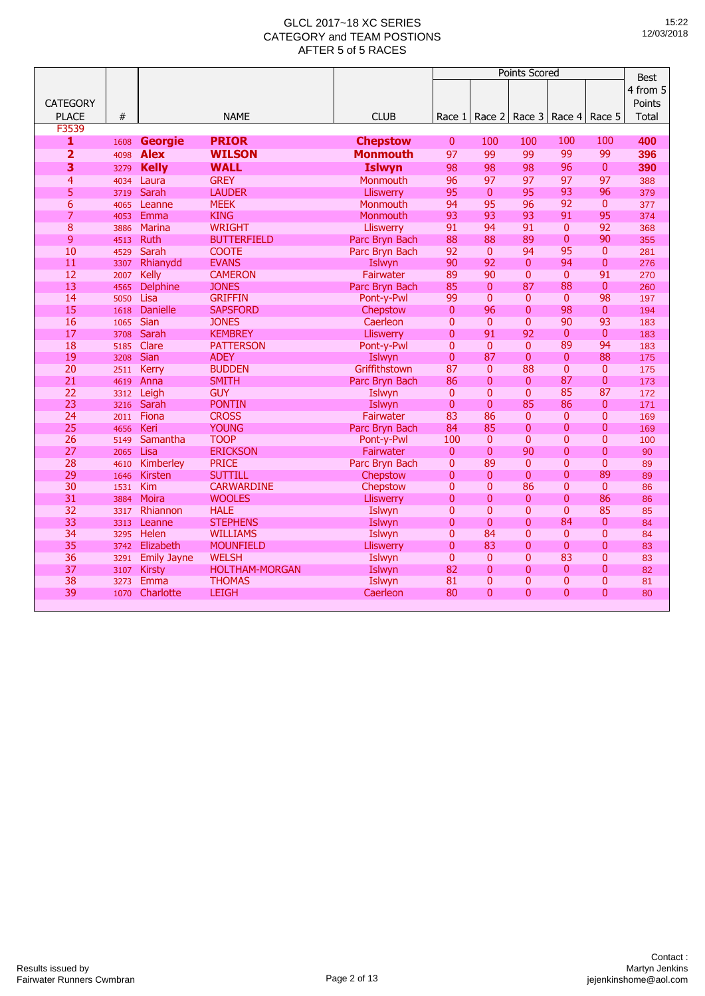|                         |              |                               |                                |                                    |                          | <b>Best</b>                |                                |                                  |                    |              |
|-------------------------|--------------|-------------------------------|--------------------------------|------------------------------------|--------------------------|----------------------------|--------------------------------|----------------------------------|--------------------|--------------|
|                         |              |                               |                                |                                    |                          |                            |                                |                                  |                    | 4 from 5     |
| <b>CATEGORY</b>         |              |                               |                                |                                    |                          |                            |                                |                                  |                    | Points       |
| <b>PLACE</b>            | #            |                               | <b>NAME</b>                    | <b>CLUB</b>                        | Race 1                   | Race 2                     | Race 3                         | Race 4                           | Race 5             | <b>Total</b> |
| F3539<br>1              |              |                               | <b>PRIOR</b>                   |                                    | $\mathbf{0}$             | 100                        | 100                            | 100                              | 100                | 400          |
| $\overline{\mathbf{2}}$ | 1608         | <b>Georgie</b><br><b>Alex</b> | <b>WILSON</b>                  | <b>Chepstow</b><br><b>Monmouth</b> | 97                       | 99                         | 99                             | 99                               | 99                 | 396          |
| 3                       | 4098         | <b>Kelly</b>                  | <b>WALL</b>                    | <b>Islwyn</b>                      | 98                       | 98                         | 98                             | 96                               | $\mathbf{0}$       | 390          |
| $\overline{4}$          | 3279<br>4034 | Laura                         | <b>GREY</b>                    | Monmouth                           | 96                       | 97                         | 97                             | 97                               | 97                 | 388          |
| 5                       | 3719         | Sarah                         | <b>LAUDER</b>                  | Lliswerry                          | 95                       | $\overline{0}$             | 95                             | 93                               | 96                 | 379          |
| $\overline{6}$          | 4065         | Leanne                        | <b>MEEK</b>                    | Monmouth                           | 94                       | 95                         | 96                             | 92                               | $\mathbf{0}$       | 377          |
| 7                       | 4053         | Emma                          | <b>KING</b>                    | Monmouth                           | 93                       | 93                         | 93                             | 91                               | 95                 | 374          |
| $\overline{8}$          | 3886         | Marina                        | <b>WRIGHT</b>                  | <b>Lliswerry</b>                   | 91                       | 94                         | 91                             | $\mathbf{0}$                     | 92                 | 368          |
| 9                       | 4513         | Ruth                          | <b>BUTTERFIELD</b>             | Parc Bryn Bach                     | 88                       | 88                         | 89                             | $\mathbf{0}$                     | 90                 | 355          |
| 10                      | 4529         | Sarah                         | <b>COOTE</b>                   | Parc Bryn Bach                     | 92                       | $\overline{0}$             | 94                             | 95                               | $\mathbf{0}$       | 281          |
| 11                      | 3307         | Rhianydd                      | <b>EVANS</b>                   | Islwyn                             | 90                       | 92                         | $\overline{0}$                 | 94                               | $\overline{0}$     | 276          |
| 12                      | 2007         | <b>Kelly</b>                  | <b>CAMERON</b>                 | <b>Fairwater</b>                   | 89                       | 90                         | $\overline{0}$                 | $\mathbf{0}$                     | 91                 | 270          |
| 13                      | 4565         | <b>Delphine</b>               | <b>JONES</b>                   | Parc Bryn Bach                     | 85                       | $\mathbf{0}$               | 87                             | 88                               | $\mathbf{0}$       | 260          |
| 14                      | 5050         | Lisa                          | <b>GRIFFIN</b>                 | Pont-y-Pwl                         | 99                       | $\mathbf{0}$               | 0                              | $\mathbf{0}$                     | 98                 | 197          |
| 15                      | 1618         | <b>Danielle</b>               | <b>SAPSFORD</b>                | Chepstow                           | $\mathbf{0}$             | 96                         | $\overline{0}$                 | 98                               | $\mathbf{0}$<br>93 | 194          |
| 16<br>17                | 1065         | <b>Sian</b><br>Sarah          | <b>JONES</b><br><b>KEMBREY</b> | Caerleon                           | $\Omega$<br>$\mathbf{0}$ | $\mathbf{0}$<br>91         | $\mathbf{0}$<br>92             | 90<br>$\mathbf{0}$               | $\mathbf{0}$       | 183          |
| 18                      | 3708<br>5185 | Clare                         | <b>PATTERSON</b>               | Lliswerry<br>Pont-y-Pwl            | $\mathbf{0}$             | $\mathbf{0}$               | $\mathbf{0}$                   | 89                               | 94                 | 183<br>183   |
| 19                      | 3208         | Sian                          | <b>ADEY</b>                    | Islwyn                             | $\mathbf{0}$             | 87                         | $\overline{0}$                 | $\overline{0}$                   | 88                 | 175          |
| 20                      | 2511         | Kerry                         | <b>BUDDEN</b>                  | Griffithstown                      | 87                       | $\mathbf{0}$               | 88                             | $\overline{0}$                   | $\mathbf{0}$       | 175          |
| 21                      | 4619         | Anna                          | <b>SMITH</b>                   | Parc Bryn Bach                     | 86                       | $\overline{0}$             | $\overline{0}$                 | 87                               | $\mathbf{0}$       | 173          |
| 22                      | 3312         | Leigh                         | <b>GUY</b>                     | Islwyn                             | $\mathbf{0}$             | $\overline{0}$             | $\overline{0}$                 | 85                               | 87                 | 172          |
| 23                      | 3216         | Sarah                         | <b>PONTIN</b>                  | Islwyn                             | $\mathbf{0}$             | $\Omega$                   | 85                             | 86                               | $\Omega$           | 171          |
| 24                      | 2011         | Fiona                         | <b>CROSS</b>                   | Fairwater                          | 83                       | 86                         | $\overline{0}$                 | $\mathbf{0}$                     | $\mathbf{0}$       | 169          |
| 25                      | 4656         | Keri                          | <b>YOUNG</b>                   | Parc Bryn Bach                     | 84                       | 85                         | $\mathbf{0}$                   | $\overline{0}$                   | $\mathbf{0}$       | 169          |
| 26                      | 5149         | Samantha                      | <b>TOOP</b>                    | Pont-y-Pwl                         | 100                      | $\mathbf{0}$               | $\mathbf{0}$                   | $\mathbf{0}$                     | $\mathbf{0}$       | 100          |
| 27                      | 2065         | Lisa                          | <b>ERICKSON</b>                | Fairwater                          | $\mathbf{0}$             | $\overline{0}$             | 90                             | $\mathbf{0}$                     | $\overline{0}$     | 90           |
| 28                      | 4610         | Kimberley                     | <b>PRICE</b>                   | Parc Bryn Bach                     | $\mathbf{0}$             | 89                         | $\mathbf{0}$                   | $\mathbf{0}$                     | $\mathbf{0}$       | 89           |
| 29                      | 1646         | <b>Kirsten</b>                | <b>SUTTILL</b>                 | Chepstow                           | $\overline{0}$           | $\overline{0}$             | $\overline{0}$                 | $\mathbf{0}$                     | 89                 | 89           |
| 30                      | 1531         | Kim                           | <b>CARWARDINE</b>              | Chepstow                           | $\mathbf{0}$             | 0                          | 86                             | $\mathbf{0}$                     | $\mathbf{0}$       | 86           |
| 31                      | 3884         | <b>Moira</b>                  | <b>WOOLES</b>                  | Lliswerry                          | $\overline{0}$           | $\overline{0}$             | $\overline{0}$                 | $\overline{0}$<br>$\overline{0}$ | 86<br>85           | 86           |
| 32<br>33                | 3317         | Rhiannon<br>Leanne            | <b>HALE</b><br><b>STEPHENS</b> | Islwyn<br>Islwyn                   | $\Omega$<br>$\mathbf{0}$ | $\Omega$<br>$\overline{0}$ | $\mathbf{0}$<br>$\overline{0}$ | 84                               | $\mathbf{0}$       | 85<br>84     |
| 34                      | 3313<br>3295 | Helen                         | <b>WILLIAMS</b>                | Islwyn                             | $\overline{0}$           | 84                         | $\overline{0}$                 | $\mathbf{0}$                     | $\overline{0}$     | 84           |
| 35                      | 3742         | Elizabeth                     | <b>MOUNFIELD</b>               | Lliswerry                          | $\mathbf{0}$             | 83                         | $\overline{0}$                 | $\overline{0}$                   | $\mathbf{0}$       | 83           |
| 36                      | 3291         | <b>Emily Jayne</b>            | <b>WELSH</b>                   | Islwyn                             | $\mathbf{0}$             | $\mathbf{0}$               | $\mathbf{0}$                   | 83                               | $\mathbf{0}$       | 83           |
| 37                      | 3107         | <b>Kirsty</b>                 | <b>HOLTHAM-MORGAN</b>          | Islwyn                             | 82                       | $\overline{0}$             | 0                              | $\mathbf{0}$                     | $\mathbf{0}$       | 82           |
| 38                      | 3273         | Emma                          | <b>THOMAS</b>                  | Islwyn                             | 81                       | 0                          | 0                              | 0                                | $\mathbf{0}$       | 81           |
| 39                      | 1070         | Charlotte                     | <b>LEIGH</b>                   | Caerleon                           | 80                       | $\Omega$                   | $\Omega$                       | $\overline{0}$                   | $\Omega$           | 80           |
|                         |              |                               |                                |                                    |                          |                            |                                |                                  |                    |              |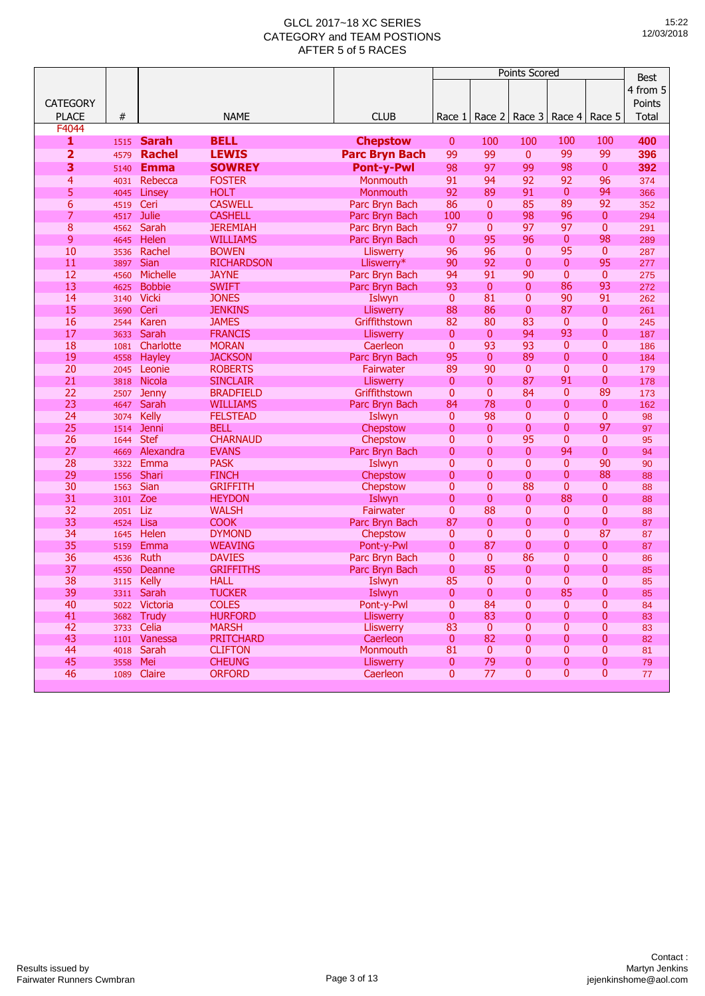|                 |      |                 |                   |                       |                |                | <b>Points Scored</b> |                |              | <b>Best</b> |
|-----------------|------|-----------------|-------------------|-----------------------|----------------|----------------|----------------------|----------------|--------------|-------------|
|                 |      |                 |                   |                       |                |                |                      |                |              |             |
|                 |      |                 |                   |                       |                |                |                      |                |              | 4 from 5    |
| <b>CATEGORY</b> |      |                 |                   |                       |                |                |                      |                |              | Points      |
| <b>PLACE</b>    | #    |                 | <b>NAME</b>       | <b>CLUB</b>           | Race 1         | Race 2         | Race 3               | Race 4         | Race 5       | Total       |
| F4044           |      |                 |                   |                       |                |                |                      |                |              |             |
| 1               | 1515 | <b>Sarah</b>    | <b>BELL</b>       | <b>Chepstow</b>       | $\mathbf{0}$   | 100            | 100                  | 100            | 100          | 400         |
| 2               | 4579 | <b>Rachel</b>   | <b>LEWIS</b>      | <b>Parc Bryn Bach</b> | 99             | 99             | 0                    | 99             | 99           | 396         |
| 3               | 5140 | <b>Emma</b>     | <b>SOWREY</b>     | <b>Pont-y-Pwl</b>     | 98             | 97             | 99                   | 98             | $\mathbf{0}$ | 392         |
| 4               | 4031 | Rebecca         | <b>FOSTER</b>     | Monmouth              | 91             | 94             | 92                   | 92             | 96           | 374         |
| 5               | 4045 | Linsey          | <b>HOLT</b>       | Monmouth              | 92             | 89             | 91                   | $\mathbf{0}$   | 94           | 366         |
| 6               | 4519 | Ceri            | <b>CASWELL</b>    | Parc Bryn Bach        | 86             | $\mathbf{0}$   | 85                   | 89             | 92           | 352         |
| $\overline{7}$  | 4517 | <b>Julie</b>    | <b>CASHELL</b>    | Parc Bryn Bach        | 100            | $\mathbf 0$    | 98                   | 96             | $\mathbf{0}$ | 294         |
| 8               | 4562 | Sarah           | <b>JEREMIAH</b>   | Parc Bryn Bach        | 97             | $\overline{0}$ | 97                   | 97             | 0            | 291         |
| 9               | 4645 | Helen           | <b>WILLIAMS</b>   | Parc Bryn Bach        | $\mathbf{0}$   | 95             | 96                   | $\mathbf{0}$   | 98           | 289         |
| 10              | 3536 | Rachel          | <b>BOWEN</b>      | <b>Lliswerry</b>      | 96             | 96             | 0                    | 95             | $\mathbf{0}$ | 287         |
| 11              | 3897 | Sian            | <b>RICHARDSON</b> | Lliswerry*            | 90             | 92             | 0                    | $\mathbf{0}$   | 95           | 277         |
| 12              | 4560 | <b>Michelle</b> | <b>JAYNE</b>      | Parc Bryn Bach        | 94             | 91             | 90                   | $\mathbf{0}$   | $\mathbf{0}$ | 275         |
| 13              | 4625 | <b>Bobbie</b>   | <b>SWIFT</b>      | Parc Bryn Bach        | 93             | $\mathbf{0}$   | 0                    | 86             | 93           | 272         |
| 14              | 3140 | <b>Vicki</b>    | <b>JONES</b>      | Islwyn                | $\mathbf{0}$   | 81             | 0                    | 90             | 91           | 262         |
| 15              | 3690 | Ceri            | <b>JENKINS</b>    | <b>Lliswerry</b>      | 88             | 86             | 0                    | 87             | $\mathbf{0}$ | 261         |
| 16              | 2544 | Karen           | <b>JAMES</b>      | Griffithstown         | 82             | 80             | 83                   | $\mathbf{0}$   | 0            | 245         |
| 17              | 3633 | Sarah           | <b>FRANCIS</b>    | <b>Lliswerry</b>      | $\mathbf{0}$   | $\mathbf{0}$   | 94                   | 93             | 0            | 187         |
| 18              | 1081 | Charlotte       | <b>MORAN</b>      | Caerleon              | $\mathbf{0}$   | 93             | 93                   | $\mathbf{0}$   | 0            | 186         |
| 19              | 4558 | <b>Hayley</b>   | <b>JACKSON</b>    | Parc Bryn Bach        | 95             | $\mathbf{0}$   | 89                   | $\bf{0}$       | 0            | 184         |
| 20              | 2045 | Leonie          | <b>ROBERTS</b>    | Fairwater             | 89             | 90             | 0                    | $\overline{0}$ | 0            | 179         |
| 21              | 3818 | Nicola          | <b>SINCLAIR</b>   | Lliswerry             | $\mathbf{0}$   | $\mathbf{0}$   | 87                   | 91             | 0            | 178         |
| 22              | 2507 | <b>Jenny</b>    | <b>BRADFIELD</b>  | Griffithstown         | 0              | $\mathbf{0}$   | 84                   | $\mathbf{0}$   | 89           | 173         |
| 23              | 4647 | Sarah           | <b>WILLIAMS</b>   | Parc Bryn Bach        | 84             | 78             | 0                    | 0              | $\mathbf{0}$ | 162         |
| 24              | 3074 | Kelly           | <b>FELSTEAD</b>   | Islwyn                | $\mathbf{0}$   | 98             | 0                    | 0              | 0            | 98          |
| 25              | 1514 | Jenni           | <b>BELL</b>       | Chepstow              | 0              | $\mathbf{0}$   | 0                    | 0              | 97           | 97          |
| 26              | 1644 | <b>Stef</b>     | <b>CHARNAUD</b>   | Chepstow              | 0              | $\overline{0}$ | 95                   | $\overline{0}$ | $\mathbf{0}$ | 95          |
| 27              | 4669 | Alexandra       | <b>EVANS</b>      | Parc Bryn Bach        | 0              | 0              | $\overline{0}$       | 94             | 0            | 94          |
| 28              | 3322 | Emma            | <b>PASK</b>       | Islwyn                | 0              | 0              | 0                    | 0              | 90           | 90          |
| 29              | 1556 | <b>Shari</b>    | <b>FINCH</b>      | Chepstow              | $\overline{0}$ | 0              | 0                    | 0              | 88           | 88          |
| 30              | 1563 | Sian            | <b>GRIFFITH</b>   | Chepstow              | 0              | 0              | 88                   | 0              | $\mathbf{0}$ | 88          |
| 31              | 3101 | Zoe             | <b>HEYDON</b>     | Islwyn                | 0              | $\mathbf 0$    | 0                    | 88             | 0            | 88          |
| 32              | 2051 | Liz             | <b>WALSH</b>      | Fairwater             | 0              | 88             | $\overline{0}$       | $\mathbf{0}$   | 0            | 88          |
| 33              | 4524 | Lisa            | <b>COOK</b>       | Parc Bryn Bach        | 87             | 0              | 0                    | 0              | 0            | 87          |
| 34              | 1645 | Helen           | <b>DYMOND</b>     | Chepstow              | 0              | $\mathbf{0}$   | 0                    | 0              | 87           | 87          |
| 35              | 5159 | Emma            | <b>WEAVING</b>    | Pont-y-Pwl            | 0              | 87             | 0                    | 0              | $\mathbf{0}$ | 87          |
| 36              | 4536 | Ruth            | <b>DAVIES</b>     | Parc Bryn Bach        | 0              | $\mathbf{0}$   | 86                   | $\mathbf{0}$   | 0            | 86          |
| 37              | 4550 | Deanne          | <b>GRIFFITHS</b>  | Parc Bryn Bach        | 0              | 85             | 0                    | 0              | 0            | 85          |
| 38              | 3115 | <b>Kelly</b>    | <b>HALL</b>       | Islwyn                | 85             | $\mathbf{0}$   | $\overline{0}$       | $\overline{0}$ | 0            | 85          |
| 39              |      | 3311 Sarah      | <b>TUCKER</b>     | Islwyn                | 0              | 0              | 0                    | 85             | O            | 85          |
| 40              |      | 5022 Victoria   | <b>COLES</b>      | Pont-y-Pwl            | 0              | 84             | 0                    | $\bf{0}$       | 0            | 84          |
| 41              |      | 3682 Trudy      | <b>HURFORD</b>    | <b>Lliswerry</b>      | 0              | 83             | 0                    | $\bf{0}$       | 0            | 83          |
| 42              |      | 3733 Celia      | <b>MARSH</b>      | <b>Lliswerry</b>      | 83             | $\mathbf{0}$   | 0                    | 0              | 0            | 83          |
| 43              |      | 1101 Vanessa    | <b>PRITCHARD</b>  | Caerleon              | $\mathbf 0$    | 82             | 0                    | 0              | 0            | 82          |
| 44              |      | 4018 Sarah      | <b>CLIFTON</b>    | Monmouth              | 81             | $\mathbf 0$    | 0                    | 0              | 0            | 81          |
| 45              | 3558 | Mei             | <b>CHEUNG</b>     | Lliswerry             | 0              | 79             | 0                    | 0              | $\bf{0}$     | 79          |
| 46              |      | 1089 Claire     | <b>ORFORD</b>     | Caerleon              | $\mathbf{0}$   | 77             | 0                    | $\pmb{0}$      | $\mathbf{0}$ | 77          |
|                 |      |                 |                   |                       |                |                |                      |                |              |             |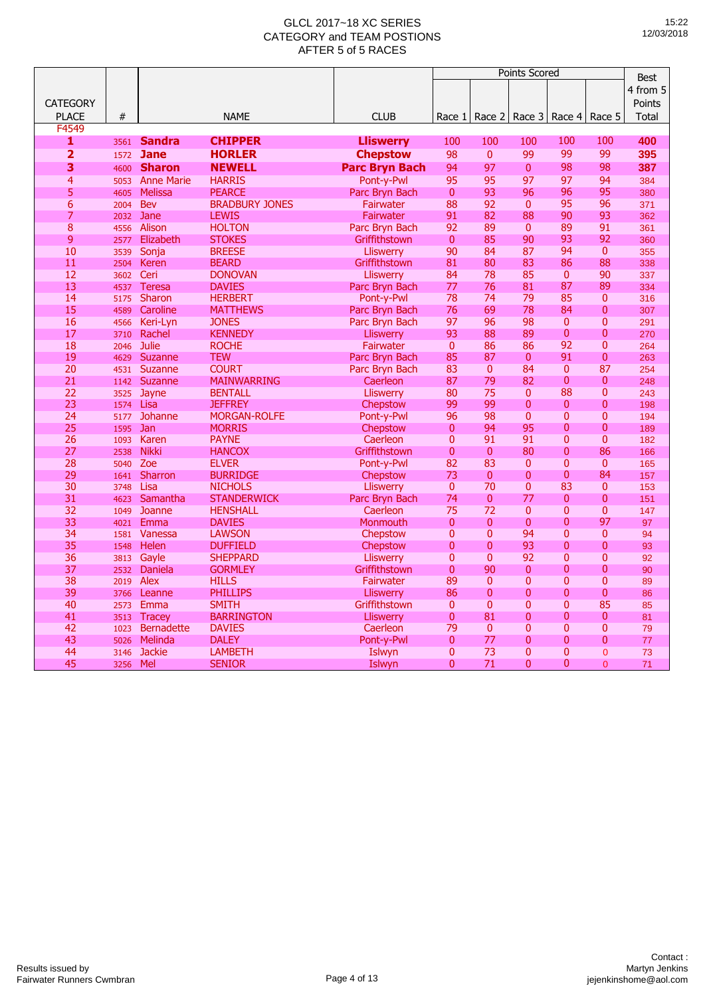|                         |              |                   |                               |                        |                              |                | <b>Points Scored</b> |                                  |                                | <b>Best</b> |
|-------------------------|--------------|-------------------|-------------------------------|------------------------|------------------------------|----------------|----------------------|----------------------------------|--------------------------------|-------------|
|                         |              |                   |                               |                        |                              |                |                      |                                  |                                |             |
|                         |              |                   |                               |                        |                              |                |                      |                                  |                                | 4 from 5    |
| <b>CATEGORY</b>         |              |                   |                               |                        |                              |                |                      |                                  |                                | Points      |
| <b>PLACE</b>            | $\#$         |                   | <b>NAME</b>                   | <b>CLUB</b>            | Race 1                       | Race 2         | Race 3               | Race 4                           | Race 5                         | Total       |
| F4549                   |              |                   |                               |                        |                              |                |                      |                                  |                                |             |
| 1                       | 3561         | <b>Sandra</b>     | <b>CHIPPER</b>                | Lliswerry              | 100                          | 100            | 100                  | 100                              | 100                            | 400         |
| $\overline{\mathbf{2}}$ | 1572         | <b>Jane</b>       | <b>HORLER</b>                 | <b>Chepstow</b>        | 98                           | $\overline{0}$ | 99                   | 99                               | 99                             | 395         |
| 3                       | 4600         | <b>Sharon</b>     | <b>NEWELL</b>                 | <b>Parc Bryn Bach</b>  | 94                           | 97             | $\bf{0}$             | 98                               | 98                             | 387         |
| $\overline{4}$          | 5053         | <b>Anne Marie</b> | <b>HARRIS</b>                 | Pont-v-Pwl             | 95                           | 95             | 97                   | 97                               | 94                             | 384         |
| 5                       | 4605         | <b>Melissa</b>    | <b>PEARCE</b>                 | Parc Bryn Bach         | $\mathbf{0}$                 | 93             | 96                   | 96                               | 95                             | 380         |
| $6\overline{6}$         | 2004         | <b>Bev</b>        | <b>BRADBURY JONES</b>         | Fairwater              | 88                           | 92             | $\mathbf{0}$         | 95                               | 96                             | 371         |
| $\overline{7}$          | 2032         | Jane              | <b>LEWIS</b>                  | Fairwater              | 91                           | 82             | 88                   | 90                               | 93                             | 362         |
| $\overline{8}$          | 4556         | Alison            | <b>HOLTON</b>                 | Parc Bryn Bach         | 92                           | 89             | $\mathbf{0}$         | 89                               | 91                             | 361         |
| 9                       | 2577         | Elizabeth         | <b>STOKES</b>                 | Griffithstown          | $\mathbf{0}$                 | 85             | 90                   | 93                               | 92                             | 360         |
| 10                      | 3539         | Sonja             | <b>BREESE</b>                 | <b>Lliswerry</b>       | 90                           | 84             | 87                   | 94                               | $\mathbf{0}$                   | 355         |
| 11                      | 2504         | <b>Keren</b>      | <b>BEARD</b>                  | Griffithstown          | 81                           | 80             | 83                   | 86                               | 88                             | 338         |
| 12                      | 3602         | Ceri              | <b>DONOVAN</b>                | <b>Lliswerry</b>       | 84                           | 78             | 85                   | $\mathbf{0}$                     | 90                             | 337         |
| 13                      | 4537         | <b>Teresa</b>     | <b>DAVIES</b>                 | Parc Bryn Bach         | 77                           | 76             | 81                   | 87                               | 89                             | 334         |
| 14                      | 5175         | Sharon            | <b>HERBERT</b>                | Pont-y-Pwl             | 78                           | 74             | 79                   | 85                               | $\mathbf{0}$                   | 316         |
| 15                      | 4589         | Caroline          | <b>MATTHEWS</b>               | Parc Bryn Bach         | 76                           | 69             | 78                   | 84                               | $\mathbf{0}$                   | 307         |
| 16                      | 4566         | Keri-Lyn          | <b>JONES</b>                  | Parc Bryn Bach         | 97                           | 96             | 98                   | $\mathbf{0}$                     | $\mathbf{0}$                   | 291         |
| 17                      | 3710         | Rachel            | <b>KENNEDY</b>                | <b>Lliswerry</b>       | 93                           | 88             | 89                   | $\overline{0}$                   | $\overline{0}$                 | 270         |
| 18                      | 2046         | <b>Julie</b>      | <b>ROCHE</b>                  | Fairwater              | $\mathbf{0}$                 | 86             | 86                   | 92                               | $\overline{0}$                 | 264         |
| 19                      | 4629         | Suzanne           | <b>TEW</b>                    | Parc Bryn Bach         | 85                           | 87             | $\mathbf{0}$         | 91                               | $\overline{0}$                 | 263         |
| 20                      | 4531         | Suzanne           | <b>COURT</b>                  | Parc Bryn Bach         | 83                           | $\mathbf{0}$   | 84                   | $\Omega$                         | 87                             | 254         |
| 21                      | 1142         | Suzanne           | <b>MAINWARRING</b>            | Caerleon               | 87                           | 79             | 82                   | $\overline{0}$                   | $\mathbf{0}$                   | 248         |
| 22                      | 3525         | Jayne             | <b>BENTALL</b>                | Lliswerry              | 80                           | 75             | $\mathbf{0}$         | 88                               | $\mathbf{0}$<br>$\overline{0}$ | 243         |
| 23                      | 1574         | Lisa              | <b>JEFFREY</b>                | Chepstow               | 99                           | 99             | $\overline{0}$       | $\overline{0}$<br>$\overline{0}$ | $\overline{0}$                 | 198         |
| 24                      | 5177         | Johanne           | <b>MORGAN-ROLFE</b>           | Pont-y-Pwl             | 96                           | 98<br>94       | $\mathbf{0}$         | $\overline{0}$                   | $\Omega$                       | 194         |
| 25<br>26                | 1595         | Jan<br>Karen      | <b>MORRIS</b><br><b>PAYNE</b> | Chepstow<br>Caerleon   | $\mathbf{0}$<br>$\mathbf{0}$ | 91             | 95<br>91             | $\overline{0}$                   | $\mathbf{0}$                   | 189         |
| 27                      | 1093<br>2538 | <b>Nikki</b>      | <b>HANCOX</b>                 | Griffithstown          | $\mathbf{0}$                 | $\mathbf{0}$   | 80                   | $\overline{0}$                   | 86                             | 182<br>166  |
| 28                      | 5040         | Zoe               | <b>ELVER</b>                  |                        | 82                           | 83             | $\mathbf{0}$         | $\overline{0}$                   | $\overline{0}$                 | 165         |
| 29                      | 1641         | Sharron           | <b>BURRIDGE</b>               | Pont-y-Pwl<br>Chepstow | 73                           | $\mathbf{0}$   | $\overline{0}$       | $\overline{0}$                   | 84                             | 157         |
| 30                      | 3748         | Lisa              | <b>NICHOLS</b>                | Lliswerry              | $\mathbf{0}$                 | 70             | $\Omega$             | 83                               | $\Omega$                       | 153         |
| 31                      | 4623         | Samantha          | <b>STANDERWICK</b>            | Parc Bryn Bach         | 74                           | $\mathbf{0}$   | 77                   | 0                                | $\mathbf{0}$                   | 151         |
| 32                      | 1049         | Joanne            | <b>HENSHALL</b>               | Caerleon               | 75                           | 72             | $\mathbf{0}$         | $\overline{0}$                   | $\mathbf{0}$                   | 147         |
| 33                      | 4021         | Emma              | <b>DAVIES</b>                 | Monmouth               | $\mathbf{0}$                 | $\overline{0}$ | $\mathbf{0}$         | $\overline{0}$                   | 97                             | 97          |
| 34                      | 1581         | Vanessa           | <b>LAWSON</b>                 | Chepstow               | $\mathbf{0}$                 | $\overline{0}$ | 94                   | $\overline{0}$                   | $\mathbf{0}$                   | 94          |
| 35                      | 1548         | Helen             | <b>DUFFIELD</b>               | Chepstow               | $\overline{0}$               | $\overline{0}$ | 93                   | $\overline{0}$                   | $\mathbf{0}$                   | 93          |
| 36                      | 3813         | Gayle             | <b>SHEPPARD</b>               | <b>Lliswerry</b>       | $\mathbf{0}$                 | $\overline{0}$ | 92                   | 0                                | $\mathbf{0}$                   | 92          |
| 37                      | 2532         | Daniela           | <b>GORMLEY</b>                | Griffithstown          | $\mathbf{0}$                 | 90             | $\mathbf{0}$         | $\overline{0}$                   | $\overline{0}$                 | 90          |
| 38                      | 2019         | <b>Alex</b>       | <b>HILLS</b>                  | Fairwater              | 89                           | $\mathbf{0}$   | $\overline{0}$       | $\overline{0}$                   | $\overline{0}$                 | 89          |
| 39                      | 3766         | Leanne            | <b>PHILLIPS</b>               | <b>Lliswerry</b>       | 86                           | $\overline{0}$ | $\overline{0}$       | $\overline{0}$                   | $\mathbf{0}$                   | 86          |
| 40                      | 2573         | Emma              | <b>SMITH</b>                  | Griffithstown          | $\mathbf{0}$                 | $\Omega$       | $\Omega$             | $\mathbf{0}$                     | 85                             | 85          |
| 41                      | 3513         | <b>Tracey</b>     | <b>BARRINGTON</b>             | <b>Lliswerry</b>       | $\mathbf{0}$                 | 81             | $\overline{0}$       | 0                                | $\mathbf{0}$                   | 81          |
| 42                      | 1023         | <b>Bernadette</b> | <b>DAVIES</b>                 | Caerleon               | 79                           | $\mathbf{0}$   | $\overline{0}$       | $\overline{0}$                   | $\mathbf{0}$                   | 79          |
| 43                      | 5026         | Melinda           | <b>DALEY</b>                  | Pont-y-Pwl             | $\overline{0}$               | 77             | $\mathbf{0}$         | $\overline{0}$                   | $\overline{0}$                 | 77          |
| 44                      | 3146         | <b>Jackie</b>     | <b>LAMBETH</b>                | Islwyn                 | 0                            | 73             | $\mathbf{0}$         | $\mathbf{0}$                     | $\overline{0}$                 | 73          |
| 45                      | 3256         | Mel               | <b>SENIOR</b>                 | Islwyn                 | $\Omega$                     | 71             | $\Omega$             | $\overline{0}$                   | $\Omega$                       | 71          |
|                         |              |                   |                               |                        |                              |                |                      |                                  |                                |             |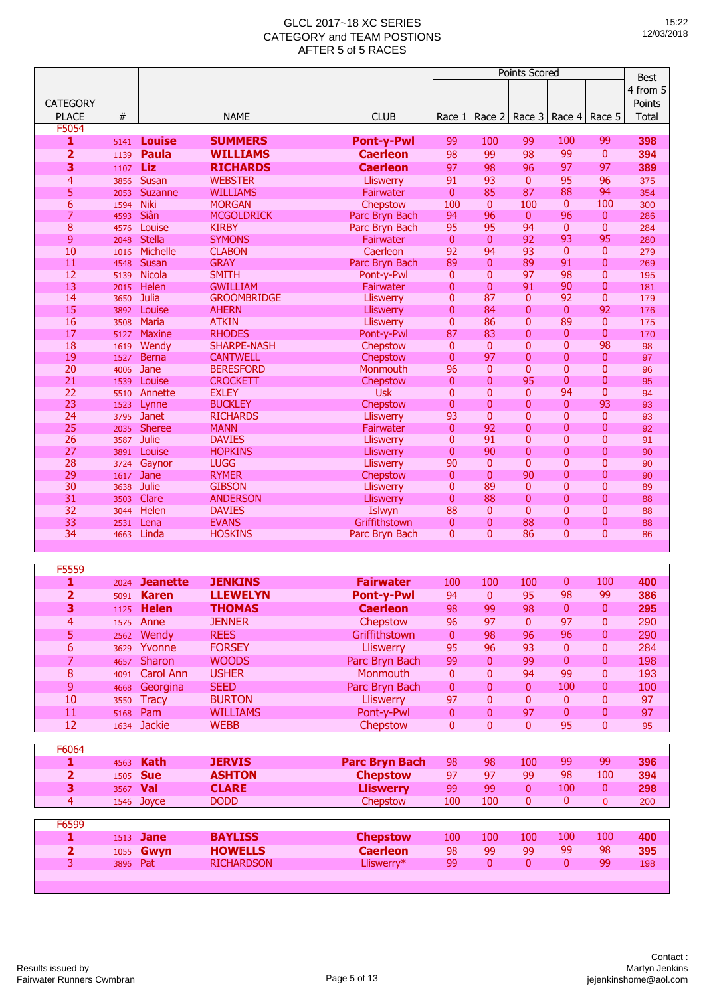|                 |      |               |                    |                   | Points Scored  |                |                |                 |                |                         |
|-----------------|------|---------------|--------------------|-------------------|----------------|----------------|----------------|-----------------|----------------|-------------------------|
|                 |      |               |                    |                   |                |                |                |                 |                | <b>Best</b><br>4 from 5 |
| <b>CATEGORY</b> |      |               |                    |                   |                |                |                |                 |                | Points                  |
| <b>PLACE</b>    | $\#$ |               | <b>NAME</b>        | <b>CLUB</b>       | Race 1         | Race 2         |                | Race 3   Race 4 | Race 5         | Total                   |
| F5054           |      |               |                    |                   |                |                |                |                 |                |                         |
| 1               | 5141 | <b>Louise</b> | <b>SUMMERS</b>     | <b>Pont-y-Pwl</b> | 99             | 100            | 99             | 100             | 99             | 398                     |
| $\overline{2}$  | 1139 | <b>Paula</b>  | <b>WILLIAMS</b>    | <b>Caerleon</b>   | 98             | 99             | 98             | 99              | $\mathbf{0}$   | 394                     |
| 3               | 1107 | Liz           | <b>RICHARDS</b>    | <b>Caerleon</b>   | 97             | 98             | 96             | 97              | 97             | 389                     |
| $\overline{4}$  | 3856 | Susan         | <b>WEBSTER</b>     | Lliswerry         | 91             | 93             | $\overline{0}$ | 95              | 96             | 375                     |
| 5               | 2053 | Suzanne       | <b>WILLIAMS</b>    | Fairwater         | $\mathbf{0}$   | 85             | 87             | 88              | 94             | 354                     |
| $6\overline{6}$ | 1594 | <b>Niki</b>   | <b>MORGAN</b>      | Chepstow          | 100            | $\mathbf{0}$   | 100            | $\mathbf{0}$    | 100            | 300                     |
| 7               | 4593 | Siân          | <b>MCGOLDRICK</b>  | Parc Bryn Bach    | 94             | 96             | $\mathbf{0}$   | 96              | $\mathbf{0}$   | 286                     |
| $\overline{8}$  | 4576 | Louise        | <b>KIRBY</b>       | Parc Bryn Bach    | 95             | 95             | 94             | $\mathbf{0}$    | $\mathbf{0}$   | 284                     |
| 9               | 2048 | <b>Stella</b> | <b>SYMONS</b>      | Fairwater         | $\overline{0}$ | $\overline{0}$ | 92             | 93              | 95             | 280                     |
| 10              | 1016 | Michelle      | <b>CLABON</b>      | Caerleon          | 92             | 94             | 93             | $\overline{0}$  | $\mathbf{0}$   | 279                     |
| 11              | 4548 | Susan         | <b>GRAY</b>        | Parc Bryn Bach    | 89             | $\overline{0}$ | 89             | 91              | $\overline{0}$ | 269                     |
| 12              | 5139 | Nicola        | <b>SMITH</b>       | Pont-y-Pwl        | $\mathbf{0}$   | $\mathbf{0}$   | 97             | 98              | 0              | 195                     |
| 13              | 2015 | Helen         | <b>GWILLIAM</b>    | Fairwater         | 0              | $\overline{0}$ | 91             | 90              | 0              | 181                     |
| 14              | 3650 | Julia         | <b>GROOMBRIDGE</b> | <b>Lliswerry</b>  | $\mathbf{0}$   | 87             | 0              | 92              | $\overline{0}$ | 179                     |
| 15              | 3892 | Louise        | <b>AHERN</b>       | Lliswerry         | $\Omega$       | 84             | $\mathbf{0}$   | $\overline{0}$  | 92             | 176                     |
| 16              | 3508 | <b>Maria</b>  | <b>ATKIN</b>       | <b>Lliswerry</b>  | $\mathbf{0}$   | 86             | 0              | 89              | $\mathbf{0}$   | 175                     |
| 17              | 5127 | <b>Maxine</b> | <b>RHODES</b>      | Pont-y-Pwl        | 87             | 83             | $\overline{0}$ | 0               | $\overline{0}$ | 170                     |
| 18              | 1619 | Wendy         | <b>SHARPE-NASH</b> | Chepstow          | $\mathbf{0}$   | $\mathbf{0}$   | $\mathbf{0}$   | $\overline{0}$  | 98             | 98                      |
| 19              | 1527 | <b>Berna</b>  | <b>CANTWELL</b>    | Chepstow          | $\mathbf{0}$   | 97             | 0              | 0               | $\mathbf{0}$   | 97                      |
| 20              | 4006 | Jane          | <b>BERESFORD</b>   | Monmouth          | 96             | $\overline{0}$ | $\overline{0}$ | $\overline{0}$  | $\overline{0}$ | 96                      |
| 21              | 1539 | Louise        | <b>CROCKETT</b>    | Chepstow          | $\mathbf{0}$   | $\overline{0}$ | 95             | $\overline{0}$  | $\Omega$       | 95                      |
| 22              | 5510 | Annette       | <b>EXLEY</b>       | <b>Usk</b>        | $\overline{0}$ | $\overline{0}$ | $\overline{0}$ | 94              | $\overline{0}$ | 94                      |
| 23              | 1523 | Lynne         | <b>BUCKLEY</b>     | Chepstow          | 0              | $\overline{0}$ | $\mathbf{0}$   | $\overline{0}$  | 93             | 93                      |
| 24              | 3795 | <b>Janet</b>  | <b>RICHARDS</b>    | <b>Lliswerry</b>  | 93             | $\overline{0}$ | 0              | 0               | $\mathbf{0}$   | 93                      |
| 25              | 2035 | <b>Sheree</b> | <b>MANN</b>        | Fairwater         | $\mathbf{0}$   | 92             | 0              | $\overline{0}$  | $\overline{0}$ | 92                      |
| 26              | 3587 | Julie         | <b>DAVIES</b>      | Lliswerry         | $\overline{0}$ | 91             | $\overline{0}$ | 0               | $\Omega$       | 91                      |
| 27              | 3891 | Louise        | <b>HOPKINS</b>     | Lliswerry         | 0              | 90             | 0              | $\overline{0}$  | $\overline{0}$ | 90                      |
| 28              | 3724 | Gaynor        | <b>LUGG</b>        | Lliswerry         | 90             | $\mathbf{0}$   | $\overline{0}$ | $\overline{0}$  | $\overline{0}$ | 90                      |
| 29              | 1617 | Jane          | <b>RYMER</b>       | Chepstow          | $\mathbf{0}$   | $\overline{0}$ | 90             | 0               | 0              | 90                      |
| 30              | 3638 | <b>Julie</b>  | <b>GIBSON</b>      | Lliswerry         | $\mathbf{0}$   | 89             | 0              | 0               | $\overline{0}$ | 89                      |
| 31              | 3503 | Clare         | <b>ANDERSON</b>    | Lliswerry         | $\mathbf{0}$   | 88             | 0              | $\overline{0}$  | $\overline{0}$ | 88                      |
| 32              | 3044 | Helen         | <b>DAVIES</b>      | Islwyn            | 88             | $\mathbf{0}$   | $\mathbf{0}$   | $\overline{0}$  | $\overline{0}$ | 88                      |
| 33              | 2531 | Lena          | <b>EVANS</b>       | Griffithstown     | $\mathbf{0}$   | $\overline{0}$ | 88             | $\overline{0}$  | 0              | 88                      |
| 34              | 4663 | Linda         | <b>HOSKINS</b>     | Parc Bryn Bach    | $\mathbf{0}$   | $\overline{0}$ | 86             | $\overline{0}$  | 0              | 86                      |
|                 |      |               |                    |                   |                |                |                |                 |                |                         |

| F5559          |      |                 |                   |                       |          |                |                |              |          |     |
|----------------|------|-----------------|-------------------|-----------------------|----------|----------------|----------------|--------------|----------|-----|
| 1              | 2024 | <b>Jeanette</b> | <b>JENKINS</b>    | <b>Fairwater</b>      | 100      | 100            | 100            | $\mathbf{0}$ | 100      | 400 |
| 2              | 5091 | <b>Karen</b>    | <b>LLEWELYN</b>   | <b>Pont-y-Pwl</b>     | 94       | $\Omega$       | 95             | 98           | 99       | 386 |
| 3              | 1125 | <b>Helen</b>    | <b>THOMAS</b>     | <b>Caerleon</b>       | 98       | 99             | 98             | $\mathbf{0}$ | 0        | 295 |
| $\overline{4}$ | 1575 | Anne            | <b>JENNER</b>     | Chepstow              | 96       | 97             | $\mathbf{0}$   | 97           | 0        | 290 |
| 5              | 2562 | Wendy           | <b>REES</b>       | Griffithstown         | 0        | 98             | 96             | 96           | 0        | 290 |
| 6              | 3629 | Yvonne          | <b>FORSEY</b>     | <b>Lliswerry</b>      | 95       | 96             | 93             | $\mathbf{0}$ | 0        | 284 |
| 7              | 4657 | <b>Sharon</b>   | <b>WOODS</b>      | Parc Bryn Bach        | 99       | $\mathbf{0}$   | 99             | $\mathbf{0}$ | 0        | 198 |
| 8              | 4091 | Carol Ann       | <b>USHER</b>      | <b>Monmouth</b>       | $\Omega$ | $\Omega$       | 94             | 99           | 0        | 193 |
| 9              | 4668 | Georgina        | <b>SEED</b>       | Parc Bryn Bach        | $\Omega$ | $\mathbf{0}$   | $\mathbf{0}$   | 100          | 0        | 100 |
| 10             | 3550 | <b>Tracy</b>    | <b>BURTON</b>     | <b>Lliswerry</b>      | 97       | $\overline{0}$ | $\mathbf{0}$   | $\mathbf{0}$ | 0        | 97  |
| 11             | 5168 | Pam             | <b>WILLIAMS</b>   | Pont-y-Pwl            | 0        | $\Omega$       | 97             | $\mathbf{0}$ | 0        | 97  |
| 12             | 1634 | <b>Jackie</b>   | <b>WEBB</b>       | Chepstow              | 0        | $\Omega$       | $\overline{0}$ | 95           | 0        | 95  |
|                |      |                 |                   |                       |          |                |                |              |          |     |
| F6064          |      |                 |                   |                       |          |                |                |              |          |     |
| 1              | 4563 | <b>Kath</b>     | <b>JERVIS</b>     | <b>Parc Bryn Bach</b> | 98       | 98             | 100            | 99           | 99       | 396 |
| 2              | 1505 | <b>Sue</b>      | <b>ASHTON</b>     | <b>Chepstow</b>       | 97       | 97             | 99             | 98           | 100      | 394 |
| 3              | 3567 | Val             | <b>CLARE</b>      | <b>Lliswerry</b>      | 99       | 99             | $\mathbf{0}$   | 100          | 0        | 298 |
| 4              | 1546 | Joyce           | <b>DODD</b>       | Chepstow              | 100      | 100            | 0              | $\mathbf{0}$ | $\Omega$ | 200 |
|                |      |                 |                   |                       |          |                |                |              |          |     |
| F6599          |      |                 |                   |                       |          |                |                |              |          |     |
| 1              | 1513 | <b>Jane</b>     | <b>BAYLISS</b>    | <b>Chepstow</b>       | 100      | 100            | 100            | 100          | 100      | 400 |
| 2              | 1055 | Gwyn            | <b>HOWELLS</b>    | <b>Caerleon</b>       | 98       | 99             | 99             | 99           | 98       | 395 |
| 3              | 3896 | Pat             | <b>RICHARDSON</b> | Lliswerry*            | 99       | 0              | 0              | $\mathbf{0}$ | 99       | 198 |
|                |      |                 |                   |                       |          |                |                |              |          |     |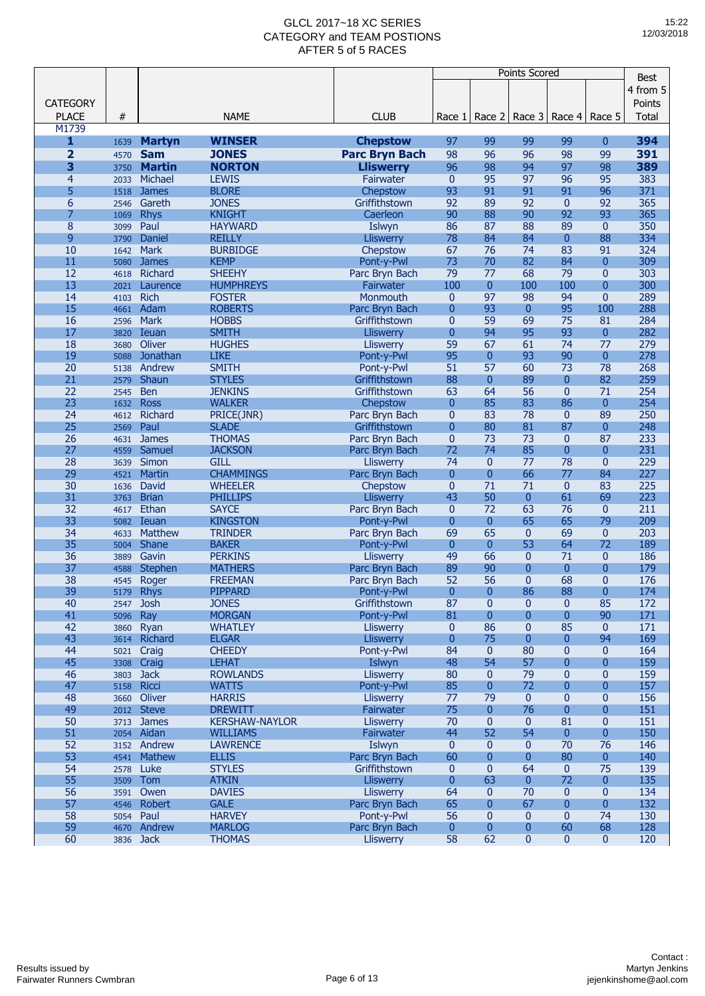|                         |           |               |                       |                                 | Points Scored  |                |                         |                |                | <b>Best</b>  |
|-------------------------|-----------|---------------|-----------------------|---------------------------------|----------------|----------------|-------------------------|----------------|----------------|--------------|
|                         |           |               |                       |                                 |                |                |                         |                |                | 4 from 5     |
|                         |           |               |                       |                                 |                |                |                         |                |                |              |
| <b>CATEGORY</b>         |           |               |                       |                                 |                |                |                         |                |                | Points       |
| <b>PLACE</b>            | #         |               | <b>NAME</b>           | <b>CLUB</b>                     | Race 1         | Race 2         | Race 3                  | Race 4         | Race 5         | <b>Total</b> |
| M1739                   |           |               |                       |                                 |                |                |                         |                |                |              |
| $\mathbf{1}$            | 1639      | <b>Martyn</b> | <b>WINSER</b>         | <b>Chepstow</b>                 | 97             | 99             | 99                      | 99             | 0              | 394          |
| $\overline{\mathbf{2}}$ | 4570      | <b>Sam</b>    | <b>JONES</b>          | <b>Parc Bryn Bach</b>           | 98             | 96             | 96                      | 98             | 99             | 391          |
| 3                       | 3750      | <b>Martin</b> | <b>NORTON</b>         | <b>Lliswerry</b>                | 96             | 98             | 94                      | 97             | 98             | 389          |
| $\overline{4}$          | 2033      | Michael       | <b>LEWIS</b>          | Fairwater                       | $\mathbf{0}$   | 95             | 97                      | 96             | 95             | 383          |
| 5                       | 1518      | <b>James</b>  | <b>BLORE</b>          | Chepstow                        | 93             | 91             | 91                      | 91             | 96             | 371          |
| 6                       | 2546      | Gareth        | <b>JONES</b>          | Griffithstown                   | 92             | 89             | 92                      | $\mathbf{0}$   | 92             | 365          |
| 7                       | 1069      | <b>Rhys</b>   | <b>KNIGHT</b>         | Caerleon                        | 90             | 88             | 90                      | 92             | 93             | 365          |
| 8                       | 3099      | Paul          | <b>HAYWARD</b>        | Islwyn                          | 86             | 87             | 88                      | 89             | $\mathbf{0}$   | 350          |
| 9                       | 3790      | <b>Daniel</b> | <b>REILLY</b>         | Lliswerry                       | 78             | 84             | 84                      | $\mathbf{0}$   | 88             | 334          |
| 10                      | 1642      | <b>Mark</b>   | <b>BURBIDGE</b>       | Chepstow                        | 67             | 76             | 74                      | 83             | 91             | 324          |
| 11                      | 5080      | <b>James</b>  | <b>KEMP</b>           | Pont-y-Pwl                      | 73             | 70             | 82                      | 84             | $\Omega$       | 309          |
| 12                      | 4618      | Richard       | <b>SHEEHY</b>         | Parc Bryn Bach                  | 79             | 77             | 68                      | 79             | $\mathbf{0}$   | 303          |
| 13                      | 2021      | Laurence      | <b>HUMPHREYS</b>      | Fairwater                       | 100            | $\overline{0}$ | 100                     | 100            | $\overline{0}$ | 300          |
| 14                      | 4103      | <b>Rich</b>   | <b>FOSTER</b>         | Monmouth                        | $\mathbf{0}$   | 97             | 98                      | 94             | $\overline{0}$ | 289          |
| 15                      |           | Adam          | <b>ROBERTS</b>        |                                 | $\overline{0}$ | 93             | $\mathbf{0}$            | 95             | 100            | 288          |
| 16                      | 4661      | <b>Mark</b>   | <b>HOBBS</b>          | Parc Bryn Bach<br>Griffithstown | $\overline{0}$ | 59             | 69                      | 75             | 81             | 284          |
|                         | 2596      |               |                       |                                 |                |                |                         |                |                |              |
| 17                      | 3820      | Ieuan         | <b>SMITH</b>          | <b>Lliswerry</b>                | $\overline{0}$ | 94             | 95                      | 93             | $\mathbf{0}$   | 282          |
| 18                      | 3680      | Oliver        | <b>HUGHES</b>         | Lliswerry                       | 59             | 67             | 61                      | 74             | 77             | 279          |
| 19                      | 5088      | Jonathan      | <b>LIKE</b>           | Pont-y-Pwl                      | 95             | $\overline{0}$ | 93                      | 90             | $\overline{0}$ | 278          |
| 20                      | 5138      | Andrew        | <b>SMITH</b>          | Pont-y-Pwl                      | 51             | 57             | 60                      | 73             | 78             | 268          |
| 21                      | 2579      | Shaun         | <b>STYLES</b>         | Griffithstown                   | 88             | $\overline{0}$ | 89                      | $\mathbf{0}$   | 82             | 259          |
| 22                      | 2545      | <b>Ben</b>    | <b>JENKINS</b>        | Griffithstown                   | 63             | 64             | 56                      | $\overline{0}$ | 71             | 254          |
| 23                      | 1632      | <b>Ross</b>   | <b>WALKER</b>         | Chepstow                        | $\mathbf{0}$   | 85             | 83                      | 86             | $\mathbf{0}$   | 254          |
| 24                      | 4612      | Richard       | PRICE(JNR)            | Parc Bryn Bach                  | $\mathbf{0}$   | 83             | 78                      | $\mathbf{0}$   | 89             | 250          |
| 25                      | 2569      | Paul          | <b>SLADE</b>          | Griffithstown                   | $\mathbf{0}$   | 80             | 81                      | 87             | $\overline{0}$ | 248          |
| 26                      | 4631      | <b>James</b>  | <b>THOMAS</b>         | Parc Bryn Bach                  | $\mathbf{0}$   | 73             | 73                      | $\mathbf{0}$   | 87             | 233          |
| 27                      | 4559      | Samuel        | <b>JACKSON</b>        | Parc Bryn Bach                  | 72             | 74             | 85                      | $\mathbf{0}$   | $\overline{0}$ | 231          |
| 28                      | 3639      | Simon         | <b>GILL</b>           | <b>Lliswerry</b>                | 74             | $\mathbf{0}$   | 77                      | 78             | $\mathbf{0}$   | 229          |
| 29                      | 4521      | Martin        | <b>CHAMMINGS</b>      | Parc Bryn Bach                  | $\overline{0}$ | $\overline{0}$ | 66                      | 77             | 84             | 227          |
| 30                      | 1636      | David         | <b>WHEELER</b>        | Chepstow                        | $\pmb{0}$      | 71             | 71                      | $\mathbf{0}$   | 83             | 225          |
| 31                      | 3763      | <b>Brian</b>  | <b>PHILLIPS</b>       | <b>Lliswerry</b>                | 43             | 50             | 0                       | 61             | 69             | 223          |
| 32                      | 4617      | Ethan         | <b>SAYCE</b>          | Parc Bryn Bach                  | $\mathbf{0}$   | 72             | 63                      | 76             | $\mathbf{0}$   | 211          |
| 33                      | 5082      | Ieuan         | <b>KINGSTON</b>       | Pont-y-Pwl                      | $\overline{0}$ | $\overline{0}$ | 65                      | 65             | 79             | 209          |
| 34                      | 4633      | Matthew       | <b>TRINDER</b>        | Parc Bryn Bach                  | 69             | 65             | $\bf{0}$                | 69             | $\mathbf{0}$   | 203          |
| 35                      | 5004      | Shane         | <b>BAKER</b>          | Pont-y-Pwl                      | $\mathbf{0}$   | $\mathbf{0}$   | 53                      | 64             | 72             | 189          |
| 36                      | 3889      | Gavin         | <b>PERKINS</b>        | <b>Lliswerry</b>                | 49             | 66             | $\bf{0}$                | 71             | $\mathbf{0}$   | 186          |
| 37                      | 4588      | Stephen       | <b>MATHERS</b>        | Parc Bryn Bach                  | 89             | 90             | $\mathbf{0}$            | $\overline{0}$ | $\overline{0}$ | 179          |
| 38                      | 4545      | Roger         | <b>FREEMAN</b>        | Parc Bryn Bach                  | 52             | 56             | 0                       | 68             | 0              | 176          |
| 39                      | 5179      | <b>Rhys</b>   | <b>PIPPARD</b>        | Pont-y-Pwl                      | $\mathbf{0}$   | $\overline{0}$ | 86                      | 88             | $\overline{0}$ | 174          |
| 40                      | 2547      | <b>Josh</b>   | <b>JONES</b>          | Griffithstown                   | 87             | $\mathbf{0}$   | $\bf{0}$                | $\mathbf{0}$   | 85             | 172          |
| 41                      | 5096      | Ray           | <b>MORGAN</b>         | Pont-y-Pwl                      | 81             | $\mathbf{0}$   | $\mathbf{0}$            | $\mathbf{0}$   | 90             | 171          |
| 42                      | 3860      | Ryan          | <b>WHATLEY</b>        | <b>Lliswerry</b>                | $\mathbf{0}$   | 86             | $\pmb{0}$               | 85             | $\mathbf{0}$   | 171          |
| 43                      | 3614      | Richard       | <b>ELGAR</b>          | <b>Lliswerry</b>                | $\overline{0}$ | 75             | $\mathbf{0}$            | $\mathbf{0}$   | 94             | 169          |
| 44                      |           | 5021 Craig    | <b>CHEEDY</b>         | Pont-y-Pwl                      | 84             | $\mathbf{0}$   | 80                      | $\mathbf{0}$   | $\mathbf{0}$   | 164          |
| 45                      |           | 3308 Craig    | <b>LEHAT</b>          | Islwyn                          | 48             | 54             | 57                      | $\mathbf{0}$   | $\mathbf{0}$   | 159          |
| 46                      | 3803      | <b>Jack</b>   | <b>ROWLANDS</b>       | Lliswerry                       | 80             | $\mathbf{0}$   | 79                      | $\mathbf{0}$   | $\mathbf{0}$   | 159          |
| 47                      |           | 5158 Ricci    | <b>WATTS</b>          | Pont-y-Pwl                      | 85             | $\mathbf{0}$   | 72                      | $\mathbf{0}$   | 0              | 157          |
| 48                      |           | 3660 Oliver   | <b>HARRIS</b>         |                                 | 77             | 79             | $\mathbf 0$             | $\mathbf{0}$   | $\mathbf{0}$   | 156          |
| 49                      |           | 2012 Steve    | <b>DREWITT</b>        | Lliswerry<br>Fairwater          | 75             | $\mathbf{0}$   | 76                      | $\mathbf{0}$   | 0              | 151          |
| 50                      |           |               |                       | <b>Lliswerry</b>                |                | $\mathbf{0}$   |                         | 81             | $\mathbf{0}$   |              |
|                         |           | 3713 James    | <b>KERSHAW-NAYLOR</b> |                                 | 70             |                | $\mathbf 0$             |                |                | 151          |
| 51                      |           | 2054 Aidan    | <b>WILLIAMS</b>       | Fairwater                       | 44             | 52             | 54                      | $\overline{0}$ | $\mathbf{0}$   | 150          |
| 52                      |           | 3152 Andrew   | <b>LAWRENCE</b>       | Islwyn                          | $\mathbf{0}$   | $\mathbf{0}$   | $\mathbf{0}$            | 70             | 76             | 146          |
| 53                      | 4541      | Mathew        | <b>ELLIS</b>          | Parc Bryn Bach                  | 60             | $\overline{0}$ | $\mathbf{0}$            | 80             | $\mathbf{0}$   | 140          |
| 54                      |           | 2578 Luke     | <b>STYLES</b>         | Griffithstown                   | $\mathbf{0}$   | $\mathbf{0}$   | 64                      | $\mathbf{0}$   | 75             | 139          |
| 55                      |           | 3509 Tom      | <b>ATKIN</b>          | <b>Lliswerry</b>                | $\overline{0}$ | 63             | $\mathbf{0}$            | 72             | $\mathbf{0}$   | 135          |
| 56                      |           | 3591 Owen     | <b>DAVIES</b>         | Lliswerry                       | 64             | $\mathbf{0}$   | 70                      | $\mathbf{0}$   | $\mathbf{0}$   | 134          |
| 57                      |           | 4546 Robert   | <b>GALE</b>           | Parc Bryn Bach                  | 65             | $\mathbf{0}$   | 67                      | $\mathbf{0}$   | $\mathbf{0}$   | 132          |
| 58                      | 5054 Paul |               | <b>HARVEY</b>         | Pont-y-Pwl                      | 56             | $\mathbf{0}$   | $\mathbf{0}$            | $\mathbf{0}$   | 74             | 130          |
| 59                      | 4670      | Andrew        | <b>MARLOG</b>         | Parc Bryn Bach                  | $\mathbf{0}$   | $\mathbf{0}$   | $\bf{0}$                | 60             | 68             | 128          |
| 60                      |           | 3836 Jack     | <b>THOMAS</b>         | Lliswerry                       | 58             | 62             | $\overline{\mathbf{0}}$ | $\pmb{0}$      | $\pmb{0}$      | 120          |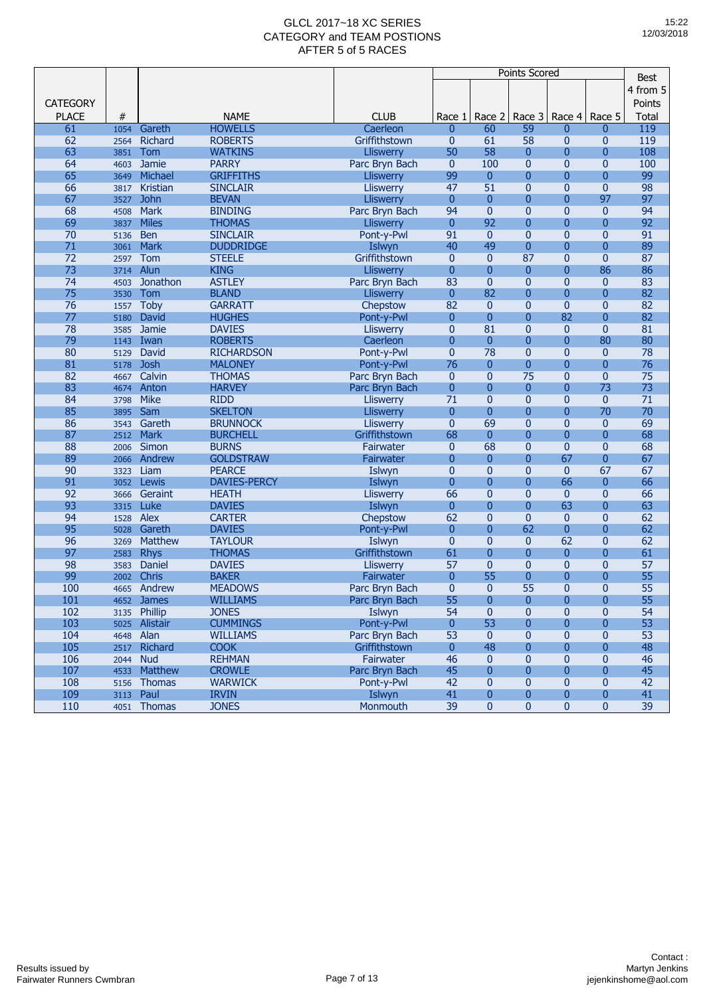| 4 from 5<br><b>CATEGORY</b><br>Points<br><b>PLACE</b><br>#<br><b>NAME</b><br><b>CLUB</b><br>Race 2<br>Race 3<br>Race 4<br>Race 5<br>Total<br>Race 1<br>119<br>61<br>Gareth<br><b>HOWELLS</b><br>59<br>1054<br>Caerleon<br>60<br>0<br>$\mathbf{0}$<br>0<br>62<br>Richard<br><b>ROBERTS</b><br>Griffithstown<br>0<br>61<br>58<br>0<br>$\overline{0}$<br>119<br>2564<br>63<br>50<br>58<br>108<br>Tom<br><b>WATKINS</b><br>$\mathbf{0}$<br>$\overline{0}$<br>$\overline{0}$<br><b>Lliswerry</b><br>3851<br>64<br><b>PARRY</b><br>100<br>100<br>Jamie<br>Parc Bryn Bach<br>$\mathbf{0}$<br>0<br>0<br>$\overline{0}$<br>4603<br>65<br>99<br>$\overline{0}$<br>99<br>Michael<br><b>GRIFFITHS</b><br>$\mathbf{0}$<br>$\overline{0}$<br>$\Omega$<br>Lliswerry<br>3649<br>98<br>66<br>51<br>$\overline{0}$<br>$\mathbf{0}$<br>Kristian<br><b>SINCLAIR</b><br>47<br>$\mathbf{0}$<br>Lliswerry<br>3817<br>97<br>67<br>$\mathbf{0}$<br>$\overline{0}$<br>$\overline{0}$<br>97<br><b>John</b><br><b>BEVAN</b><br>$\overline{0}$<br><b>Lliswerry</b><br>3527<br>68<br>94<br>$\mathbf{0}$<br>$\overline{0}$<br>94<br><b>Mark</b><br><b>BINDING</b><br>Parc Bryn Bach<br>$\mathbf{0}$<br>$\mathbf{0}$<br>4508<br>92<br>92<br>69<br><b>Miles</b><br>$\mathbf{0}$<br>$\overline{0}$<br>$\overline{0}$<br>$\overline{0}$<br><b>THOMAS</b><br><b>Lliswerry</b><br>3837<br>70<br>91<br>$\mathbf{0}$<br>$\mathbf{0}$<br>$\overline{0}$<br>$\overline{0}$<br>91<br><b>Ben</b><br><b>SINCLAIR</b><br>Pont-y-Pwl<br>5136<br>71<br>89<br><b>Mark</b><br><b>DUDDRIDGE</b><br>40<br>49<br>$\overline{0}$<br>$\overline{0}$<br>$\Omega$<br>Islwyn<br>3061<br>87<br>72<br>Tom<br>$\mathbf{0}$<br>$\overline{0}$<br>87<br>$\mathbf{0}$<br>$\mathbf{0}$<br><b>STEELE</b><br>Griffithstown<br>2597<br>73<br>Alun<br><b>KING</b><br>$\mathbf{0}$<br>$\overline{0}$<br>$\overline{0}$<br>86<br>86<br>$\mathbf{0}$<br>Lliswerry<br>3714<br>74<br>83<br>$\overline{0}$<br>Jonathon<br><b>ASTLEY</b><br>Parc Bryn Bach<br>$\mathbf{0}$<br>$\mathbf{0}$<br>$\mathbf{0}$<br>83<br>4503<br>75<br>82<br>82<br>$\mathbf{0}$<br>$\overline{0}$<br>$\overline{0}$<br>$\overline{0}$<br>Tom<br><b>BLAND</b><br>Lliswerry<br>3530<br>76<br>82<br>$\overline{0}$<br>82<br><b>Toby</b><br><b>GARRATT</b><br>$\mathbf{0}$<br>0<br>$\overline{0}$<br>Chepstow<br>1557<br>82<br>$\Omega$<br>$\Omega$<br>82<br>77<br><b>HUGHES</b><br>Pont-y-Pwl<br>$\Omega$<br>$\overline{0}$<br>David<br>5180<br>78<br>$\mathbf{0}$<br>81<br>$\overline{0}$<br>$\mathbf{0}$<br>$\mathbf{0}$<br>81<br>Jamie<br><b>DAVIES</b><br><b>Lliswerry</b><br>3585<br>79<br>$\overline{0}$<br>$\overline{0}$<br>$\overline{0}$<br>80<br>80<br><b>ROBERTS</b><br>$\overline{0}$<br>Iwan<br>Caerleon<br>1143<br>78<br>80<br>$\overline{0}$<br>78<br>David<br><b>RICHARDSON</b><br>Pont-y-Pwl<br>$\overline{0}$<br>$\mathbf{0}$<br>$\mathbf{0}$<br>5129<br>81<br>76<br>76<br>$\overline{0}$<br>$\overline{0}$<br>$\overline{0}$<br>$\overline{0}$<br><b>Josh</b><br><b>MALONEY</b><br>Pont-y-Pwl<br>5178<br>82<br>Calvin<br>75<br>$\overline{0}$<br>$\mathbf{0}$<br>75<br><b>THOMAS</b><br>$\mathbf{0}$<br>$\mathbf{0}$<br>Parc Bryn Bach<br>4667<br>73<br>83<br>$\overline{0}$<br>73<br>Anton<br><b>HARVEY</b><br>$\mathbf{0}$<br>$\overline{0}$<br>$\overline{0}$<br>Parc Bryn Bach<br>4674<br>84<br><b>Mike</b><br><b>RIDD</b><br>71<br>$\overline{0}$<br>$\mathbf{0}$<br>$\mathbf{0}$<br>$\mathbf{0}$<br>71<br><b>Lliswerry</b><br>3798<br>70<br>85<br><b>SKELTON</b><br>$\overline{0}$<br>$\overline{0}$<br>$\overline{0}$<br>70<br>Sam<br><b>Lliswerry</b><br>$\mathbf{0}$<br>3895<br>86<br>69<br>$\overline{0}$<br>69<br>Gareth<br><b>BRUNNOCK</b><br>$\overline{0}$<br>$\mathbf{0}$<br>$\mathbf{0}$<br><b>Lliswerry</b><br>3543<br>87<br>68<br><b>Mark</b><br>68<br>$\overline{0}$<br>$\overline{0}$<br>$\overline{0}$<br>$\overline{0}$<br><b>BURCHELL</b><br>Griffithstown<br>2512<br>88<br><b>BURNS</b><br>68<br>$\overline{0}$<br>68<br>Simon<br>$\mathbf{0}$<br>0<br>$\mathbf{0}$<br>Fairwater<br>2006<br>67<br>89<br>$\Omega$<br>$\overline{0}$<br>67<br><b>GOLDSTRAW</b><br>$\overline{0}$<br>$\overline{0}$<br>Andrew<br>Fairwater<br>2066<br>90<br>67<br>67<br>Liam<br><b>PEARCE</b><br>$\mathbf{0}$<br>$\mathbf{0}$<br>0<br>$\mathbf{0}$<br>Islwyn<br>3323<br>66<br>66<br>91<br>$\overline{0}$<br>$\overline{0}$<br>Lewis<br><b>DAVIES-PERCY</b><br>Islwyn<br>$\mathbf{0}$<br>$\overline{0}$<br>3052<br>92<br>66<br>$\overline{0}$<br>$\mathbf{0}$<br>66<br>Geraint<br><b>HEATH</b><br>$\mathbf{0}$<br>$\overline{0}$<br><b>Lliswerry</b><br>3666<br>63<br>93<br>$\overline{0}$<br>$\overline{0}$<br>63<br>$\overline{0}$<br>Luke<br><b>DAVIES</b><br>$\mathbf{0}$<br>Islwyn<br>3315<br>62<br>94<br><b>Alex</b><br><b>CARTER</b><br>$\overline{0}$<br>62<br>Chepstow<br>$\mathbf{0}$<br>0<br>$\mathbf{0}$<br>1528<br>95<br>62<br>$\overline{0}$<br>62<br>Gareth<br><b>DAVIES</b><br>$\overline{0}$<br>$\overline{0}$<br>$\overline{0}$<br>Pont-y-Pwl<br>5028<br>$\mathbf{0}$<br>62<br>62<br>96<br>Matthew<br><b>TAYLOUR</b><br>$\mathbf{0}$<br>$\mathbf{0}$<br>$\mathbf{0}$<br>Islwyn<br>3269<br>97<br>Griffithstown<br>61<br>$\overline{0}$<br>$\overline{0}$<br>61<br><b>Rhys</b><br><b>THOMAS</b><br>$\overline{0}$<br>$\mathbf{0}$<br>2583<br>98<br>57<br>$\mathbf{0}$<br>$\overline{0}$<br>$\mathbf{0}$<br>57<br>Daniel<br><b>DAVIES</b><br>$\overline{0}$<br>3583<br>Lliswerry<br>99<br>55<br>$\overline{0}$<br>55<br><b>Chris</b><br><b>BAKER</b><br>$\mathbf{0}$<br>$\mathbf{0}$<br>$\overline{0}$<br>Fairwater<br>2002<br>55<br>$\overline{0}$<br>100<br><b>MEADOWS</b><br>$\mathbf{0}$<br>$\mathbf{0}$<br>$\overline{0}$<br>55<br>Andrew<br>Parc Bryn Bach<br>4665<br><u> 101</u><br>4652 James<br>WILLIAMS<br>Parc Bryn Bach<br>55<br>0<br>0<br>0<br>0<br>55<br>102<br>3135 Phillip<br>54<br>$\mathbf{0}$<br>$\mathbf{0}$<br>$\mathbf{0}$<br>54<br><b>JONES</b><br>Islwyn<br>$\mathbf 0$<br>103<br>Pont-y-Pwl<br>$\pmb{0}$<br>53<br>$\overline{0}$<br>$\overline{0}$<br>53<br>5025 Alistair<br><b>CUMMINGS</b><br>0<br>53<br>53<br>104<br>4648 Alan<br>Parc Bryn Bach<br>$\mathbf{0}$<br>$\bf{0}$<br>$\mathbf{0}$<br>$\mathbf{0}$<br><b>WILLIAMS</b><br>$\overline{0}$<br>48<br>$\overline{0}$<br>$\overline{0}$<br>48<br>105<br>2517 Richard<br><b>COOK</b><br>Griffithstown<br>0<br><b>REHMAN</b><br>46<br>$\pmb{0}$<br>$\pmb{0}$<br>46<br>106<br>2044 Nud<br>Fairwater<br>$\mathbf{0}$<br>0<br>45<br>107<br>Matthew<br><b>CROWLE</b><br>Parc Bryn Bach<br>45<br>$\mathbf{0}$<br>0<br>0<br>0<br>4533<br>Pont-y-Pwl<br>42<br>108<br>5156 Thomas<br><b>WARWICK</b><br>42<br>$\mathbf{0}$<br>0<br>$\bf{0}$<br>$\mathbf{0}$<br>41<br>$\bf{0}$<br>109<br>Paul<br><b>IRVIN</b><br>Islwyn<br>$\mathbf{0}$<br>0<br>0<br>41<br>3113<br>39<br>$\pmb{0}$<br>39<br>110<br>4051 Thomas<br><b>JONES</b><br>Monmouth<br>$\mathbf{0}$<br>0<br>0 |  |  |  | Points Scored |  | <b>Best</b> |
|------------------------------------------------------------------------------------------------------------------------------------------------------------------------------------------------------------------------------------------------------------------------------------------------------------------------------------------------------------------------------------------------------------------------------------------------------------------------------------------------------------------------------------------------------------------------------------------------------------------------------------------------------------------------------------------------------------------------------------------------------------------------------------------------------------------------------------------------------------------------------------------------------------------------------------------------------------------------------------------------------------------------------------------------------------------------------------------------------------------------------------------------------------------------------------------------------------------------------------------------------------------------------------------------------------------------------------------------------------------------------------------------------------------------------------------------------------------------------------------------------------------------------------------------------------------------------------------------------------------------------------------------------------------------------------------------------------------------------------------------------------------------------------------------------------------------------------------------------------------------------------------------------------------------------------------------------------------------------------------------------------------------------------------------------------------------------------------------------------------------------------------------------------------------------------------------------------------------------------------------------------------------------------------------------------------------------------------------------------------------------------------------------------------------------------------------------------------------------------------------------------------------------------------------------------------------------------------------------------------------------------------------------------------------------------------------------------------------------------------------------------------------------------------------------------------------------------------------------------------------------------------------------------------------------------------------------------------------------------------------------------------------------------------------------------------------------------------------------------------------------------------------------------------------------------------------------------------------------------------------------------------------------------------------------------------------------------------------------------------------------------------------------------------------------------------------------------------------------------------------------------------------------------------------------------------------------------------------------------------------------------------------------------------------------------------------------------------------------------------------------------------------------------------------------------------------------------------------------------------------------------------------------------------------------------------------------------------------------------------------------------------------------------------------------------------------------------------------------------------------------------------------------------------------------------------------------------------------------------------------------------------------------------------------------------------------------------------------------------------------------------------------------------------------------------------------------------------------------------------------------------------------------------------------------------------------------------------------------------------------------------------------------------------------------------------------------------------------------------------------------------------------------------------------------------------------------------------------------------------------------------------------------------------------------------------------------------------------------------------------------------------------------------------------------------------------------------------------------------------------------------------------------------------------------------------------------------------------------------------------------------------------------------------------------------------------------------------------------------------------------------------------------------------------------------------------------------------------------------------------------------------------------------------------------------------------------------------------------------------------------------------------------------------------------------------------------------------------------------------------------------------------------------------------------------------------------------------------------------------------------------------------------------------------------------------------------------------------------------------------------------------------------------------------------------------------------------------------------------------------------------------------------------------------------------------------------------------------------------------------------------------------------------------------------------------------------------------------------------------------------------------------------------------------------------------------------------------------------------------------------------------------------------------------------------------------------------------------------------------------------------------------------------------------------------------------------------------------------------------------------------------------------------------------------------------------------------------------------------------------------|--|--|--|---------------|--|-------------|
|                                                                                                                                                                                                                                                                                                                                                                                                                                                                                                                                                                                                                                                                                                                                                                                                                                                                                                                                                                                                                                                                                                                                                                                                                                                                                                                                                                                                                                                                                                                                                                                                                                                                                                                                                                                                                                                                                                                                                                                                                                                                                                                                                                                                                                                                                                                                                                                                                                                                                                                                                                                                                                                                                                                                                                                                                                                                                                                                                                                                                                                                                                                                                                                                                                                                                                                                                                                                                                                                                                                                                                                                                                                                                                                                                                                                                                                                                                                                                                                                                                                                                                                                                                                                                                                                                                                                                                                                                                                                                                                                                                                                                                                                                                                                                                                                                                                                                                                                                                                                                                                                                                                                                                                                                                                                                                                                                                                                                                                                                                                                                                                                                                                                                                                                                                                                                                                                                                                                                                                                                                                                                                                                                                                                                                                                                                                                                                                                                                                                                                                                                                                                                                                                                                                                                                                                                                                                              |  |  |  |               |  |             |
|                                                                                                                                                                                                                                                                                                                                                                                                                                                                                                                                                                                                                                                                                                                                                                                                                                                                                                                                                                                                                                                                                                                                                                                                                                                                                                                                                                                                                                                                                                                                                                                                                                                                                                                                                                                                                                                                                                                                                                                                                                                                                                                                                                                                                                                                                                                                                                                                                                                                                                                                                                                                                                                                                                                                                                                                                                                                                                                                                                                                                                                                                                                                                                                                                                                                                                                                                                                                                                                                                                                                                                                                                                                                                                                                                                                                                                                                                                                                                                                                                                                                                                                                                                                                                                                                                                                                                                                                                                                                                                                                                                                                                                                                                                                                                                                                                                                                                                                                                                                                                                                                                                                                                                                                                                                                                                                                                                                                                                                                                                                                                                                                                                                                                                                                                                                                                                                                                                                                                                                                                                                                                                                                                                                                                                                                                                                                                                                                                                                                                                                                                                                                                                                                                                                                                                                                                                                                              |  |  |  |               |  |             |
|                                                                                                                                                                                                                                                                                                                                                                                                                                                                                                                                                                                                                                                                                                                                                                                                                                                                                                                                                                                                                                                                                                                                                                                                                                                                                                                                                                                                                                                                                                                                                                                                                                                                                                                                                                                                                                                                                                                                                                                                                                                                                                                                                                                                                                                                                                                                                                                                                                                                                                                                                                                                                                                                                                                                                                                                                                                                                                                                                                                                                                                                                                                                                                                                                                                                                                                                                                                                                                                                                                                                                                                                                                                                                                                                                                                                                                                                                                                                                                                                                                                                                                                                                                                                                                                                                                                                                                                                                                                                                                                                                                                                                                                                                                                                                                                                                                                                                                                                                                                                                                                                                                                                                                                                                                                                                                                                                                                                                                                                                                                                                                                                                                                                                                                                                                                                                                                                                                                                                                                                                                                                                                                                                                                                                                                                                                                                                                                                                                                                                                                                                                                                                                                                                                                                                                                                                                                                              |  |  |  |               |  |             |
|                                                                                                                                                                                                                                                                                                                                                                                                                                                                                                                                                                                                                                                                                                                                                                                                                                                                                                                                                                                                                                                                                                                                                                                                                                                                                                                                                                                                                                                                                                                                                                                                                                                                                                                                                                                                                                                                                                                                                                                                                                                                                                                                                                                                                                                                                                                                                                                                                                                                                                                                                                                                                                                                                                                                                                                                                                                                                                                                                                                                                                                                                                                                                                                                                                                                                                                                                                                                                                                                                                                                                                                                                                                                                                                                                                                                                                                                                                                                                                                                                                                                                                                                                                                                                                                                                                                                                                                                                                                                                                                                                                                                                                                                                                                                                                                                                                                                                                                                                                                                                                                                                                                                                                                                                                                                                                                                                                                                                                                                                                                                                                                                                                                                                                                                                                                                                                                                                                                                                                                                                                                                                                                                                                                                                                                                                                                                                                                                                                                                                                                                                                                                                                                                                                                                                                                                                                                                              |  |  |  |               |  |             |
|                                                                                                                                                                                                                                                                                                                                                                                                                                                                                                                                                                                                                                                                                                                                                                                                                                                                                                                                                                                                                                                                                                                                                                                                                                                                                                                                                                                                                                                                                                                                                                                                                                                                                                                                                                                                                                                                                                                                                                                                                                                                                                                                                                                                                                                                                                                                                                                                                                                                                                                                                                                                                                                                                                                                                                                                                                                                                                                                                                                                                                                                                                                                                                                                                                                                                                                                                                                                                                                                                                                                                                                                                                                                                                                                                                                                                                                                                                                                                                                                                                                                                                                                                                                                                                                                                                                                                                                                                                                                                                                                                                                                                                                                                                                                                                                                                                                                                                                                                                                                                                                                                                                                                                                                                                                                                                                                                                                                                                                                                                                                                                                                                                                                                                                                                                                                                                                                                                                                                                                                                                                                                                                                                                                                                                                                                                                                                                                                                                                                                                                                                                                                                                                                                                                                                                                                                                                                              |  |  |  |               |  |             |
|                                                                                                                                                                                                                                                                                                                                                                                                                                                                                                                                                                                                                                                                                                                                                                                                                                                                                                                                                                                                                                                                                                                                                                                                                                                                                                                                                                                                                                                                                                                                                                                                                                                                                                                                                                                                                                                                                                                                                                                                                                                                                                                                                                                                                                                                                                                                                                                                                                                                                                                                                                                                                                                                                                                                                                                                                                                                                                                                                                                                                                                                                                                                                                                                                                                                                                                                                                                                                                                                                                                                                                                                                                                                                                                                                                                                                                                                                                                                                                                                                                                                                                                                                                                                                                                                                                                                                                                                                                                                                                                                                                                                                                                                                                                                                                                                                                                                                                                                                                                                                                                                                                                                                                                                                                                                                                                                                                                                                                                                                                                                                                                                                                                                                                                                                                                                                                                                                                                                                                                                                                                                                                                                                                                                                                                                                                                                                                                                                                                                                                                                                                                                                                                                                                                                                                                                                                                                              |  |  |  |               |  |             |
|                                                                                                                                                                                                                                                                                                                                                                                                                                                                                                                                                                                                                                                                                                                                                                                                                                                                                                                                                                                                                                                                                                                                                                                                                                                                                                                                                                                                                                                                                                                                                                                                                                                                                                                                                                                                                                                                                                                                                                                                                                                                                                                                                                                                                                                                                                                                                                                                                                                                                                                                                                                                                                                                                                                                                                                                                                                                                                                                                                                                                                                                                                                                                                                                                                                                                                                                                                                                                                                                                                                                                                                                                                                                                                                                                                                                                                                                                                                                                                                                                                                                                                                                                                                                                                                                                                                                                                                                                                                                                                                                                                                                                                                                                                                                                                                                                                                                                                                                                                                                                                                                                                                                                                                                                                                                                                                                                                                                                                                                                                                                                                                                                                                                                                                                                                                                                                                                                                                                                                                                                                                                                                                                                                                                                                                                                                                                                                                                                                                                                                                                                                                                                                                                                                                                                                                                                                                                              |  |  |  |               |  |             |
|                                                                                                                                                                                                                                                                                                                                                                                                                                                                                                                                                                                                                                                                                                                                                                                                                                                                                                                                                                                                                                                                                                                                                                                                                                                                                                                                                                                                                                                                                                                                                                                                                                                                                                                                                                                                                                                                                                                                                                                                                                                                                                                                                                                                                                                                                                                                                                                                                                                                                                                                                                                                                                                                                                                                                                                                                                                                                                                                                                                                                                                                                                                                                                                                                                                                                                                                                                                                                                                                                                                                                                                                                                                                                                                                                                                                                                                                                                                                                                                                                                                                                                                                                                                                                                                                                                                                                                                                                                                                                                                                                                                                                                                                                                                                                                                                                                                                                                                                                                                                                                                                                                                                                                                                                                                                                                                                                                                                                                                                                                                                                                                                                                                                                                                                                                                                                                                                                                                                                                                                                                                                                                                                                                                                                                                                                                                                                                                                                                                                                                                                                                                                                                                                                                                                                                                                                                                                              |  |  |  |               |  |             |
|                                                                                                                                                                                                                                                                                                                                                                                                                                                                                                                                                                                                                                                                                                                                                                                                                                                                                                                                                                                                                                                                                                                                                                                                                                                                                                                                                                                                                                                                                                                                                                                                                                                                                                                                                                                                                                                                                                                                                                                                                                                                                                                                                                                                                                                                                                                                                                                                                                                                                                                                                                                                                                                                                                                                                                                                                                                                                                                                                                                                                                                                                                                                                                                                                                                                                                                                                                                                                                                                                                                                                                                                                                                                                                                                                                                                                                                                                                                                                                                                                                                                                                                                                                                                                                                                                                                                                                                                                                                                                                                                                                                                                                                                                                                                                                                                                                                                                                                                                                                                                                                                                                                                                                                                                                                                                                                                                                                                                                                                                                                                                                                                                                                                                                                                                                                                                                                                                                                                                                                                                                                                                                                                                                                                                                                                                                                                                                                                                                                                                                                                                                                                                                                                                                                                                                                                                                                                              |  |  |  |               |  |             |
|                                                                                                                                                                                                                                                                                                                                                                                                                                                                                                                                                                                                                                                                                                                                                                                                                                                                                                                                                                                                                                                                                                                                                                                                                                                                                                                                                                                                                                                                                                                                                                                                                                                                                                                                                                                                                                                                                                                                                                                                                                                                                                                                                                                                                                                                                                                                                                                                                                                                                                                                                                                                                                                                                                                                                                                                                                                                                                                                                                                                                                                                                                                                                                                                                                                                                                                                                                                                                                                                                                                                                                                                                                                                                                                                                                                                                                                                                                                                                                                                                                                                                                                                                                                                                                                                                                                                                                                                                                                                                                                                                                                                                                                                                                                                                                                                                                                                                                                                                                                                                                                                                                                                                                                                                                                                                                                                                                                                                                                                                                                                                                                                                                                                                                                                                                                                                                                                                                                                                                                                                                                                                                                                                                                                                                                                                                                                                                                                                                                                                                                                                                                                                                                                                                                                                                                                                                                                              |  |  |  |               |  |             |
|                                                                                                                                                                                                                                                                                                                                                                                                                                                                                                                                                                                                                                                                                                                                                                                                                                                                                                                                                                                                                                                                                                                                                                                                                                                                                                                                                                                                                                                                                                                                                                                                                                                                                                                                                                                                                                                                                                                                                                                                                                                                                                                                                                                                                                                                                                                                                                                                                                                                                                                                                                                                                                                                                                                                                                                                                                                                                                                                                                                                                                                                                                                                                                                                                                                                                                                                                                                                                                                                                                                                                                                                                                                                                                                                                                                                                                                                                                                                                                                                                                                                                                                                                                                                                                                                                                                                                                                                                                                                                                                                                                                                                                                                                                                                                                                                                                                                                                                                                                                                                                                                                                                                                                                                                                                                                                                                                                                                                                                                                                                                                                                                                                                                                                                                                                                                                                                                                                                                                                                                                                                                                                                                                                                                                                                                                                                                                                                                                                                                                                                                                                                                                                                                                                                                                                                                                                                                              |  |  |  |               |  |             |
|                                                                                                                                                                                                                                                                                                                                                                                                                                                                                                                                                                                                                                                                                                                                                                                                                                                                                                                                                                                                                                                                                                                                                                                                                                                                                                                                                                                                                                                                                                                                                                                                                                                                                                                                                                                                                                                                                                                                                                                                                                                                                                                                                                                                                                                                                                                                                                                                                                                                                                                                                                                                                                                                                                                                                                                                                                                                                                                                                                                                                                                                                                                                                                                                                                                                                                                                                                                                                                                                                                                                                                                                                                                                                                                                                                                                                                                                                                                                                                                                                                                                                                                                                                                                                                                                                                                                                                                                                                                                                                                                                                                                                                                                                                                                                                                                                                                                                                                                                                                                                                                                                                                                                                                                                                                                                                                                                                                                                                                                                                                                                                                                                                                                                                                                                                                                                                                                                                                                                                                                                                                                                                                                                                                                                                                                                                                                                                                                                                                                                                                                                                                                                                                                                                                                                                                                                                                                              |  |  |  |               |  |             |
|                                                                                                                                                                                                                                                                                                                                                                                                                                                                                                                                                                                                                                                                                                                                                                                                                                                                                                                                                                                                                                                                                                                                                                                                                                                                                                                                                                                                                                                                                                                                                                                                                                                                                                                                                                                                                                                                                                                                                                                                                                                                                                                                                                                                                                                                                                                                                                                                                                                                                                                                                                                                                                                                                                                                                                                                                                                                                                                                                                                                                                                                                                                                                                                                                                                                                                                                                                                                                                                                                                                                                                                                                                                                                                                                                                                                                                                                                                                                                                                                                                                                                                                                                                                                                                                                                                                                                                                                                                                                                                                                                                                                                                                                                                                                                                                                                                                                                                                                                                                                                                                                                                                                                                                                                                                                                                                                                                                                                                                                                                                                                                                                                                                                                                                                                                                                                                                                                                                                                                                                                                                                                                                                                                                                                                                                                                                                                                                                                                                                                                                                                                                                                                                                                                                                                                                                                                                                              |  |  |  |               |  |             |
|                                                                                                                                                                                                                                                                                                                                                                                                                                                                                                                                                                                                                                                                                                                                                                                                                                                                                                                                                                                                                                                                                                                                                                                                                                                                                                                                                                                                                                                                                                                                                                                                                                                                                                                                                                                                                                                                                                                                                                                                                                                                                                                                                                                                                                                                                                                                                                                                                                                                                                                                                                                                                                                                                                                                                                                                                                                                                                                                                                                                                                                                                                                                                                                                                                                                                                                                                                                                                                                                                                                                                                                                                                                                                                                                                                                                                                                                                                                                                                                                                                                                                                                                                                                                                                                                                                                                                                                                                                                                                                                                                                                                                                                                                                                                                                                                                                                                                                                                                                                                                                                                                                                                                                                                                                                                                                                                                                                                                                                                                                                                                                                                                                                                                                                                                                                                                                                                                                                                                                                                                                                                                                                                                                                                                                                                                                                                                                                                                                                                                                                                                                                                                                                                                                                                                                                                                                                                              |  |  |  |               |  |             |
|                                                                                                                                                                                                                                                                                                                                                                                                                                                                                                                                                                                                                                                                                                                                                                                                                                                                                                                                                                                                                                                                                                                                                                                                                                                                                                                                                                                                                                                                                                                                                                                                                                                                                                                                                                                                                                                                                                                                                                                                                                                                                                                                                                                                                                                                                                                                                                                                                                                                                                                                                                                                                                                                                                                                                                                                                                                                                                                                                                                                                                                                                                                                                                                                                                                                                                                                                                                                                                                                                                                                                                                                                                                                                                                                                                                                                                                                                                                                                                                                                                                                                                                                                                                                                                                                                                                                                                                                                                                                                                                                                                                                                                                                                                                                                                                                                                                                                                                                                                                                                                                                                                                                                                                                                                                                                                                                                                                                                                                                                                                                                                                                                                                                                                                                                                                                                                                                                                                                                                                                                                                                                                                                                                                                                                                                                                                                                                                                                                                                                                                                                                                                                                                                                                                                                                                                                                                                              |  |  |  |               |  |             |
|                                                                                                                                                                                                                                                                                                                                                                                                                                                                                                                                                                                                                                                                                                                                                                                                                                                                                                                                                                                                                                                                                                                                                                                                                                                                                                                                                                                                                                                                                                                                                                                                                                                                                                                                                                                                                                                                                                                                                                                                                                                                                                                                                                                                                                                                                                                                                                                                                                                                                                                                                                                                                                                                                                                                                                                                                                                                                                                                                                                                                                                                                                                                                                                                                                                                                                                                                                                                                                                                                                                                                                                                                                                                                                                                                                                                                                                                                                                                                                                                                                                                                                                                                                                                                                                                                                                                                                                                                                                                                                                                                                                                                                                                                                                                                                                                                                                                                                                                                                                                                                                                                                                                                                                                                                                                                                                                                                                                                                                                                                                                                                                                                                                                                                                                                                                                                                                                                                                                                                                                                                                                                                                                                                                                                                                                                                                                                                                                                                                                                                                                                                                                                                                                                                                                                                                                                                                                              |  |  |  |               |  |             |
|                                                                                                                                                                                                                                                                                                                                                                                                                                                                                                                                                                                                                                                                                                                                                                                                                                                                                                                                                                                                                                                                                                                                                                                                                                                                                                                                                                                                                                                                                                                                                                                                                                                                                                                                                                                                                                                                                                                                                                                                                                                                                                                                                                                                                                                                                                                                                                                                                                                                                                                                                                                                                                                                                                                                                                                                                                                                                                                                                                                                                                                                                                                                                                                                                                                                                                                                                                                                                                                                                                                                                                                                                                                                                                                                                                                                                                                                                                                                                                                                                                                                                                                                                                                                                                                                                                                                                                                                                                                                                                                                                                                                                                                                                                                                                                                                                                                                                                                                                                                                                                                                                                                                                                                                                                                                                                                                                                                                                                                                                                                                                                                                                                                                                                                                                                                                                                                                                                                                                                                                                                                                                                                                                                                                                                                                                                                                                                                                                                                                                                                                                                                                                                                                                                                                                                                                                                                                              |  |  |  |               |  |             |
|                                                                                                                                                                                                                                                                                                                                                                                                                                                                                                                                                                                                                                                                                                                                                                                                                                                                                                                                                                                                                                                                                                                                                                                                                                                                                                                                                                                                                                                                                                                                                                                                                                                                                                                                                                                                                                                                                                                                                                                                                                                                                                                                                                                                                                                                                                                                                                                                                                                                                                                                                                                                                                                                                                                                                                                                                                                                                                                                                                                                                                                                                                                                                                                                                                                                                                                                                                                                                                                                                                                                                                                                                                                                                                                                                                                                                                                                                                                                                                                                                                                                                                                                                                                                                                                                                                                                                                                                                                                                                                                                                                                                                                                                                                                                                                                                                                                                                                                                                                                                                                                                                                                                                                                                                                                                                                                                                                                                                                                                                                                                                                                                                                                                                                                                                                                                                                                                                                                                                                                                                                                                                                                                                                                                                                                                                                                                                                                                                                                                                                                                                                                                                                                                                                                                                                                                                                                                              |  |  |  |               |  |             |
|                                                                                                                                                                                                                                                                                                                                                                                                                                                                                                                                                                                                                                                                                                                                                                                                                                                                                                                                                                                                                                                                                                                                                                                                                                                                                                                                                                                                                                                                                                                                                                                                                                                                                                                                                                                                                                                                                                                                                                                                                                                                                                                                                                                                                                                                                                                                                                                                                                                                                                                                                                                                                                                                                                                                                                                                                                                                                                                                                                                                                                                                                                                                                                                                                                                                                                                                                                                                                                                                                                                                                                                                                                                                                                                                                                                                                                                                                                                                                                                                                                                                                                                                                                                                                                                                                                                                                                                                                                                                                                                                                                                                                                                                                                                                                                                                                                                                                                                                                                                                                                                                                                                                                                                                                                                                                                                                                                                                                                                                                                                                                                                                                                                                                                                                                                                                                                                                                                                                                                                                                                                                                                                                                                                                                                                                                                                                                                                                                                                                                                                                                                                                                                                                                                                                                                                                                                                                              |  |  |  |               |  |             |
|                                                                                                                                                                                                                                                                                                                                                                                                                                                                                                                                                                                                                                                                                                                                                                                                                                                                                                                                                                                                                                                                                                                                                                                                                                                                                                                                                                                                                                                                                                                                                                                                                                                                                                                                                                                                                                                                                                                                                                                                                                                                                                                                                                                                                                                                                                                                                                                                                                                                                                                                                                                                                                                                                                                                                                                                                                                                                                                                                                                                                                                                                                                                                                                                                                                                                                                                                                                                                                                                                                                                                                                                                                                                                                                                                                                                                                                                                                                                                                                                                                                                                                                                                                                                                                                                                                                                                                                                                                                                                                                                                                                                                                                                                                                                                                                                                                                                                                                                                                                                                                                                                                                                                                                                                                                                                                                                                                                                                                                                                                                                                                                                                                                                                                                                                                                                                                                                                                                                                                                                                                                                                                                                                                                                                                                                                                                                                                                                                                                                                                                                                                                                                                                                                                                                                                                                                                                                              |  |  |  |               |  |             |
|                                                                                                                                                                                                                                                                                                                                                                                                                                                                                                                                                                                                                                                                                                                                                                                                                                                                                                                                                                                                                                                                                                                                                                                                                                                                                                                                                                                                                                                                                                                                                                                                                                                                                                                                                                                                                                                                                                                                                                                                                                                                                                                                                                                                                                                                                                                                                                                                                                                                                                                                                                                                                                                                                                                                                                                                                                                                                                                                                                                                                                                                                                                                                                                                                                                                                                                                                                                                                                                                                                                                                                                                                                                                                                                                                                                                                                                                                                                                                                                                                                                                                                                                                                                                                                                                                                                                                                                                                                                                                                                                                                                                                                                                                                                                                                                                                                                                                                                                                                                                                                                                                                                                                                                                                                                                                                                                                                                                                                                                                                                                                                                                                                                                                                                                                                                                                                                                                                                                                                                                                                                                                                                                                                                                                                                                                                                                                                                                                                                                                                                                                                                                                                                                                                                                                                                                                                                                              |  |  |  |               |  |             |
|                                                                                                                                                                                                                                                                                                                                                                                                                                                                                                                                                                                                                                                                                                                                                                                                                                                                                                                                                                                                                                                                                                                                                                                                                                                                                                                                                                                                                                                                                                                                                                                                                                                                                                                                                                                                                                                                                                                                                                                                                                                                                                                                                                                                                                                                                                                                                                                                                                                                                                                                                                                                                                                                                                                                                                                                                                                                                                                                                                                                                                                                                                                                                                                                                                                                                                                                                                                                                                                                                                                                                                                                                                                                                                                                                                                                                                                                                                                                                                                                                                                                                                                                                                                                                                                                                                                                                                                                                                                                                                                                                                                                                                                                                                                                                                                                                                                                                                                                                                                                                                                                                                                                                                                                                                                                                                                                                                                                                                                                                                                                                                                                                                                                                                                                                                                                                                                                                                                                                                                                                                                                                                                                                                                                                                                                                                                                                                                                                                                                                                                                                                                                                                                                                                                                                                                                                                                                              |  |  |  |               |  |             |
|                                                                                                                                                                                                                                                                                                                                                                                                                                                                                                                                                                                                                                                                                                                                                                                                                                                                                                                                                                                                                                                                                                                                                                                                                                                                                                                                                                                                                                                                                                                                                                                                                                                                                                                                                                                                                                                                                                                                                                                                                                                                                                                                                                                                                                                                                                                                                                                                                                                                                                                                                                                                                                                                                                                                                                                                                                                                                                                                                                                                                                                                                                                                                                                                                                                                                                                                                                                                                                                                                                                                                                                                                                                                                                                                                                                                                                                                                                                                                                                                                                                                                                                                                                                                                                                                                                                                                                                                                                                                                                                                                                                                                                                                                                                                                                                                                                                                                                                                                                                                                                                                                                                                                                                                                                                                                                                                                                                                                                                                                                                                                                                                                                                                                                                                                                                                                                                                                                                                                                                                                                                                                                                                                                                                                                                                                                                                                                                                                                                                                                                                                                                                                                                                                                                                                                                                                                                                              |  |  |  |               |  |             |
|                                                                                                                                                                                                                                                                                                                                                                                                                                                                                                                                                                                                                                                                                                                                                                                                                                                                                                                                                                                                                                                                                                                                                                                                                                                                                                                                                                                                                                                                                                                                                                                                                                                                                                                                                                                                                                                                                                                                                                                                                                                                                                                                                                                                                                                                                                                                                                                                                                                                                                                                                                                                                                                                                                                                                                                                                                                                                                                                                                                                                                                                                                                                                                                                                                                                                                                                                                                                                                                                                                                                                                                                                                                                                                                                                                                                                                                                                                                                                                                                                                                                                                                                                                                                                                                                                                                                                                                                                                                                                                                                                                                                                                                                                                                                                                                                                                                                                                                                                                                                                                                                                                                                                                                                                                                                                                                                                                                                                                                                                                                                                                                                                                                                                                                                                                                                                                                                                                                                                                                                                                                                                                                                                                                                                                                                                                                                                                                                                                                                                                                                                                                                                                                                                                                                                                                                                                                                              |  |  |  |               |  |             |
|                                                                                                                                                                                                                                                                                                                                                                                                                                                                                                                                                                                                                                                                                                                                                                                                                                                                                                                                                                                                                                                                                                                                                                                                                                                                                                                                                                                                                                                                                                                                                                                                                                                                                                                                                                                                                                                                                                                                                                                                                                                                                                                                                                                                                                                                                                                                                                                                                                                                                                                                                                                                                                                                                                                                                                                                                                                                                                                                                                                                                                                                                                                                                                                                                                                                                                                                                                                                                                                                                                                                                                                                                                                                                                                                                                                                                                                                                                                                                                                                                                                                                                                                                                                                                                                                                                                                                                                                                                                                                                                                                                                                                                                                                                                                                                                                                                                                                                                                                                                                                                                                                                                                                                                                                                                                                                                                                                                                                                                                                                                                                                                                                                                                                                                                                                                                                                                                                                                                                                                                                                                                                                                                                                                                                                                                                                                                                                                                                                                                                                                                                                                                                                                                                                                                                                                                                                                                              |  |  |  |               |  |             |
|                                                                                                                                                                                                                                                                                                                                                                                                                                                                                                                                                                                                                                                                                                                                                                                                                                                                                                                                                                                                                                                                                                                                                                                                                                                                                                                                                                                                                                                                                                                                                                                                                                                                                                                                                                                                                                                                                                                                                                                                                                                                                                                                                                                                                                                                                                                                                                                                                                                                                                                                                                                                                                                                                                                                                                                                                                                                                                                                                                                                                                                                                                                                                                                                                                                                                                                                                                                                                                                                                                                                                                                                                                                                                                                                                                                                                                                                                                                                                                                                                                                                                                                                                                                                                                                                                                                                                                                                                                                                                                                                                                                                                                                                                                                                                                                                                                                                                                                                                                                                                                                                                                                                                                                                                                                                                                                                                                                                                                                                                                                                                                                                                                                                                                                                                                                                                                                                                                                                                                                                                                                                                                                                                                                                                                                                                                                                                                                                                                                                                                                                                                                                                                                                                                                                                                                                                                                                              |  |  |  |               |  |             |
|                                                                                                                                                                                                                                                                                                                                                                                                                                                                                                                                                                                                                                                                                                                                                                                                                                                                                                                                                                                                                                                                                                                                                                                                                                                                                                                                                                                                                                                                                                                                                                                                                                                                                                                                                                                                                                                                                                                                                                                                                                                                                                                                                                                                                                                                                                                                                                                                                                                                                                                                                                                                                                                                                                                                                                                                                                                                                                                                                                                                                                                                                                                                                                                                                                                                                                                                                                                                                                                                                                                                                                                                                                                                                                                                                                                                                                                                                                                                                                                                                                                                                                                                                                                                                                                                                                                                                                                                                                                                                                                                                                                                                                                                                                                                                                                                                                                                                                                                                                                                                                                                                                                                                                                                                                                                                                                                                                                                                                                                                                                                                                                                                                                                                                                                                                                                                                                                                                                                                                                                                                                                                                                                                                                                                                                                                                                                                                                                                                                                                                                                                                                                                                                                                                                                                                                                                                                                              |  |  |  |               |  |             |
|                                                                                                                                                                                                                                                                                                                                                                                                                                                                                                                                                                                                                                                                                                                                                                                                                                                                                                                                                                                                                                                                                                                                                                                                                                                                                                                                                                                                                                                                                                                                                                                                                                                                                                                                                                                                                                                                                                                                                                                                                                                                                                                                                                                                                                                                                                                                                                                                                                                                                                                                                                                                                                                                                                                                                                                                                                                                                                                                                                                                                                                                                                                                                                                                                                                                                                                                                                                                                                                                                                                                                                                                                                                                                                                                                                                                                                                                                                                                                                                                                                                                                                                                                                                                                                                                                                                                                                                                                                                                                                                                                                                                                                                                                                                                                                                                                                                                                                                                                                                                                                                                                                                                                                                                                                                                                                                                                                                                                                                                                                                                                                                                                                                                                                                                                                                                                                                                                                                                                                                                                                                                                                                                                                                                                                                                                                                                                                                                                                                                                                                                                                                                                                                                                                                                                                                                                                                                              |  |  |  |               |  |             |
|                                                                                                                                                                                                                                                                                                                                                                                                                                                                                                                                                                                                                                                                                                                                                                                                                                                                                                                                                                                                                                                                                                                                                                                                                                                                                                                                                                                                                                                                                                                                                                                                                                                                                                                                                                                                                                                                                                                                                                                                                                                                                                                                                                                                                                                                                                                                                                                                                                                                                                                                                                                                                                                                                                                                                                                                                                                                                                                                                                                                                                                                                                                                                                                                                                                                                                                                                                                                                                                                                                                                                                                                                                                                                                                                                                                                                                                                                                                                                                                                                                                                                                                                                                                                                                                                                                                                                                                                                                                                                                                                                                                                                                                                                                                                                                                                                                                                                                                                                                                                                                                                                                                                                                                                                                                                                                                                                                                                                                                                                                                                                                                                                                                                                                                                                                                                                                                                                                                                                                                                                                                                                                                                                                                                                                                                                                                                                                                                                                                                                                                                                                                                                                                                                                                                                                                                                                                                              |  |  |  |               |  |             |
|                                                                                                                                                                                                                                                                                                                                                                                                                                                                                                                                                                                                                                                                                                                                                                                                                                                                                                                                                                                                                                                                                                                                                                                                                                                                                                                                                                                                                                                                                                                                                                                                                                                                                                                                                                                                                                                                                                                                                                                                                                                                                                                                                                                                                                                                                                                                                                                                                                                                                                                                                                                                                                                                                                                                                                                                                                                                                                                                                                                                                                                                                                                                                                                                                                                                                                                                                                                                                                                                                                                                                                                                                                                                                                                                                                                                                                                                                                                                                                                                                                                                                                                                                                                                                                                                                                                                                                                                                                                                                                                                                                                                                                                                                                                                                                                                                                                                                                                                                                                                                                                                                                                                                                                                                                                                                                                                                                                                                                                                                                                                                                                                                                                                                                                                                                                                                                                                                                                                                                                                                                                                                                                                                                                                                                                                                                                                                                                                                                                                                                                                                                                                                                                                                                                                                                                                                                                                              |  |  |  |               |  |             |
|                                                                                                                                                                                                                                                                                                                                                                                                                                                                                                                                                                                                                                                                                                                                                                                                                                                                                                                                                                                                                                                                                                                                                                                                                                                                                                                                                                                                                                                                                                                                                                                                                                                                                                                                                                                                                                                                                                                                                                                                                                                                                                                                                                                                                                                                                                                                                                                                                                                                                                                                                                                                                                                                                                                                                                                                                                                                                                                                                                                                                                                                                                                                                                                                                                                                                                                                                                                                                                                                                                                                                                                                                                                                                                                                                                                                                                                                                                                                                                                                                                                                                                                                                                                                                                                                                                                                                                                                                                                                                                                                                                                                                                                                                                                                                                                                                                                                                                                                                                                                                                                                                                                                                                                                                                                                                                                                                                                                                                                                                                                                                                                                                                                                                                                                                                                                                                                                                                                                                                                                                                                                                                                                                                                                                                                                                                                                                                                                                                                                                                                                                                                                                                                                                                                                                                                                                                                                              |  |  |  |               |  |             |
|                                                                                                                                                                                                                                                                                                                                                                                                                                                                                                                                                                                                                                                                                                                                                                                                                                                                                                                                                                                                                                                                                                                                                                                                                                                                                                                                                                                                                                                                                                                                                                                                                                                                                                                                                                                                                                                                                                                                                                                                                                                                                                                                                                                                                                                                                                                                                                                                                                                                                                                                                                                                                                                                                                                                                                                                                                                                                                                                                                                                                                                                                                                                                                                                                                                                                                                                                                                                                                                                                                                                                                                                                                                                                                                                                                                                                                                                                                                                                                                                                                                                                                                                                                                                                                                                                                                                                                                                                                                                                                                                                                                                                                                                                                                                                                                                                                                                                                                                                                                                                                                                                                                                                                                                                                                                                                                                                                                                                                                                                                                                                                                                                                                                                                                                                                                                                                                                                                                                                                                                                                                                                                                                                                                                                                                                                                                                                                                                                                                                                                                                                                                                                                                                                                                                                                                                                                                                              |  |  |  |               |  |             |
|                                                                                                                                                                                                                                                                                                                                                                                                                                                                                                                                                                                                                                                                                                                                                                                                                                                                                                                                                                                                                                                                                                                                                                                                                                                                                                                                                                                                                                                                                                                                                                                                                                                                                                                                                                                                                                                                                                                                                                                                                                                                                                                                                                                                                                                                                                                                                                                                                                                                                                                                                                                                                                                                                                                                                                                                                                                                                                                                                                                                                                                                                                                                                                                                                                                                                                                                                                                                                                                                                                                                                                                                                                                                                                                                                                                                                                                                                                                                                                                                                                                                                                                                                                                                                                                                                                                                                                                                                                                                                                                                                                                                                                                                                                                                                                                                                                                                                                                                                                                                                                                                                                                                                                                                                                                                                                                                                                                                                                                                                                                                                                                                                                                                                                                                                                                                                                                                                                                                                                                                                                                                                                                                                                                                                                                                                                                                                                                                                                                                                                                                                                                                                                                                                                                                                                                                                                                                              |  |  |  |               |  |             |
|                                                                                                                                                                                                                                                                                                                                                                                                                                                                                                                                                                                                                                                                                                                                                                                                                                                                                                                                                                                                                                                                                                                                                                                                                                                                                                                                                                                                                                                                                                                                                                                                                                                                                                                                                                                                                                                                                                                                                                                                                                                                                                                                                                                                                                                                                                                                                                                                                                                                                                                                                                                                                                                                                                                                                                                                                                                                                                                                                                                                                                                                                                                                                                                                                                                                                                                                                                                                                                                                                                                                                                                                                                                                                                                                                                                                                                                                                                                                                                                                                                                                                                                                                                                                                                                                                                                                                                                                                                                                                                                                                                                                                                                                                                                                                                                                                                                                                                                                                                                                                                                                                                                                                                                                                                                                                                                                                                                                                                                                                                                                                                                                                                                                                                                                                                                                                                                                                                                                                                                                                                                                                                                                                                                                                                                                                                                                                                                                                                                                                                                                                                                                                                                                                                                                                                                                                                                                              |  |  |  |               |  |             |
|                                                                                                                                                                                                                                                                                                                                                                                                                                                                                                                                                                                                                                                                                                                                                                                                                                                                                                                                                                                                                                                                                                                                                                                                                                                                                                                                                                                                                                                                                                                                                                                                                                                                                                                                                                                                                                                                                                                                                                                                                                                                                                                                                                                                                                                                                                                                                                                                                                                                                                                                                                                                                                                                                                                                                                                                                                                                                                                                                                                                                                                                                                                                                                                                                                                                                                                                                                                                                                                                                                                                                                                                                                                                                                                                                                                                                                                                                                                                                                                                                                                                                                                                                                                                                                                                                                                                                                                                                                                                                                                                                                                                                                                                                                                                                                                                                                                                                                                                                                                                                                                                                                                                                                                                                                                                                                                                                                                                                                                                                                                                                                                                                                                                                                                                                                                                                                                                                                                                                                                                                                                                                                                                                                                                                                                                                                                                                                                                                                                                                                                                                                                                                                                                                                                                                                                                                                                                              |  |  |  |               |  |             |
|                                                                                                                                                                                                                                                                                                                                                                                                                                                                                                                                                                                                                                                                                                                                                                                                                                                                                                                                                                                                                                                                                                                                                                                                                                                                                                                                                                                                                                                                                                                                                                                                                                                                                                                                                                                                                                                                                                                                                                                                                                                                                                                                                                                                                                                                                                                                                                                                                                                                                                                                                                                                                                                                                                                                                                                                                                                                                                                                                                                                                                                                                                                                                                                                                                                                                                                                                                                                                                                                                                                                                                                                                                                                                                                                                                                                                                                                                                                                                                                                                                                                                                                                                                                                                                                                                                                                                                                                                                                                                                                                                                                                                                                                                                                                                                                                                                                                                                                                                                                                                                                                                                                                                                                                                                                                                                                                                                                                                                                                                                                                                                                                                                                                                                                                                                                                                                                                                                                                                                                                                                                                                                                                                                                                                                                                                                                                                                                                                                                                                                                                                                                                                                                                                                                                                                                                                                                                              |  |  |  |               |  |             |
|                                                                                                                                                                                                                                                                                                                                                                                                                                                                                                                                                                                                                                                                                                                                                                                                                                                                                                                                                                                                                                                                                                                                                                                                                                                                                                                                                                                                                                                                                                                                                                                                                                                                                                                                                                                                                                                                                                                                                                                                                                                                                                                                                                                                                                                                                                                                                                                                                                                                                                                                                                                                                                                                                                                                                                                                                                                                                                                                                                                                                                                                                                                                                                                                                                                                                                                                                                                                                                                                                                                                                                                                                                                                                                                                                                                                                                                                                                                                                                                                                                                                                                                                                                                                                                                                                                                                                                                                                                                                                                                                                                                                                                                                                                                                                                                                                                                                                                                                                                                                                                                                                                                                                                                                                                                                                                                                                                                                                                                                                                                                                                                                                                                                                                                                                                                                                                                                                                                                                                                                                                                                                                                                                                                                                                                                                                                                                                                                                                                                                                                                                                                                                                                                                                                                                                                                                                                                              |  |  |  |               |  |             |
|                                                                                                                                                                                                                                                                                                                                                                                                                                                                                                                                                                                                                                                                                                                                                                                                                                                                                                                                                                                                                                                                                                                                                                                                                                                                                                                                                                                                                                                                                                                                                                                                                                                                                                                                                                                                                                                                                                                                                                                                                                                                                                                                                                                                                                                                                                                                                                                                                                                                                                                                                                                                                                                                                                                                                                                                                                                                                                                                                                                                                                                                                                                                                                                                                                                                                                                                                                                                                                                                                                                                                                                                                                                                                                                                                                                                                                                                                                                                                                                                                                                                                                                                                                                                                                                                                                                                                                                                                                                                                                                                                                                                                                                                                                                                                                                                                                                                                                                                                                                                                                                                                                                                                                                                                                                                                                                                                                                                                                                                                                                                                                                                                                                                                                                                                                                                                                                                                                                                                                                                                                                                                                                                                                                                                                                                                                                                                                                                                                                                                                                                                                                                                                                                                                                                                                                                                                                                              |  |  |  |               |  |             |
|                                                                                                                                                                                                                                                                                                                                                                                                                                                                                                                                                                                                                                                                                                                                                                                                                                                                                                                                                                                                                                                                                                                                                                                                                                                                                                                                                                                                                                                                                                                                                                                                                                                                                                                                                                                                                                                                                                                                                                                                                                                                                                                                                                                                                                                                                                                                                                                                                                                                                                                                                                                                                                                                                                                                                                                                                                                                                                                                                                                                                                                                                                                                                                                                                                                                                                                                                                                                                                                                                                                                                                                                                                                                                                                                                                                                                                                                                                                                                                                                                                                                                                                                                                                                                                                                                                                                                                                                                                                                                                                                                                                                                                                                                                                                                                                                                                                                                                                                                                                                                                                                                                                                                                                                                                                                                                                                                                                                                                                                                                                                                                                                                                                                                                                                                                                                                                                                                                                                                                                                                                                                                                                                                                                                                                                                                                                                                                                                                                                                                                                                                                                                                                                                                                                                                                                                                                                                              |  |  |  |               |  |             |
|                                                                                                                                                                                                                                                                                                                                                                                                                                                                                                                                                                                                                                                                                                                                                                                                                                                                                                                                                                                                                                                                                                                                                                                                                                                                                                                                                                                                                                                                                                                                                                                                                                                                                                                                                                                                                                                                                                                                                                                                                                                                                                                                                                                                                                                                                                                                                                                                                                                                                                                                                                                                                                                                                                                                                                                                                                                                                                                                                                                                                                                                                                                                                                                                                                                                                                                                                                                                                                                                                                                                                                                                                                                                                                                                                                                                                                                                                                                                                                                                                                                                                                                                                                                                                                                                                                                                                                                                                                                                                                                                                                                                                                                                                                                                                                                                                                                                                                                                                                                                                                                                                                                                                                                                                                                                                                                                                                                                                                                                                                                                                                                                                                                                                                                                                                                                                                                                                                                                                                                                                                                                                                                                                                                                                                                                                                                                                                                                                                                                                                                                                                                                                                                                                                                                                                                                                                                                              |  |  |  |               |  |             |
|                                                                                                                                                                                                                                                                                                                                                                                                                                                                                                                                                                                                                                                                                                                                                                                                                                                                                                                                                                                                                                                                                                                                                                                                                                                                                                                                                                                                                                                                                                                                                                                                                                                                                                                                                                                                                                                                                                                                                                                                                                                                                                                                                                                                                                                                                                                                                                                                                                                                                                                                                                                                                                                                                                                                                                                                                                                                                                                                                                                                                                                                                                                                                                                                                                                                                                                                                                                                                                                                                                                                                                                                                                                                                                                                                                                                                                                                                                                                                                                                                                                                                                                                                                                                                                                                                                                                                                                                                                                                                                                                                                                                                                                                                                                                                                                                                                                                                                                                                                                                                                                                                                                                                                                                                                                                                                                                                                                                                                                                                                                                                                                                                                                                                                                                                                                                                                                                                                                                                                                                                                                                                                                                                                                                                                                                                                                                                                                                                                                                                                                                                                                                                                                                                                                                                                                                                                                                              |  |  |  |               |  |             |
|                                                                                                                                                                                                                                                                                                                                                                                                                                                                                                                                                                                                                                                                                                                                                                                                                                                                                                                                                                                                                                                                                                                                                                                                                                                                                                                                                                                                                                                                                                                                                                                                                                                                                                                                                                                                                                                                                                                                                                                                                                                                                                                                                                                                                                                                                                                                                                                                                                                                                                                                                                                                                                                                                                                                                                                                                                                                                                                                                                                                                                                                                                                                                                                                                                                                                                                                                                                                                                                                                                                                                                                                                                                                                                                                                                                                                                                                                                                                                                                                                                                                                                                                                                                                                                                                                                                                                                                                                                                                                                                                                                                                                                                                                                                                                                                                                                                                                                                                                                                                                                                                                                                                                                                                                                                                                                                                                                                                                                                                                                                                                                                                                                                                                                                                                                                                                                                                                                                                                                                                                                                                                                                                                                                                                                                                                                                                                                                                                                                                                                                                                                                                                                                                                                                                                                                                                                                                              |  |  |  |               |  |             |
|                                                                                                                                                                                                                                                                                                                                                                                                                                                                                                                                                                                                                                                                                                                                                                                                                                                                                                                                                                                                                                                                                                                                                                                                                                                                                                                                                                                                                                                                                                                                                                                                                                                                                                                                                                                                                                                                                                                                                                                                                                                                                                                                                                                                                                                                                                                                                                                                                                                                                                                                                                                                                                                                                                                                                                                                                                                                                                                                                                                                                                                                                                                                                                                                                                                                                                                                                                                                                                                                                                                                                                                                                                                                                                                                                                                                                                                                                                                                                                                                                                                                                                                                                                                                                                                                                                                                                                                                                                                                                                                                                                                                                                                                                                                                                                                                                                                                                                                                                                                                                                                                                                                                                                                                                                                                                                                                                                                                                                                                                                                                                                                                                                                                                                                                                                                                                                                                                                                                                                                                                                                                                                                                                                                                                                                                                                                                                                                                                                                                                                                                                                                                                                                                                                                                                                                                                                                                              |  |  |  |               |  |             |
|                                                                                                                                                                                                                                                                                                                                                                                                                                                                                                                                                                                                                                                                                                                                                                                                                                                                                                                                                                                                                                                                                                                                                                                                                                                                                                                                                                                                                                                                                                                                                                                                                                                                                                                                                                                                                                                                                                                                                                                                                                                                                                                                                                                                                                                                                                                                                                                                                                                                                                                                                                                                                                                                                                                                                                                                                                                                                                                                                                                                                                                                                                                                                                                                                                                                                                                                                                                                                                                                                                                                                                                                                                                                                                                                                                                                                                                                                                                                                                                                                                                                                                                                                                                                                                                                                                                                                                                                                                                                                                                                                                                                                                                                                                                                                                                                                                                                                                                                                                                                                                                                                                                                                                                                                                                                                                                                                                                                                                                                                                                                                                                                                                                                                                                                                                                                                                                                                                                                                                                                                                                                                                                                                                                                                                                                                                                                                                                                                                                                                                                                                                                                                                                                                                                                                                                                                                                                              |  |  |  |               |  |             |
|                                                                                                                                                                                                                                                                                                                                                                                                                                                                                                                                                                                                                                                                                                                                                                                                                                                                                                                                                                                                                                                                                                                                                                                                                                                                                                                                                                                                                                                                                                                                                                                                                                                                                                                                                                                                                                                                                                                                                                                                                                                                                                                                                                                                                                                                                                                                                                                                                                                                                                                                                                                                                                                                                                                                                                                                                                                                                                                                                                                                                                                                                                                                                                                                                                                                                                                                                                                                                                                                                                                                                                                                                                                                                                                                                                                                                                                                                                                                                                                                                                                                                                                                                                                                                                                                                                                                                                                                                                                                                                                                                                                                                                                                                                                                                                                                                                                                                                                                                                                                                                                                                                                                                                                                                                                                                                                                                                                                                                                                                                                                                                                                                                                                                                                                                                                                                                                                                                                                                                                                                                                                                                                                                                                                                                                                                                                                                                                                                                                                                                                                                                                                                                                                                                                                                                                                                                                                              |  |  |  |               |  |             |
|                                                                                                                                                                                                                                                                                                                                                                                                                                                                                                                                                                                                                                                                                                                                                                                                                                                                                                                                                                                                                                                                                                                                                                                                                                                                                                                                                                                                                                                                                                                                                                                                                                                                                                                                                                                                                                                                                                                                                                                                                                                                                                                                                                                                                                                                                                                                                                                                                                                                                                                                                                                                                                                                                                                                                                                                                                                                                                                                                                                                                                                                                                                                                                                                                                                                                                                                                                                                                                                                                                                                                                                                                                                                                                                                                                                                                                                                                                                                                                                                                                                                                                                                                                                                                                                                                                                                                                                                                                                                                                                                                                                                                                                                                                                                                                                                                                                                                                                                                                                                                                                                                                                                                                                                                                                                                                                                                                                                                                                                                                                                                                                                                                                                                                                                                                                                                                                                                                                                                                                                                                                                                                                                                                                                                                                                                                                                                                                                                                                                                                                                                                                                                                                                                                                                                                                                                                                                              |  |  |  |               |  |             |
|                                                                                                                                                                                                                                                                                                                                                                                                                                                                                                                                                                                                                                                                                                                                                                                                                                                                                                                                                                                                                                                                                                                                                                                                                                                                                                                                                                                                                                                                                                                                                                                                                                                                                                                                                                                                                                                                                                                                                                                                                                                                                                                                                                                                                                                                                                                                                                                                                                                                                                                                                                                                                                                                                                                                                                                                                                                                                                                                                                                                                                                                                                                                                                                                                                                                                                                                                                                                                                                                                                                                                                                                                                                                                                                                                                                                                                                                                                                                                                                                                                                                                                                                                                                                                                                                                                                                                                                                                                                                                                                                                                                                                                                                                                                                                                                                                                                                                                                                                                                                                                                                                                                                                                                                                                                                                                                                                                                                                                                                                                                                                                                                                                                                                                                                                                                                                                                                                                                                                                                                                                                                                                                                                                                                                                                                                                                                                                                                                                                                                                                                                                                                                                                                                                                                                                                                                                                                              |  |  |  |               |  |             |
|                                                                                                                                                                                                                                                                                                                                                                                                                                                                                                                                                                                                                                                                                                                                                                                                                                                                                                                                                                                                                                                                                                                                                                                                                                                                                                                                                                                                                                                                                                                                                                                                                                                                                                                                                                                                                                                                                                                                                                                                                                                                                                                                                                                                                                                                                                                                                                                                                                                                                                                                                                                                                                                                                                                                                                                                                                                                                                                                                                                                                                                                                                                                                                                                                                                                                                                                                                                                                                                                                                                                                                                                                                                                                                                                                                                                                                                                                                                                                                                                                                                                                                                                                                                                                                                                                                                                                                                                                                                                                                                                                                                                                                                                                                                                                                                                                                                                                                                                                                                                                                                                                                                                                                                                                                                                                                                                                                                                                                                                                                                                                                                                                                                                                                                                                                                                                                                                                                                                                                                                                                                                                                                                                                                                                                                                                                                                                                                                                                                                                                                                                                                                                                                                                                                                                                                                                                                                              |  |  |  |               |  |             |
|                                                                                                                                                                                                                                                                                                                                                                                                                                                                                                                                                                                                                                                                                                                                                                                                                                                                                                                                                                                                                                                                                                                                                                                                                                                                                                                                                                                                                                                                                                                                                                                                                                                                                                                                                                                                                                                                                                                                                                                                                                                                                                                                                                                                                                                                                                                                                                                                                                                                                                                                                                                                                                                                                                                                                                                                                                                                                                                                                                                                                                                                                                                                                                                                                                                                                                                                                                                                                                                                                                                                                                                                                                                                                                                                                                                                                                                                                                                                                                                                                                                                                                                                                                                                                                                                                                                                                                                                                                                                                                                                                                                                                                                                                                                                                                                                                                                                                                                                                                                                                                                                                                                                                                                                                                                                                                                                                                                                                                                                                                                                                                                                                                                                                                                                                                                                                                                                                                                                                                                                                                                                                                                                                                                                                                                                                                                                                                                                                                                                                                                                                                                                                                                                                                                                                                                                                                                                              |  |  |  |               |  |             |
|                                                                                                                                                                                                                                                                                                                                                                                                                                                                                                                                                                                                                                                                                                                                                                                                                                                                                                                                                                                                                                                                                                                                                                                                                                                                                                                                                                                                                                                                                                                                                                                                                                                                                                                                                                                                                                                                                                                                                                                                                                                                                                                                                                                                                                                                                                                                                                                                                                                                                                                                                                                                                                                                                                                                                                                                                                                                                                                                                                                                                                                                                                                                                                                                                                                                                                                                                                                                                                                                                                                                                                                                                                                                                                                                                                                                                                                                                                                                                                                                                                                                                                                                                                                                                                                                                                                                                                                                                                                                                                                                                                                                                                                                                                                                                                                                                                                                                                                                                                                                                                                                                                                                                                                                                                                                                                                                                                                                                                                                                                                                                                                                                                                                                                                                                                                                                                                                                                                                                                                                                                                                                                                                                                                                                                                                                                                                                                                                                                                                                                                                                                                                                                                                                                                                                                                                                                                                              |  |  |  |               |  |             |
|                                                                                                                                                                                                                                                                                                                                                                                                                                                                                                                                                                                                                                                                                                                                                                                                                                                                                                                                                                                                                                                                                                                                                                                                                                                                                                                                                                                                                                                                                                                                                                                                                                                                                                                                                                                                                                                                                                                                                                                                                                                                                                                                                                                                                                                                                                                                                                                                                                                                                                                                                                                                                                                                                                                                                                                                                                                                                                                                                                                                                                                                                                                                                                                                                                                                                                                                                                                                                                                                                                                                                                                                                                                                                                                                                                                                                                                                                                                                                                                                                                                                                                                                                                                                                                                                                                                                                                                                                                                                                                                                                                                                                                                                                                                                                                                                                                                                                                                                                                                                                                                                                                                                                                                                                                                                                                                                                                                                                                                                                                                                                                                                                                                                                                                                                                                                                                                                                                                                                                                                                                                                                                                                                                                                                                                                                                                                                                                                                                                                                                                                                                                                                                                                                                                                                                                                                                                                              |  |  |  |               |  |             |
|                                                                                                                                                                                                                                                                                                                                                                                                                                                                                                                                                                                                                                                                                                                                                                                                                                                                                                                                                                                                                                                                                                                                                                                                                                                                                                                                                                                                                                                                                                                                                                                                                                                                                                                                                                                                                                                                                                                                                                                                                                                                                                                                                                                                                                                                                                                                                                                                                                                                                                                                                                                                                                                                                                                                                                                                                                                                                                                                                                                                                                                                                                                                                                                                                                                                                                                                                                                                                                                                                                                                                                                                                                                                                                                                                                                                                                                                                                                                                                                                                                                                                                                                                                                                                                                                                                                                                                                                                                                                                                                                                                                                                                                                                                                                                                                                                                                                                                                                                                                                                                                                                                                                                                                                                                                                                                                                                                                                                                                                                                                                                                                                                                                                                                                                                                                                                                                                                                                                                                                                                                                                                                                                                                                                                                                                                                                                                                                                                                                                                                                                                                                                                                                                                                                                                                                                                                                                              |  |  |  |               |  |             |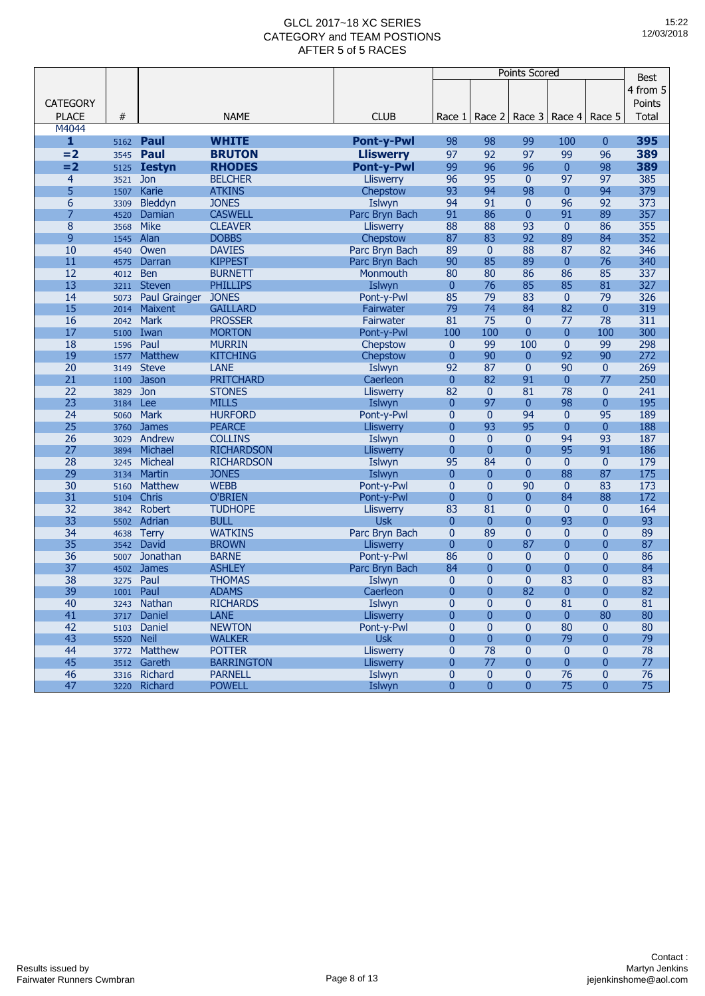|                 |           |                      |                   |                   |                |                | <b>Points Scored</b> |                      |                | <b>Best</b> |
|-----------------|-----------|----------------------|-------------------|-------------------|----------------|----------------|----------------------|----------------------|----------------|-------------|
|                 |           |                      |                   |                   |                |                |                      |                      |                |             |
|                 |           |                      |                   |                   |                |                |                      |                      |                | 4 from 5    |
| <b>CATEGORY</b> |           |                      |                   |                   |                |                |                      |                      |                | Points      |
| <b>PLACE</b>    | #         |                      | <b>NAME</b>       | <b>CLUB</b>       | Race 1         | Race 2         | Race 3               | Race $4 \mid$ Race 5 |                | Total       |
| M4044           |           |                      |                   |                   |                |                |                      |                      |                |             |
| $\mathbf{1}$    | 5162      | Paul                 | <b>WHITE</b>      | <b>Pont-y-Pwl</b> | 98             | 98             | 99                   | 100                  | $\mathbf{0}$   | 395         |
| $= 2$           | 3545      | Paul                 | <b>BRUTON</b>     | <b>Lliswerry</b>  | 97             | 92             | 97                   | 99                   | 96             | 389         |
| $=2$            | 5125      | <b>Iestyn</b>        | <b>RHODES</b>     | <b>Pont-y-Pwl</b> | 99             | 96             | 96                   | $\mathbf{0}$         | 98             | 389         |
| $\overline{4}$  | 3521      | <b>Jon</b>           | <b>BELCHER</b>    | <b>Lliswerry</b>  | 96             | 95             | $\mathbf{0}$         | 97                   | 97             | 385         |
| 5               | 1507      | Karie                | <b>ATKINS</b>     | Chepstow          | 93             | 94             | 98                   | $\overline{0}$       | 94             | 379         |
| 6               | 3309      | Bleddyn              | <b>JONES</b>      | Islwyn            | 94             | 91             | 0                    | 96                   | 92             | 373         |
| $\overline{7}$  | 4520      | Damian               | <b>CASWELL</b>    | Parc Bryn Bach    | 91             | 86             | $\overline{0}$       | 91                   | 89             | 357         |
| 8               | 3568      | <b>Mike</b>          | <b>CLEAVER</b>    | <b>Lliswerry</b>  | 88             | 88             | 93                   | $\mathbf{0}$         | 86             | 355         |
| 9               | 1545      | Alan                 | <b>DOBBS</b>      | Chepstow          | 87             | 83             | 92                   | 89                   | 84             | 352         |
| 10              | 4540      | Owen                 | <b>DAVIES</b>     | Parc Bryn Bach    | 89             | $\mathbf{0}$   | 88                   | 87                   | 82             | 346         |
| 11              | 4575      | Darran               | <b>KIPPEST</b>    | Parc Bryn Bach    | 90             | 85             | 89                   | $\mathbf{0}$         | 76             | 340         |
| 12              | 4012      | <b>Ben</b>           | <b>BURNETT</b>    | Monmouth          | 80             | 80             | 86                   | 86                   | 85             | 337         |
| 13              | 3211      | <b>Steven</b>        | <b>PHILLIPS</b>   | Islwyn            | $\overline{0}$ | 76             | 85                   | 85                   | 81             | 327         |
| 14              | 5073      | <b>Paul Grainger</b> | <b>JONES</b>      | Pont-y-Pwl        | 85             | 79             | 83                   | $\mathbf{0}$         | 79             | 326         |
| 15              | 2014      | Maixent              | <b>GAILLARD</b>   | Fairwater         | 79             | 74             | 84                   | 82                   | $\mathbf{0}$   | 319         |
| 16              | 2042      | <b>Mark</b>          | <b>PROSSER</b>    | Fairwater         | 81             | 75             | $\mathbf{0}$         | 77                   | 78             | 311         |
| 17              | 5100      | Iwan                 | <b>MORTON</b>     | Pont-y-Pwl        | 100            | 100            | 0                    | $\mathbf{0}$         | 100            | 300         |
| 18              | 1596      | Paul                 | <b>MURRIN</b>     | Chepstow          | $\mathbf{0}$   | 99             | 100                  | $\mathbf{0}$         | 99             | 298         |
| 19              | 1577      | Matthew              | <b>KITCHING</b>   | Chepstow          | $\overline{0}$ | 90             | $\overline{0}$       | 92                   | 90             | 272         |
| 20              | 3149      | <b>Steve</b>         | <b>LANE</b>       | Islwyn            | 92             | 87             | $\overline{0}$       | 90                   | $\mathbf{0}$   | 269         |
| 21              | 1100      | Jason                | <b>PRITCHARD</b>  | Caerleon          | $\mathbf{0}$   | 82             | 91                   | $\mathbf{0}$         | 77             | 250         |
| 22              | 3829      | Jon                  | <b>STONES</b>     | <b>Lliswerry</b>  | 82             | $\mathbf{0}$   | 81                   | 78                   | $\mathbf{0}$   | 241         |
| 23              | 3184      | Lee                  | <b>MILLS</b>      | Islwyn            | $\overline{0}$ | 97             | $\mathbf{0}$         | 98                   | 0              | 195         |
| 24              | 5060      | <b>Mark</b>          | <b>HURFORD</b>    | Pont-y-Pwl        | $\overline{0}$ | $\mathbf{0}$   | 94                   | $\mathbf{0}$         | 95             | 189         |
| 25              | 3760      | <b>James</b>         | <b>PEARCE</b>     | Lliswerry         | $\overline{0}$ | 93             | 95                   | $\mathbf{0}$         | $\overline{0}$ | 188         |
| 26              | 3029      | Andrew               | <b>COLLINS</b>    | Islwyn            | 0              | $\mathbf{0}$   | $\mathbf 0$          | 94                   | 93             | 187         |
| 27              | 3894      | Michael              | <b>RICHARDSON</b> | <b>Lliswerry</b>  | $\overline{0}$ | $\mathbf{0}$   | $\bf{0}$             | 95                   | 91             | 186         |
| 28              | 3245      | Micheal              | <b>RICHARDSON</b> | Islwyn            | 95             | 84             | $\mathbf 0$          | $\mathbf{0}$         | $\mathbf{0}$   | 179         |
| 29              | 3134      | Martin               | <b>JONES</b>      | Islwyn            | $\overline{0}$ | $\overline{0}$ | 0                    | 88                   | 87             | 175         |
| 30              | 5160      | <b>Matthew</b>       | <b>WEBB</b>       | Pont-y-Pwl        | $\overline{0}$ | $\mathbf{0}$   | 90                   | $\mathbf{0}$         | 83             | 173         |
| 31              | 5104      | Chris                | <b>O'BRIEN</b>    | Pont-y-Pwl        | $\overline{0}$ | $\overline{0}$ | 0                    | 84                   | 88             | 172         |
| 32              | 3842      | Robert               | <b>TUDHOPE</b>    | <b>Lliswerry</b>  | 83             | 81             | $\overline{0}$       | $\mathbf{0}$         | $\mathbf{0}$   | 164         |
| 33              | 5502      | Adrian               | <b>BULL</b>       | <b>Usk</b>        | $\overline{0}$ | $\overline{0}$ | $\overline{0}$       | 93                   | 0              | 93          |
| 34              | 4638      | <b>Terry</b>         | <b>WATKINS</b>    | Parc Bryn Bach    | $\mathbf{0}$   | 89             | $\overline{0}$       | $\mathbf{0}$         | $\mathbf{0}$   | 89          |
| 35              | 3542      | David                | <b>BROWN</b>      | <b>Lliswerry</b>  | $\overline{0}$ | $\overline{0}$ | 87                   | $\overline{0}$       | 0              | 87          |
| 36              | 5007      | Jonathan             | <b>BARNE</b>      | Pont-y-Pwl        | 86             | $\mathbf{0}$   | $\mathbf 0$          | $\overline{0}$       | 0              | 86          |
| 37              | 4502      | <b>James</b>         | <b>ASHLEY</b>     | Parc Bryn Bach    | 84             | $\mathbf{0}$   | 0                    | $\overline{0}$       | 0              | 84          |
| 38              | 3275      | Paul                 | <b>THOMAS</b>     | Islwyn            | $\overline{0}$ | $\mathbf{0}$   | $\overline{0}$       | 83                   | 0              | 83          |
| 39              | 1001      | Paul                 | <b>ADAMS</b>      | Caerleon          | 0              | $\overline{0}$ | 82                   | $\overline{0}$       | 0              | 82          |
| 40              |           | 3243 Nathan          | <b>RICHARDS</b>   | Islwyn            | 0              | $\mathbf{0}$   | 0                    | 81                   | $\mathbf{0}$   | 81          |
| 41              | 3717      | Daniel               | <b>LANE</b>       | Lliswerry         | 0              | $\pmb{0}$      | 0                    | $\pmb{0}$            | 80             | 80          |
| 42              |           | 5103 Daniel          | <b>NEWTON</b>     | Pont-y-Pwl        | $\bf{0}$       | $\mathbf{0}$   | $\mathbf{0}$         | 80                   | $\mathbf{0}$   | 80          |
| 43              | 5520 Neil |                      | <b>WALKER</b>     | <b>Usk</b>        | 0              | $\mathbf{0}$   | 0                    | 79                   | $\mathbf{0}$   | 79          |
| 44              |           | 3772 Matthew         | <b>POTTER</b>     | Lliswerry         | $\pmb{0}$      | 78             | 0                    | $\mathbf{0}$         | $\mathbf{0}$   | 78          |
| 45              |           | 3512 Gareth          | <b>BARRINGTON</b> | Lliswerry         | 0              | 77             | 0                    | $\mathbf{0}$         | 0              | 77          |
| 46              |           | 3316 Richard         | <b>PARNELL</b>    | Islwyn            | $\mathbf{0}$   | $\mathbf{0}$   | $\pmb{0}$            | 76                   | $\pmb{0}$      | 76          |
| 47              | 3220      | Richard              | <b>POWELL</b>     | Islwyn            | $\overline{0}$ | $\mathbf{0}$   | $\mathbf{0}$         | 75                   | $\mathbf{0}$   | 75          |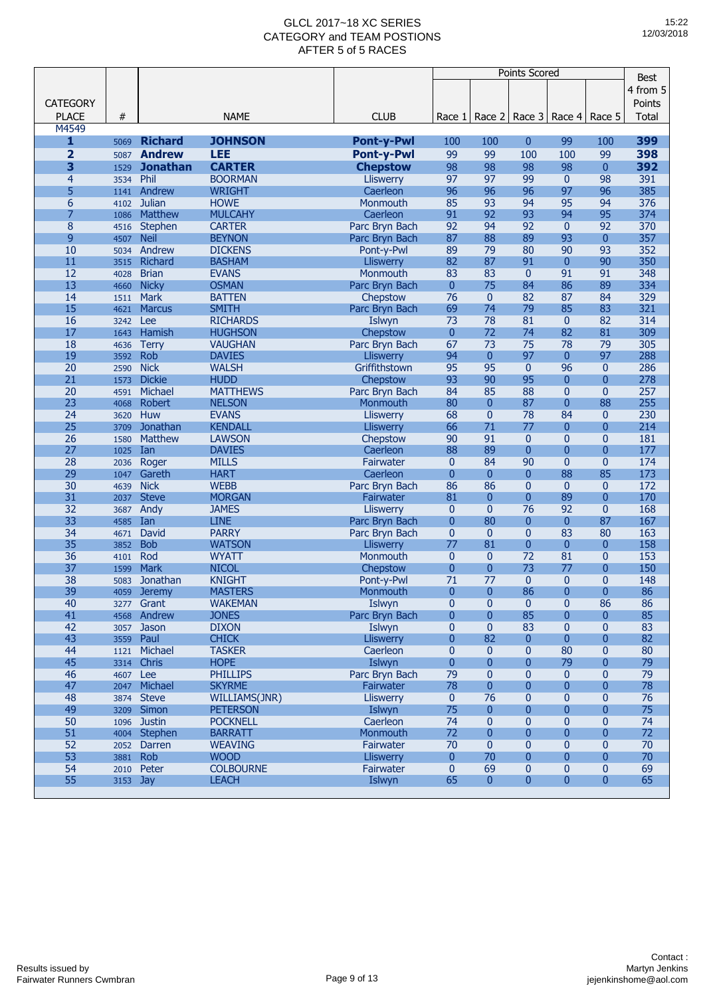|                 |          |                 |                  |                   | <b>Points Scored</b> |                |                |                |                | <b>Best</b> |
|-----------------|----------|-----------------|------------------|-------------------|----------------------|----------------|----------------|----------------|----------------|-------------|
|                 |          |                 |                  |                   |                      |                |                |                |                | 4 from 5    |
|                 |          |                 |                  |                   |                      |                |                |                |                |             |
| <b>CATEGORY</b> |          |                 |                  |                   |                      |                |                |                |                | Points      |
| <b>PLACE</b>    | #        |                 | <b>NAME</b>      | <b>CLUB</b>       | Race 1               | Race 2         | Race 3         | Race 4         | Race 5         | Total       |
| M4549           |          |                 |                  |                   |                      |                |                |                |                |             |
| $\mathbf{1}$    | 5069     | <b>Richard</b>  | <b>JOHNSON</b>   | <b>Pont-y-Pwl</b> | 100                  | 100            | $\overline{0}$ | 99             | 100            | 399         |
| $\overline{2}$  | 5087     | <b>Andrew</b>   | <b>LEE</b>       | <b>Pont-y-Pwl</b> | 99                   | 99             | 100            | 100            | 99             | 398         |
| 3               | 1529     | <b>Jonathan</b> | <b>CARTER</b>    | <b>Chepstow</b>   | 98                   | 98             | 98             | 98             | $\mathbf{0}$   | 392         |
| $\overline{4}$  | 3534     | Phil            | <b>BOORMAN</b>   | <b>Lliswerry</b>  | 97                   | 97             | 99             | $\mathbf{0}$   | 98             | 391         |
| 5               | 1141     | Andrew          | <b>WRIGHT</b>    | Caerleon          | 96                   | 96             | 96             | 97             | 96             | 385         |
| 6               | 4102     | <b>Julian</b>   | <b>HOWE</b>      | Monmouth          | 85                   | 93             | 94             | 95             | 94             | 376         |
| 7               | 1086     | Matthew         | <b>MULCAHY</b>   | Caerleon          | 91                   | 92             | 93             | 94             | 95             | 374         |
| 8               | 4516     | Stephen         | <b>CARTER</b>    | Parc Bryn Bach    | 92                   | 94             | 92             | $\mathbf{0}$   | 92             | 370         |
| 9               | 4507     | <b>Neil</b>     | <b>BEYNON</b>    | Parc Bryn Bach    | 87                   | 88             | 89             | 93             | $\mathbf{0}$   | 357         |
| 10              | 5034     | Andrew          | <b>DICKENS</b>   | Pont-y-Pwl        | 89                   | 79             | 80             | 90             | 93             | 352         |
| 11              | 3515     | Richard         | <b>BASHAM</b>    | Lliswerry         | 82                   | 87             | 91             | $\mathbf{0}$   | 90             | 350         |
| 12              | 4028     | <b>Brian</b>    | <b>EVANS</b>     | Monmouth          | 83                   | 83             | $\mathbf{0}$   | 91             | 91             | 348         |
| 13              | 4660     | <b>Nicky</b>    | <b>OSMAN</b>     | Parc Bryn Bach    | $\overline{0}$       | 75             | 84             | 86             | 89             | 334         |
| 14              | 1511     | Mark            | <b>BATTEN</b>    | Chepstow          | 76                   | $\mathbf{0}$   | 82             | 87             | 84             | 329         |
| 15              | 4621     | <b>Marcus</b>   | <b>SMITH</b>     | Parc Bryn Bach    | 69                   | 74             | 79             | 85             | 83             | 321         |
| 16              | 3242     | Lee             | <b>RICHARDS</b>  | Islwyn            | 73                   | 78             | 81             | $\mathbf{0}$   | 82             | 314         |
| 17              | 1643     | Hamish          | <b>HUGHSON</b>   | Chepstow          | $\overline{0}$       | 72             | 74             | 82             | 81             | 309         |
| 18              | 4636     | <b>Terry</b>    | <b>VAUGHAN</b>   | Parc Bryn Bach    | 67                   | 73             | 75             | 78             | 79             | 305         |
| 19              | 3592     | Rob             | <b>DAVIES</b>    | <b>Lliswerry</b>  | 94                   | $\mathbf{0}$   | 97             | $\mathbf{0}$   | 97             | 288         |
| 20              | 2590     | <b>Nick</b>     | <b>WALSH</b>     | Griffithstown     | 95                   | 95             | $\mathbf{0}$   | 96             | $\mathbf{0}$   | 286         |
| 21              | 1573     | <b>Dickie</b>   | <b>HUDD</b>      | Chepstow          | 93                   | 90             | 95             | $\mathbf{0}$   | $\overline{0}$ | 278         |
| 20              | 4591     | Michael         | <b>MATTHEWS</b>  | Parc Bryn Bach    | 84                   | 85             | 88             | $\mathbf{0}$   | $\mathbf{0}$   | 257         |
| 23              | 4068     | <b>Robert</b>   | <b>NELSON</b>    | Monmouth          | 80                   | $\mathbf{0}$   | 87             | $\overline{0}$ | 88             | 255         |
| 24              | 3620     | Huw             | <b>EVANS</b>     | <b>Lliswerry</b>  | 68                   | $\mathbf{0}$   | 78             | 84             | $\mathbf{0}$   | 230         |
| 25              | 3709     | Jonathan        | <b>KENDALL</b>   | <b>Lliswerry</b>  | 66                   | 71             | 77             | $\mathbf{0}$   | $\overline{0}$ | 214         |
| 26              | 1580     | <b>Matthew</b>  | <b>LAWSON</b>    | Chepstow          | 90                   | 91             | $\mathbf{0}$   | $\mathbf{0}$   | $\overline{0}$ | 181         |
| 27              | 1025     | Ian             | <b>DAVIES</b>    | Caerleon          | 88                   | 89             | $\mathbf{0}$   | $\mathbf{0}$   | $\overline{0}$ | 177         |
| 28              | 2036     | Roger           | <b>MILLS</b>     | Fairwater         | $\mathbf{0}$         | 84             | 90             | $\mathbf{0}$   | $\mathbf{0}$   | 174         |
| 29              | 1047     | Gareth          | <b>HART</b>      | Caerleon          | $\overline{0}$       | $\overline{0}$ | $\overline{0}$ | 88             | 85             | 173         |
| 30              | 4639     | <b>Nick</b>     | <b>WEBB</b>      | Parc Bryn Bach    | 86                   | 86             | $\mathbf 0$    | $\mathbf{0}$   | $\mathbf{0}$   | 172         |
| 31              | 2037     | <b>Steve</b>    | <b>MORGAN</b>    | Fairwater         | 81                   | $\mathbf{0}$   | $\mathbf{0}$   | 89             | $\overline{0}$ | 170         |
| 32              | 3687     | Andy            | <b>JAMES</b>     | Lliswerry         | $\mathbf{0}$         | $\mathbf{0}$   | 76             | 92             | $\mathbf{0}$   | 168         |
| 33              | 4585     | Ian             | <b>LINE</b>      | Parc Bryn Bach    | $\overline{0}$       | 80             | 0              | $\bf{0}$       | 87             | 167         |
| 34              | 4671     | David           | <b>PARRY</b>     | Parc Bryn Bach    | $\mathbf{0}$         | $\mathbf{0}$   | $\overline{0}$ | 83             | 80             | 163         |
| 35              | 3852     | <b>Bob</b>      | <b>WATSON</b>    | <b>Lliswerry</b>  | 77                   | 81             | $\overline{0}$ | $\mathbf{0}$   | $\mathbf{0}$   | 158         |
| 36              | 4101     | Rod             | <b>WYATT</b>     | Monmouth          | $\mathbf{0}$         | $\mathbf{0}$   | 72             | 81             | $\mathbf{0}$   | 153         |
| 37              | 1599     | <b>Mark</b>     | <b>NICOL</b>     | Chepstow          | $\overline{0}$       | $\overline{0}$ | 73             | 77             | $\overline{0}$ | 150         |
| 38              | 5083     | Jonathan        | <b>KNIGHT</b>    | Pont-y-Pwl        | 71                   | 77             | $\overline{0}$ | $\mathbf{0}$   | $\overline{0}$ | 148         |
| 39              | 4059     | <b>Jeremy</b>   | <b>MASTERS</b>   | Monmouth          | $\overline{0}$       | $\mathbf{0}$   | 86             | $\mathbf{0}$   | $\overline{0}$ | 86          |
| 40              |          | 3277 Grant      | <b>WAKEMAN</b>   | Islwyn            | $\mathbf{0}$         | $\mathbf 0$    | $\mathbf{0}$   | $\bf{0}$       | 86             | 86          |
| 41              | 4568     | Andrew          | <b>JONES</b>     | Parc Bryn Bach    | $\overline{0}$       | $\mathbf{0}$   | 85             | $\mathbf{0}$   | $\mathbf{0}$   | 85          |
| 42              |          | 3057 Jason      | <b>DIXON</b>     | Islwyn            | $\mathbf{0}$         | $\mathbf{0}$   | 83             | $\mathbf{0}$   | $\mathbf{0}$   | 83          |
| 43              |          | 3559 Paul       | <b>CHICK</b>     | <b>Lliswerry</b>  | $\mathbf{0}$         | 82             | $\overline{0}$ | $\mathbf{0}$   | $\mathbf{0}$   | 82          |
| 44              |          | 1121 Michael    | <b>TASKER</b>    | Caerleon          | $\mathbf{0}$         | $\mathbf{0}$   | 0              | 80             | $\mathbf{0}$   | 80          |
| 45              | 3314     | Chris           | <b>HOPE</b>      | Islwyn            | $\overline{0}$       | $\mathbf{0}$   | 0              | 79             | $\mathbf{0}$   | 79          |
| 46              | 4607 Lee |                 | <b>PHILLIPS</b>  | Parc Bryn Bach    | 79                   | $\mathbf{0}$   | 0              | $\mathbf{0}$   | $\mathbf{0}$   | 79          |
| 47              |          | 2047 Michael    | <b>SKYRME</b>    | Fairwater         | 78                   | $\mathbf{0}$   | $\mathbf{0}$   | $\mathbf{0}$   | $\overline{0}$ | 78          |
| 48              |          | 3874 Steve      | WILLIAMS(JNR)    | Lliswerry         | $\mathbf{0}$         | 76             | 0              | $\mathbf{0}$   | $\mathbf{0}$   | 76          |
| 49              |          | 3209 Simon      | <b>PETERSON</b>  | Islwyn            | 75                   | $\mathbf{0}$   | 0              | $\mathbf{0}$   | $\mathbf{0}$   | 75          |
| 50              |          | 1096 Justin     | <b>POCKNELL</b>  | Caerleon          | 74                   | $\mathbf{0}$   | 0              | $\mathbf{0}$   | $\mathbf{0}$   | 74          |
| 51              |          | 4004 Stephen    | <b>BARRATT</b>   | Monmouth          | 72                   | $\mathbf{0}$   | 0              | $\mathbf{0}$   | $\overline{0}$ | 72          |
| 52              |          | 2052 Darren     | <b>WEAVING</b>   | Fairwater         | 70                   | $\mathbf{0}$   | 0              | $\mathbf{0}$   | $\mathbf{0}$   | 70          |
| 53              | 3881     | <b>Rob</b>      | <b>WOOD</b>      | <b>Lliswerry</b>  | $\mathbf{0}$         | 70             | $\mathbf{0}$   | $\overline{0}$ | $\overline{0}$ | 70          |
| 54              | 2010     | Peter           | <b>COLBOURNE</b> | Fairwater         | $\mathbf{0}$         | 69             | 0              | $\pmb{0}$      | $\bf{0}$       | 69          |
| 55              | 3153 Jay |                 | <b>LEACH</b>     | Islwyn            | 65                   | 0              | 0              | $\bf{0}$       | $\mathbf{0}$   | 65          |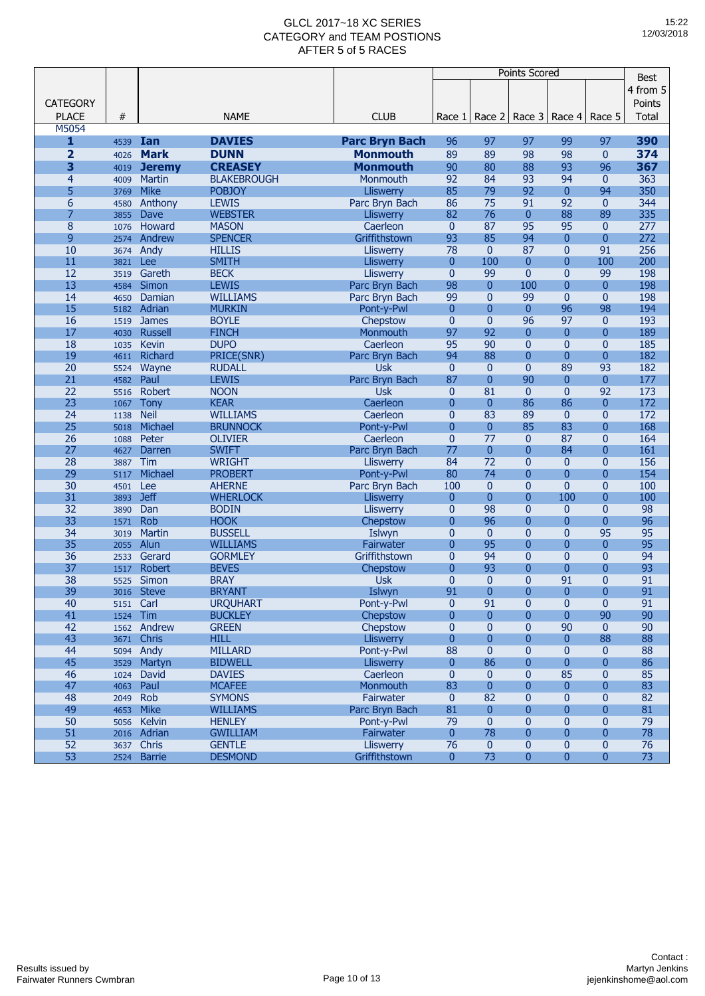|                 |              |                    |                    |                       | <b>Points Scored</b> |                 |                |                |                | <b>Best</b> |
|-----------------|--------------|--------------------|--------------------|-----------------------|----------------------|-----------------|----------------|----------------|----------------|-------------|
|                 |              |                    |                    |                       |                      |                 |                |                |                |             |
|                 |              |                    |                    |                       |                      |                 |                |                |                | 4 from 5    |
| <b>CATEGORY</b> |              |                    |                    |                       |                      |                 |                |                |                | Points      |
| <b>PLACE</b>    | #            |                    | <b>NAME</b>        | <b>CLUB</b>           | Race 1               | Race 2          | Race 3         | Race 4         | Race 5         | Total       |
| M5054           |              |                    |                    |                       |                      |                 |                |                |                |             |
| $\mathbf{1}$    | 4539         | Ian                | <b>DAVIES</b>      | <b>Parc Bryn Bach</b> | 96                   | 97              | 97             | 99             | 97             | 390         |
| $\overline{2}$  | 4026         | <b>Mark</b>        | <b>DUNN</b>        | <b>Monmouth</b>       | 89                   | 89              | 98             | 98             | $\mathbf{0}$   | 374         |
| 3               | 4019         | <b>Jeremy</b>      | <b>CREASEY</b>     | <b>Monmouth</b>       | 90                   | 80              | 88             | 93             | 96             | 367         |
| $\overline{4}$  | 4009         | <b>Martin</b>      | <b>BLAKEBROUGH</b> | Monmouth              | 92                   | 84              | 93             | 94             | $\mathbf{0}$   | 363         |
| 5               | 3769         | <b>Mike</b>        | <b>POBJOY</b>      | <b>Lliswerry</b>      | 85                   | 79              | 92             | $\mathbf{0}$   | 94             | 350         |
| 6               | 4580         | Anthony            | <b>LEWIS</b>       | Parc Bryn Bach        | 86                   | 75              | 91             | 92             | $\mathbf{0}$   | 344         |
| 7               | 3855         | Dave               | <b>WEBSTER</b>     | Lliswerry             | 82                   | 76              | $\pmb{0}$      | 88             | 89             | 335         |
| 8               | 1076         | Howard             | <b>MASON</b>       | Caerleon              | $\mathbf{0}$         | 87              | 95             | 95             | $\mathbf{0}$   | 277         |
| 9               | 2574         | Andrew             | <b>SPENCER</b>     | Griffithstown         | 93                   | 85              | 94             | $\mathbf{0}$   | $\overline{0}$ | 272         |
| 10              | 3674         | Andy               | <b>HILLIS</b>      | <b>Lliswerry</b>      | 78                   | $\mathbf{0}$    | 87             | $\mathbf{0}$   | 91             | 256         |
| 11              | 3821         | Lee                | <b>SMITH</b>       | <b>Lliswerry</b>      | $\mathbf{0}$         | 100             | $\mathbf{0}$   | $\overline{0}$ | 100            | 200         |
| 12              | 3519         | Gareth             | <b>BECK</b>        | Lliswerry             | $\mathbf{0}$         | 99              | $\mathbf{0}$   | $\overline{0}$ | 99             | 198         |
| 13              | 4584         | Simon              | <b>LEWIS</b>       | Parc Bryn Bach        | 98                   | $\overline{0}$  | 100            | $\overline{0}$ | $\mathbf{0}$   | 198         |
| 14              | 4650         | Damian             | <b>WILLIAMS</b>    | Parc Bryn Bach        | 99                   | $\mathbf{0}$    | 99             | $\overline{0}$ | $\mathbf{0}$   | 198         |
| 15              | 5182         | Adrian             | <b>MURKIN</b>      | Pont-y-Pwl            | $\mathbf{0}$         | $\mathbf{0}$    | $\mathbf{0}$   | 96             | 98             | 194         |
| 16              | 1519         | <b>James</b>       | <b>BOYLE</b>       | Chepstow              | $\mathbf{0}$         | $\overline{0}$  | 96             | 97             | $\mathbf{0}$   | 193         |
| 17              | 4030         | <b>Russell</b>     | <b>FINCH</b>       | Monmouth              | 97                   | 92              | $\mathbf{0}$   | $\mathbf{0}$   | $\overline{0}$ | 189         |
| 18              | 1035         | <b>Kevin</b>       | <b>DUPO</b>        | Caerleon              | 95                   | 90              | $\mathbf{0}$   | $\overline{0}$ | $\mathbf{0}$   | 185         |
| 19              | 4611         | Richard            | PRICE(SNR)         | Parc Bryn Bach        | 94                   | 88              | $\mathbf{0}$   | $\overline{0}$ | $\mathbf{0}$   | 182         |
| 20              | 5524         | Wayne              | <b>RUDALL</b>      | <b>Usk</b>            | $\mathbf{0}$         | $\mathbf{0}$    | $\overline{0}$ | 89             | 93             | 182         |
| 21              | 4582         | Paul               | <b>LEWIS</b>       | Parc Bryn Bach        | 87                   | $\mathbf{0}$    | 90             | $\mathbf{0}$   | $\overline{0}$ | 177         |
| 22              | 5516         | Robert             | <b>NOON</b>        | <b>Usk</b>            | $\mathbf{0}$         | 81              | $\mathbf{0}$   | $\overline{0}$ | 92             | 173         |
| 23              | 1067         | <b>Tony</b>        | <b>KEAR</b>        | Caerleon              | $\overline{0}$       | $\overline{0}$  | 86             | 86             | $\overline{0}$ | 172         |
| 24              | 1138         | <b>Neil</b>        | <b>WILLIAMS</b>    | Caerleon              | $\mathbf{0}$         | 83              | 89             | $\mathbf{0}$   | $\overline{0}$ | 172         |
| 25              | 5018         | Michael            | <b>BRUNNOCK</b>    | Pont-y-Pwl            | $\mathbf{0}$         | $\overline{0}$  | 85             | 83             | $\overline{0}$ | 168         |
| 26              | 1088         | Peter              | <b>OLIVIER</b>     | Caerleon              | $\mathbf{0}$         | 77              | $\mathbf{0}$   | 87             | $\overline{0}$ | 164         |
| 27              | 4627         | Darren             | <b>SWIFT</b>       | Parc Bryn Bach        | 77                   | $\overline{0}$  | $\mathbf{0}$   | 84             | $\overline{0}$ | 161         |
| 28              | 3887         | Tim                | <b>WRIGHT</b>      | <b>Lliswerry</b>      | 84                   | $\overline{72}$ | 0              | $\mathbf{0}$   | $\mathbf{0}$   | 156         |
| 29              | 5117         | Michael            | <b>PROBERT</b>     | Pont-y-Pwl            | 80                   | 74              | $\mathbf{0}$   | $\overline{0}$ | $\overline{0}$ | 154         |
| 30              | 4501         | Lee                | <b>AHERNE</b>      | Parc Bryn Bach        | 100                  | $\mathbf{0}$    | $\overline{0}$ | $\overline{0}$ | $\overline{0}$ | 100         |
| 31              | 3893         | <b>Jeff</b>        | <b>WHERLOCK</b>    | <b>Lliswerry</b>      | $\mathbf{0}$         | $\overline{0}$  | $\overline{0}$ | 100            | $\overline{0}$ | 100         |
| 32              | 3890         | Dan                | <b>BODIN</b>       | Lliswerry             | $\mathbf{0}$         | 98              | $\overline{0}$ | $\mathbf{0}$   | $\mathbf{0}$   | 98          |
| 33              | 1571         | <b>Rob</b>         | <b>HOOK</b>        | Chepstow              | $\overline{0}$       | 96              | $\mathbf{0}$   | $\bf{0}$       | $\overline{0}$ | 96          |
| 34              | 3019         | <b>Martin</b>      | <b>BUSSELL</b>     | Islwyn                | $\mathbf{0}$         | $\mathbf{0}$    | $\mathbf{0}$   | $\overline{0}$ | 95             | 95          |
| 35              | 2055         | Alun               | <b>WILLIAMS</b>    | Fairwater             | $\overline{0}$       | 95              | $\overline{0}$ | $\overline{0}$ | $\overline{0}$ | 95          |
| 36              | 2533         | Gerard             | <b>GORMLEY</b>     | Griffithstown         | $\mathbf{0}$         | 94              | $\mathbf{0}$   | $\overline{0}$ | $\mathbf{0}$   | 94          |
| 37              | 1517         | Robert             | <b>BEVES</b>       | Chepstow              | $\overline{0}$       | 93              | $\mathbf{0}$   | $\overline{0}$ | $\overline{0}$ | 93          |
| 38              | 5525         | Simon              | <b>BRAY</b>        | <b>Usk</b>            | $\mathbf{0}$         | $\mathbf{0}$    | $\overline{0}$ | 91             | 0              | 91          |
| 39              | 3016         | <b>Steve</b>       | <b>BRYANT</b>      | Islwyn                | 91                   | $\overline{0}$  | $\overline{0}$ | $\overline{0}$ | 0              | 91          |
| 40              | 5151 Carl    |                    | <b>URQUHART</b>    | Pont-y-Pwl            | 0                    | 91              | $\bf{0}$       | $\mathbf 0$    | $\mathbf{0}$   | 91          |
| 41              | 1524 Tim     |                    | <b>BUCKLEY</b>     | Chepstow              | $\overline{0}$       | $\mathbf{0}$    | 0              | $\overline{0}$ | 90             | 90          |
| 42              |              | 1562 Andrew        | <b>GREEN</b>       | Chepstow              | $\mathbf{0}$         | $\mathbf{0}$    | $\bf{0}$       | 90             | $\mathbf 0$    | 90          |
| 43              |              | 3671 Chris         | <b>HILL</b>        | <b>Lliswerry</b>      | $\mathbf{0}$         | $\overline{0}$  | $\bf{0}$       | $\mathbf{0}$   | 88             | 88          |
| 44              |              | 5094 Andy          | <b>MILLARD</b>     | Pont-y-Pwl            | 88                   | $\overline{0}$  | $\pmb{0}$      | $\mathbf{0}$   | $\mathbf{0}$   | 88          |
| 45              | 3529         | Martyn             | <b>BIDWELL</b>     | <b>Lliswerry</b>      | $\mathbf{0}$         | 86              | $\bf{0}$       | $\mathbf{0}$   | $\mathbf{0}$   | 86          |
| 46              |              | 1024 David         | <b>DAVIES</b>      | Caerleon              | $\pmb{0}$            | $\mathbf{0}$    | $\pmb{0}$      | 85             | 0              | 85          |
| 47              |              |                    | <b>MCAFEE</b>      |                       | 83                   | $\mathbf{0}$    | 0              | $\mathbf{0}$   | 0              | 83          |
| 48              | 4063<br>2049 | Paul<br><b>Rob</b> | <b>SYMONS</b>      | Monmouth<br>Fairwater | $\mathbf{0}$         | 82              | $\mathbf{0}$   | $\mathbf{0}$   | 0              | 82          |
| 49              |              | 4653 Mike          | <b>WILLIAMS</b>    |                       | 81                   | $\mathbf{0}$    |                | $\mathbf{0}$   | $\mathbf{0}$   | 81          |
|                 |              |                    |                    | Parc Bryn Bach        |                      | $\overline{0}$  | $\bf{0}$       |                |                |             |
| 50              |              | 5056 Kelvin        | <b>HENLEY</b>      | Pont-y-Pwl            | 79                   |                 | 0              | $\mathbf{0}$   | $\mathbf{0}$   | 79          |
| 51              |              | 2016 Adrian        | <b>GWILLIAM</b>    | Fairwater             | $\mathbf{0}$         | 78              | 0              | $\pmb{0}$      | $\pmb{0}$      | 78          |
| 52              |              | 3637 Chris         | <b>GENTLE</b>      | <b>Lliswerry</b>      | 76                   | $\mathbf{0}$    | 0              | $\pmb{0}$      | 0              | 76          |
| 53              | 2524         | <b>Barrie</b>      | <b>DESMOND</b>     | Griffithstown         | $\mathbf{0}$         | 73              | $\mathbf{0}$   | $\overline{0}$ | 0              | 73          |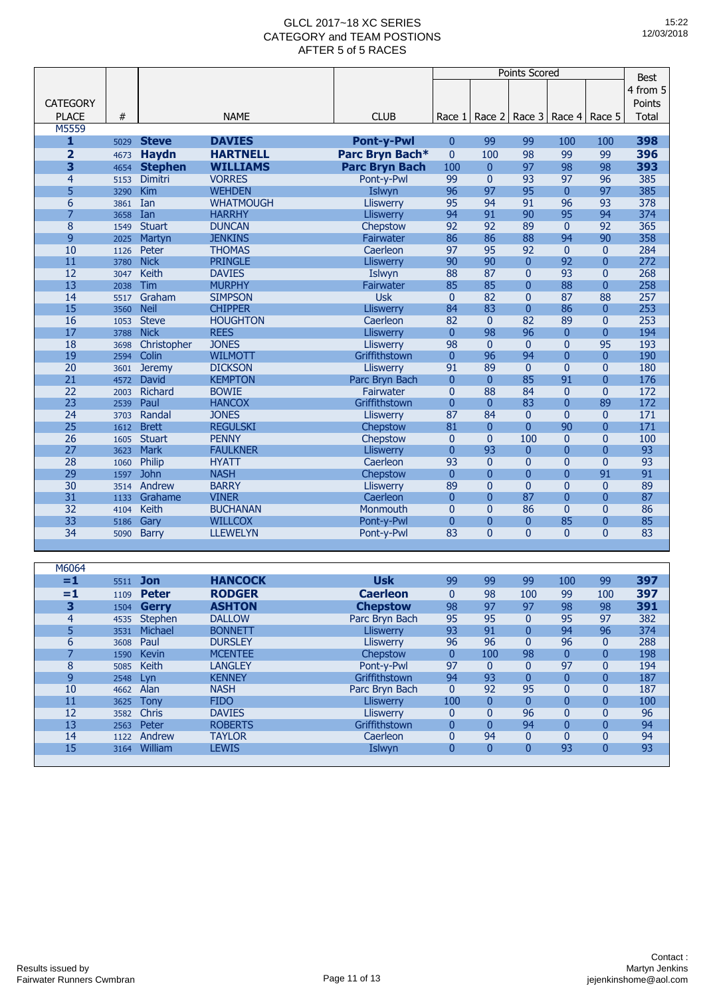|                         |      |                |                  |                       | <b>Points Scored</b> |                |                |                          |                | <b>Best</b>  |
|-------------------------|------|----------------|------------------|-----------------------|----------------------|----------------|----------------|--------------------------|----------------|--------------|
|                         |      |                |                  |                       |                      |                |                |                          |                | 4 from 5     |
| <b>CATEGORY</b>         |      |                |                  |                       |                      |                |                |                          |                | Points       |
| <b>PLACE</b>            | #    |                | <b>NAME</b>      | <b>CLUB</b>           |                      |                |                |                          |                | <b>Total</b> |
| M5559                   |      |                |                  |                       | Race 1               | Race 2         |                | Race 3   Race 4   Race 5 |                |              |
| 1                       | 5029 | <b>Steve</b>   | <b>DAVIES</b>    | <b>Pont-y-Pwl</b>     | $\mathbf{0}$         | 99             | 99             | 100                      | 100            | 398          |
| $\overline{\mathbf{2}}$ | 4673 | <b>Haydn</b>   | <b>HARTNELL</b>  | Parc Bryn Bach*       | $\mathbf{0}$         | 100            | 98             | 99                       | 99             | 396          |
| 3                       | 4654 | <b>Stephen</b> | <b>WILLIAMS</b>  | <b>Parc Bryn Bach</b> | 100                  | $\mathbf{0}$   | 97             | 98                       | 98             | 393          |
| $\overline{a}$          | 5153 | Dimitri        | <b>VORRES</b>    | Pont-y-Pwl            | 99                   | $\overline{0}$ | 93             | 97                       | 96             | 385          |
| 5                       | 3290 | Kim            | <b>WEHDEN</b>    | Islwyn                | 96                   | 97             | 95             | $\mathbf{0}$             | 97             | 385          |
| 6                       | 3861 | Ian            | <b>WHATMOUGH</b> | Lliswerry             | 95                   | 94             | 91             | 96                       | 93             | 378          |
| 7                       | 3658 | Ian            | <b>HARRHY</b>    | <b>Lliswerry</b>      | 94                   | 91             | 90             | 95                       | 94             | 374          |
| 8                       | 1549 | <b>Stuart</b>  | <b>DUNCAN</b>    | Chepstow              | 92                   | 92             | 89             | $\mathbf{0}$             | 92             | 365          |
| 9                       | 2025 | Martyn         | <b>JENKINS</b>   | Fairwater             | 86                   | 86             | 88             | 94                       | 90             | 358          |
| 10                      | 1126 | Peter          | <b>THOMAS</b>    | Caerleon              | 97                   | 95             | 92             | $\mathbf{0}$             | $\overline{0}$ | 284          |
| 11                      | 3780 | <b>Nick</b>    | <b>PRINGLE</b>   | <b>Lliswerry</b>      | 90                   | 90             | $\overline{0}$ | 92                       | $\overline{0}$ | 272          |
| 12                      | 3047 | <b>Keith</b>   | <b>DAVIES</b>    | Islwyn                | 88                   | 87             | $\overline{0}$ | 93                       | $\overline{0}$ | 268          |
| 13                      | 2038 | Tim            | <b>MURPHY</b>    | Fairwater             | 85                   | 85             | $\mathbf{0}$   | 88                       | $\overline{0}$ | 258          |
| 14                      | 5517 | Graham         | <b>SIMPSON</b>   | <b>Usk</b>            | $\mathbf{0}$         | 82             | $\overline{0}$ | 87                       | 88             | 257          |
| 15                      | 3560 | <b>Neil</b>    | <b>CHIPPER</b>   | <b>Lliswerry</b>      | 84                   | 83             | $\overline{0}$ | 86                       | $\overline{0}$ | 253          |
| 16                      | 1053 | <b>Steve</b>   | <b>HOUGHTON</b>  | Caerleon              | 82                   | $\mathbf{0}$   | 82             | 89                       | $\mathbf{0}$   | 253          |
| 17                      | 3788 | <b>Nick</b>    | <b>REES</b>      | <b>Lliswerry</b>      | $\mathbf{0}$         | 98             | 96             | $\mathbf{0}$             | $\overline{0}$ | 194          |
| 18                      | 3698 | Christopher    | <b>JONES</b>     | Lliswerry             | 98                   | $\mathbf{0}$   | $\mathbf{0}$   | $\mathbf{0}$             | 95             | 193          |
| 19                      | 2594 | Colin          | <b>WILMOTT</b>   | Griffithstown         | $\mathbf{0}$         | 96             | 94             | $\overline{0}$           | $\Omega$       | 190          |
| $\overline{20}$         | 3601 | <b>Jeremy</b>  | <b>DICKSON</b>   | Lliswerry             | 91                   | 89             | $\overline{0}$ | $\overline{0}$           | $\overline{0}$ | 180          |
| 21                      | 4572 | David          | <b>KEMPTON</b>   | Parc Bryn Bach        | $\mathbf{0}$         | $\mathbf{0}$   | 85             | 91                       | $\overline{0}$ | 176          |
| 22                      | 2003 | Richard        | <b>BOWIE</b>     | Fairwater             | $\mathbf{0}$         | 88             | 84             | $\mathbf{0}$             | $\overline{0}$ | 172          |
| 23                      | 2539 | Paul           | <b>HANCOX</b>    | Griffithstown         | $\overline{0}$       | $\overline{0}$ | 83             | $\overline{0}$           | 89             | 172          |
| 24                      | 3703 | Randal         | <b>JONES</b>     | <b>Lliswerry</b>      | 87                   | 84             | $\mathbf{0}$   | $\Omega$                 | $\Omega$       | 171          |
| 25                      | 1612 | <b>Brett</b>   | <b>REGULSKI</b>  | Chepstow              | 81                   | $\overline{0}$ | $\overline{0}$ | 90                       | $\overline{0}$ | 171          |
| 26                      | 1605 | <b>Stuart</b>  | <b>PENNY</b>     | Chepstow              | $\mathbf{0}$         | $\overline{0}$ | 100            | $\mathbf{0}$             | $\overline{0}$ | 100          |
| 27                      | 3623 | <b>Mark</b>    | <b>FAULKNER</b>  | <b>Lliswerry</b>      | 0                    | 93             | $\overline{0}$ | $\bf{0}$                 | $\overline{0}$ | 93           |
| 28                      | 1060 | Philip         | <b>HYATT</b>     | Caerleon              | 93                   | $\overline{0}$ | $\overline{0}$ | $\overline{0}$           | $\overline{0}$ | 93           |
| 29                      | 1597 | <b>John</b>    | <b>NASH</b>      | Chepstow              | $\mathbf{0}$         | $\overline{0}$ | $\overline{0}$ | $\bf{0}$                 | 91             | 91           |
| 30                      | 3514 | Andrew         | <b>BARRY</b>     | Lliswerry             | 89                   | $\overline{0}$ | $\overline{0}$ | $\overline{0}$           | $\Omega$       | 89           |
| 31                      | 1133 | Grahame        | <b>VINER</b>     | Caerleon              | $\overline{0}$       | $\Omega$       | 87             | $\overline{0}$           | $\overline{0}$ | 87           |
| 32                      | 4104 | Keith          | <b>BUCHANAN</b>  | Monmouth              | $\overline{0}$       | $\overline{0}$ | 86             | $\mathbf{0}$             | $\Omega$       | 86           |
| 33                      | 5186 | Gary           | <b>WILLCOX</b>   | Pont-y-Pwl            | $\mathbf{0}$         | $\overline{0}$ | $\mathbf{0}$   | 85                       | $\overline{0}$ | 85           |
| 34                      | 5090 | <b>Barry</b>   | <b>LLEWELYN</b>  | Pont-y-Pwl            | 83                   | $\Omega$       | 0              | $\Omega$                 | $\overline{0}$ | 83           |
|                         |      |                |                  |                       |                      |                |                |                          |                |              |
|                         |      |                |                  |                       |                      |                |                |                          |                |              |
| M6064                   |      |                |                  |                       |                      |                |                |                          |                |              |

| =1             | 5511 | Jon            | <b>HANCOCK</b> | <b>Usk</b>       | 99           | 99             | 99             | 100            | 99  | 397 |
|----------------|------|----------------|----------------|------------------|--------------|----------------|----------------|----------------|-----|-----|
| $=1$           | 1109 | <b>Peter</b>   | <b>RODGER</b>  | <b>Caerleon</b>  | 0            | 98             | 100            | 99             | 100 | 397 |
| 3              | 1504 | Gerry          | <b>ASHTON</b>  | <b>Chepstow</b>  | 98           | 97             | 97             | 98             | 98  | 391 |
| $\overline{4}$ | 4535 | <b>Stephen</b> | <b>DALLOW</b>  | Parc Bryn Bach   | 95           | 95             | 0              | 95             | 97  | 382 |
| 5              | 3531 | Michael        | <b>BONNETT</b> | <b>Lliswerry</b> | 93           | 91             | 0              | 94             | 96  | 374 |
| 6              | 3608 | Paul           | <b>DURSLEY</b> | <b>Lliswerry</b> | 96           | 96             | 0              | 96             | 0   | 288 |
| 7              | 1590 | <b>Kevin</b>   | <b>MCENTEE</b> | Chepstow         | $\mathbf{0}$ | 100            | 98             | $\mathbf{0}$   | 0   | 198 |
| 8              | 5085 | Keith          | <b>LANGLEY</b> | Pont-y-Pwl       | 97           | $\mathbf{0}$   | 0              | 97             | 0   | 194 |
| 9              | 2548 | Lvn            | <b>KENNEY</b>  | Griffithstown    | 94           | 93             | $\overline{0}$ | 0              | 0   | 187 |
| 10             | 4662 | Alan           | <b>NASH</b>    | Parc Bryn Bach   | $\mathbf{0}$ | 92             | 95             | $\overline{0}$ | 0   | 187 |
| 11             | 3625 | Tonv           | <b>FIDO</b>    | Lliswerry        | 100          | $\overline{0}$ | 0              | $\overline{0}$ | 0   | 100 |
| 12             | 3582 | <b>Chris</b>   | <b>DAVIES</b>  | <b>Lliswerry</b> | 0            | 0              | 96             | $\overline{0}$ | 0   | 96  |
| 13             | 2563 | Peter          | <b>ROBERTS</b> | Griffithstown    |              | $\Omega$       | 94             | $\overline{0}$ | 0   | 94  |
| 14             | 1122 | Andrew         | <b>TAYLOR</b>  | Caerleon         | 0            | 94             | 0              | $\overline{0}$ | 0   | 94  |
| 15             | 3164 | William        | <b>LEWIS</b>   | Islwyn           | 0            | $\overline{0}$ | 0              | 93             | 0   | 93  |
|                |      |                |                |                  |              |                |                |                |     |     |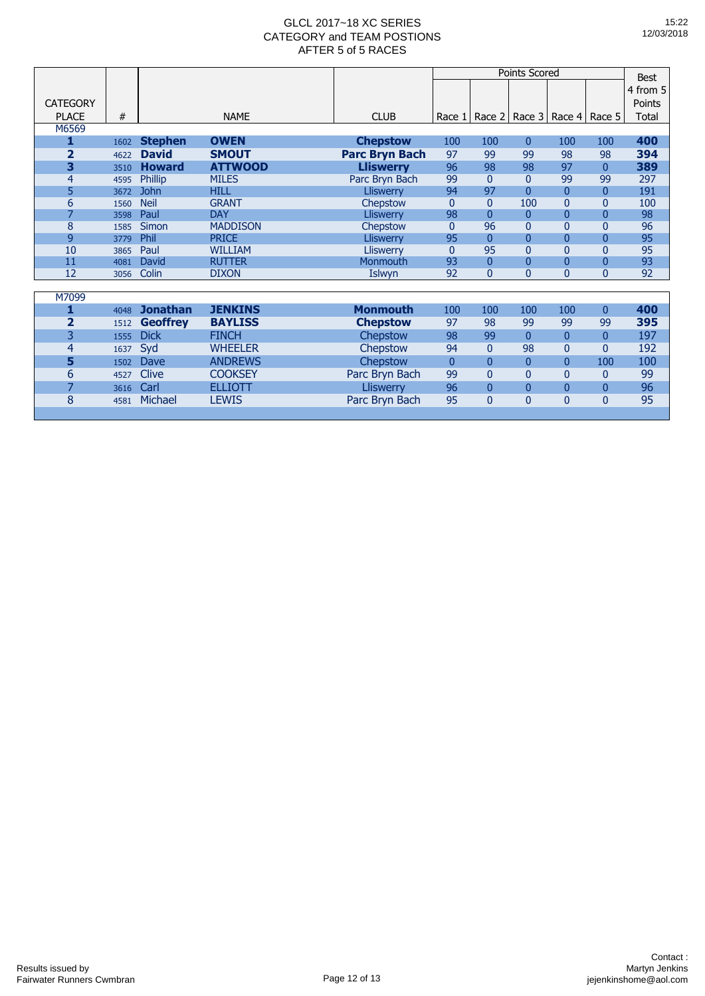|                         |      |                 |                 |                       |                |                | Points Scored  |                                   |                | <b>Best</b> |
|-------------------------|------|-----------------|-----------------|-----------------------|----------------|----------------|----------------|-----------------------------------|----------------|-------------|
|                         |      |                 |                 |                       |                |                |                |                                   |                | 4 from 5    |
| <b>CATEGORY</b>         |      |                 |                 |                       |                |                |                |                                   |                | Points      |
| <b>PLACE</b>            | #    |                 | <b>NAME</b>     | <b>CLUB</b>           | Race 1         |                |                | Race 2   Race 3   Race 4   Race 5 |                | Total       |
| M6569                   |      |                 |                 |                       |                |                |                |                                   |                |             |
| 1                       | 1602 | <b>Stephen</b>  | <b>OWEN</b>     | <b>Chepstow</b>       | 100            | 100            | $\overline{0}$ | 100                               | 100            | 400         |
| $\overline{\mathbf{2}}$ | 4622 | <b>David</b>    | <b>SMOUT</b>    | <b>Parc Bryn Bach</b> | 97             | 99             | 99             | 98                                | 98             | 394         |
| 3                       | 3510 | <b>Howard</b>   | <b>ATTWOOD</b>  | <b>Lliswerry</b>      | 96             | 98             | 98             | 97                                | $\mathbf{0}$   | 389         |
| 4                       | 4595 | Phillip         | <b>MILES</b>    | Parc Bryn Bach        | 99             | $\Omega$       | $\mathbf{0}$   | 99                                | 99             | 297         |
| 5                       | 3672 | <b>John</b>     | <b>HILL</b>     | <b>Lliswerry</b>      | 94             | 97             | $\overline{0}$ | $\overline{0}$                    | 0              | 191         |
| 6                       | 1560 | <b>Neil</b>     | <b>GRANT</b>    | Chepstow              | $\Omega$       | $\Omega$       | 100            | $\mathbf{0}$                      | 0              | 100         |
| $\overline{7}$          | 3598 | Paul            | <b>DAY</b>      | <b>Lliswerry</b>      | 98             | $\overline{0}$ | $\mathbf{0}$   | $\overline{0}$                    | 0              | 98          |
| 8                       | 1585 | Simon           | <b>MADDISON</b> | Chepstow              | $\Omega$       | 96             | $\overline{0}$ | $\Omega$                          | $\Omega$       | 96          |
| 9                       | 3779 | Phil            | <b>PRICE</b>    | <b>Lliswerry</b>      | 95             | $\overline{0}$ | $\overline{0}$ | $\overline{0}$                    | $\Omega$       | 95          |
| 10                      | 3865 | Paul            | <b>WILLIAM</b>  | <b>Lliswerry</b>      | $\Omega$       | 95             | $\overline{0}$ | $\Omega$                          | $\Omega$       | 95          |
| 11                      | 4081 | David           | <b>RUTTER</b>   | Monmouth              | 93             | $\overline{0}$ | $\overline{0}$ | $\overline{0}$                    | 0              | 93          |
| 12                      | 3056 | Colin           | <b>DIXON</b>    | Islwyn                | 92             | $\Omega$       | $\overline{0}$ | $\Omega$                          | $\Omega$       | 92          |
|                         |      |                 |                 |                       |                |                |                |                                   |                |             |
| M7099                   |      |                 |                 |                       |                |                |                |                                   |                |             |
| 1                       | 4048 | <b>Jonathan</b> | <b>JENKINS</b>  | <b>Monmouth</b>       | 100            | 100            | 100            | 100                               | $\overline{0}$ | 400         |
| 2                       | 1512 | <b>Geoffrey</b> | <b>BAYLISS</b>  | <b>Chepstow</b>       | 97             | 98             | 99             | 99                                | 99             | 395         |
| 3                       | 1555 | <b>Dick</b>     | <b>FINCH</b>    | Chepstow              | 98             | 99             | $\overline{0}$ | $\mathbf{0}$                      | $\Omega$       | 197         |
| 4                       | 1637 | Syd             | <b>WHEELER</b>  | Chepstow              | 94             | $\Omega$       | 98             | $\mathbf{0}$                      | 0              | 192         |
| 5                       | 1502 | <b>Dave</b>     | <b>ANDREWS</b>  | Chepstow              | $\overline{0}$ | $\Omega$       | $\overline{0}$ | $\overline{0}$                    | 100            | 100         |
| 6                       | 4527 | Clive           | <b>COOKSEY</b>  | Parc Bryn Bach        | 99             | $\overline{0}$ | $\overline{0}$ | $\mathbf{0}$                      | 0              | 99          |
| 7                       | 3616 | Carl            | <b>ELLIOTT</b>  | Lliswerry             | 96             | $\Omega$       | $\mathbf{0}$   | $\overline{0}$                    | $\Omega$       | 96          |
| 8                       | 4581 | Michael         | <b>LEWIS</b>    | Parc Bryn Bach        | 95             | $\overline{0}$ | $\overline{0}$ | $\overline{0}$                    | $\overline{0}$ | 95          |
|                         |      |                 |                 |                       |                |                |                |                                   |                |             |